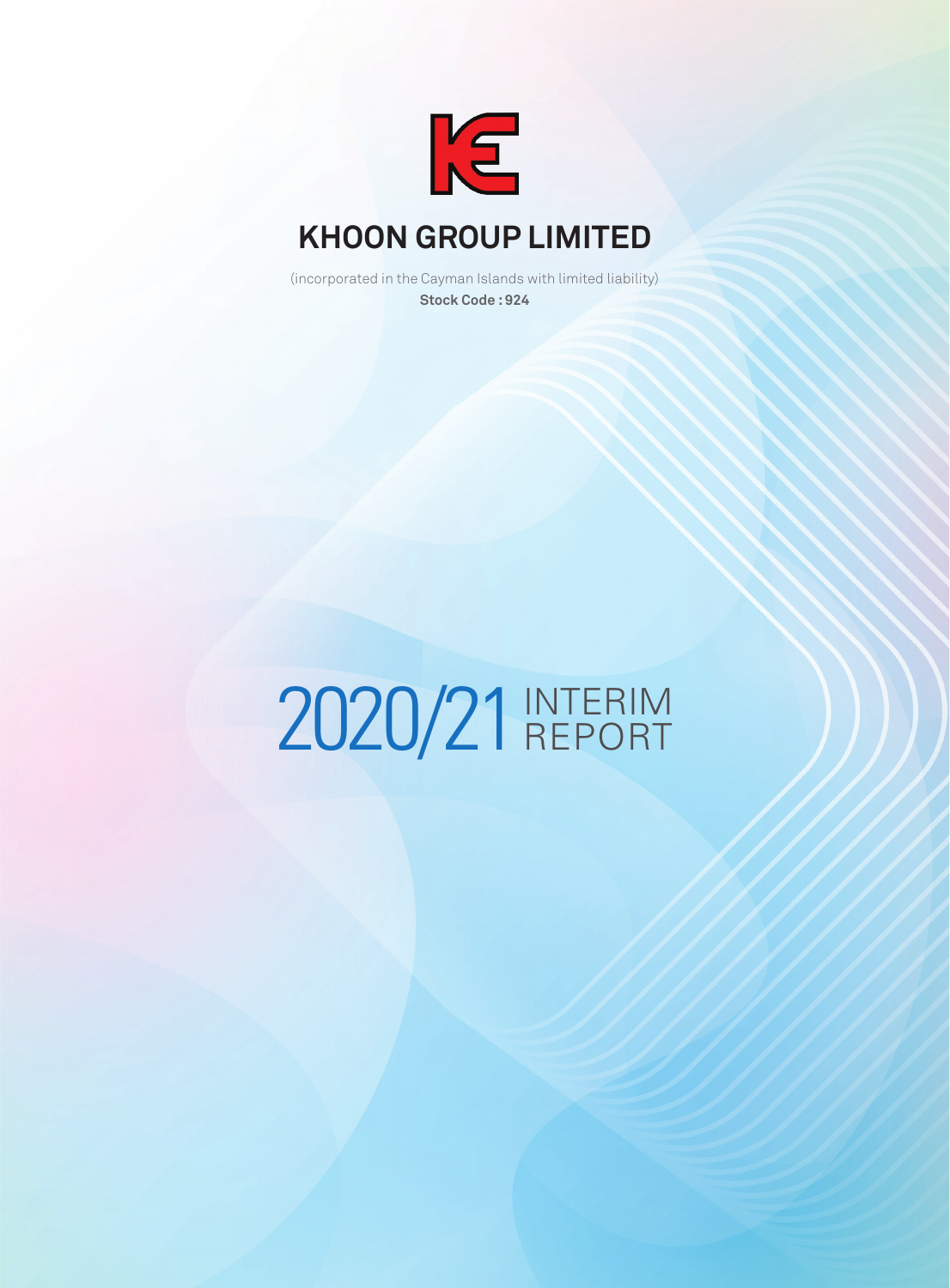

(incorporated in the Cayman Islands with limited liability) **Stock Code : 924**

# 2020/21 INTERIM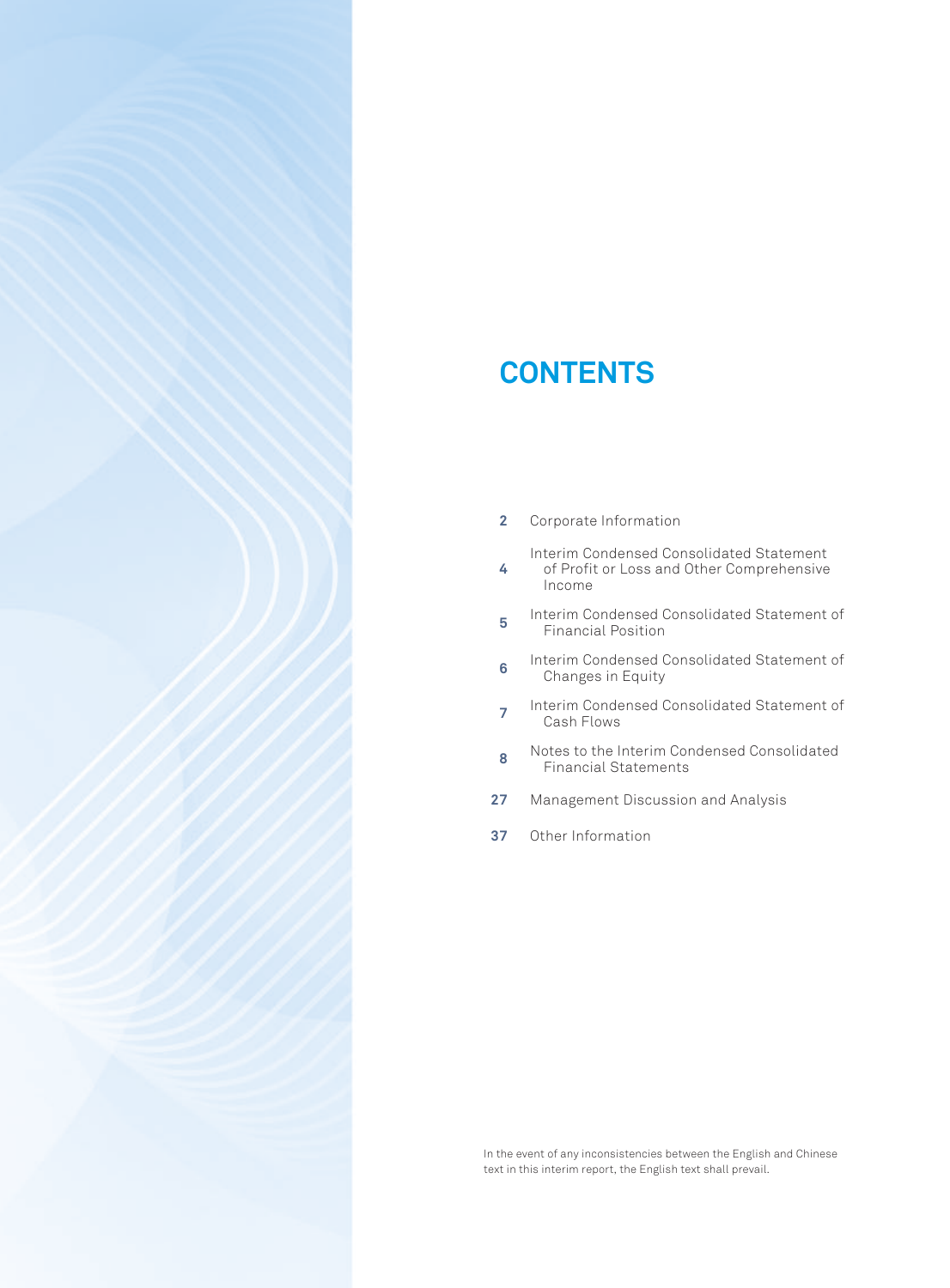# **CONTENTS**

**2** Corporate Information

Interim Condensed Consolidated Statement

- **4** of Profit or Loss and Other Comprehensive Income
- **5** Interim Condensed Consolidated Statement of Financial Position
- **6** Interim Condensed Consolidated Statement of Changes in Equity
- **<sup>7</sup>** Interim Condensed Consolidated Statement of Cash Flows
- **8** Notes to the Interim Condensed Consolidated Financial Statements
- **27** Management Discussion and Analysis
- **37** Other Information

In the event of any inconsistencies between the English and Chinese text in this interim report, the English text shall prevail.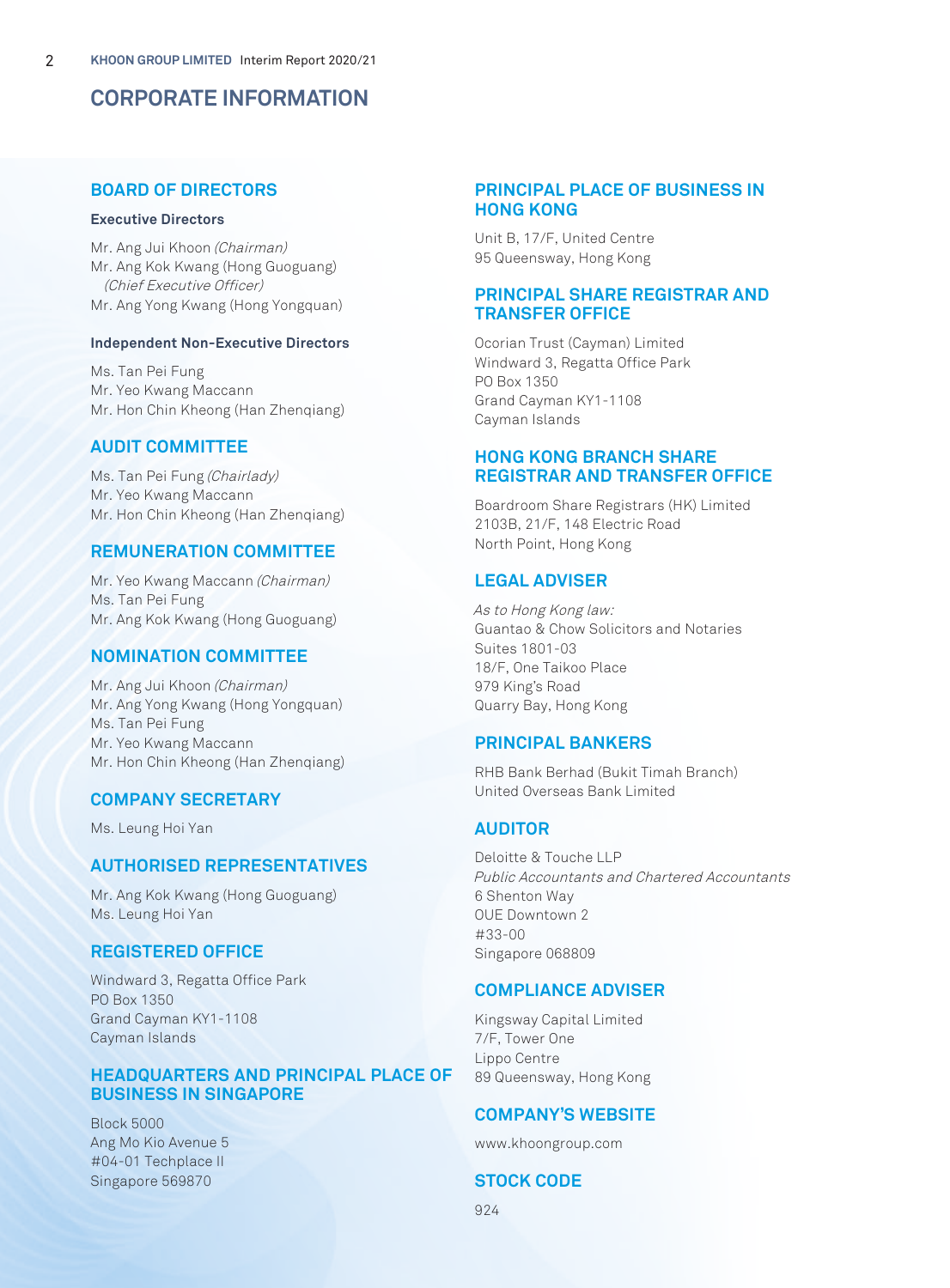# **CORPORATE INFORMATION**

# **BOARD OF DIRECTORS**

#### **Executive Directors**

Mr. Ang Jui Khoon (Chairman) Mr. Ang Kok Kwang (Hong Guoguang) (Chief Executive Officer) Mr. Ang Yong Kwang (Hong Yongquan)

#### **Independent Non-Executive Directors**

Ms. Tan Pei Fung Mr. Yeo Kwang Maccann Mr. Hon Chin Kheong (Han Zhenqiang)

# **AUDIT COMMITTEE**

Ms. Tan Pei Fung (Chairlady) Mr. Yeo Kwang Maccann Mr. Hon Chin Kheong (Han Zhenqiang)

# **REMUNERATION COMMITTEE**

Mr. Yeo Kwang Maccann (Chairman) Ms. Tan Pei Fung Mr. Ang Kok Kwang (Hong Guoguang)

# **NOMINATION COMMITTEE**

Mr. Ang Jui Khoon (Chairman) Mr. Ang Yong Kwang (Hong Yongquan) Ms. Tan Pei Fung Mr. Yeo Kwang Maccann Mr. Hon Chin Kheong (Han Zhenqiang)

# **COMPANY SECRETARY**

Ms. Leung Hoi Yan

# **AUTHORISED REPRESENTATIVES**

Mr. Ang Kok Kwang (Hong Guoguang) Ms. Leung Hoi Yan

# **REGISTERED OFFICE**

Windward 3, Regatta Office Park PO Box 1350 Grand Cayman KY1-1108 Cayman Islands

# **HEADQUARTERS AND PRINCIPAL PLACE OF BUSINESS IN SINGAPORE**

Block 5000 Ang Mo Kio Avenue 5 #04-01 Techplace II Singapore 569870

# **PRINCIPAL PLACE OF BUSINESS IN HONG KONG**

Unit B, 17/F, United Centre 95 Queensway, Hong Kong

# **PRINCIPAL SHARE REGISTRAR AND TRANSFER OFFICE**

Ocorian Trust (Cayman) Limited Windward 3, Regatta Office Park PO Box 1350 Grand Cayman KY1-1108 Cayman Islands

# **HONG KONG BRANCH SHARE REGISTRAR AND TRANSFER OFFICE**

Boardroom Share Registrars (HK) Limited 2103B, 21/F, 148 Electric Road North Point, Hong Kong

# **LEGAL ADVISER**

As to Hong Kong law: Guantao & Chow Solicitors and Notaries Suites 1801-03 18/F, One Taikoo Place 979 King's Road Quarry Bay, Hong Kong

# **PRINCIPAL BANKERS**

RHB Bank Berhad (Bukit Timah Branch) United Overseas Bank Limited

# **AUDITOR**

Deloitte & Touche LLP Public Accountants and Chartered Accountants 6 Shenton Way OUE Downtown 2 #33-00 Singapore 068809

# **COMPLIANCE ADVISER**

Kingsway Capital Limited 7/F, Tower One Lippo Centre 89 Queensway, Hong Kong

# **COMPANY'S WEBSITE**

www.khoongroup.com

# **STOCK CODE**

924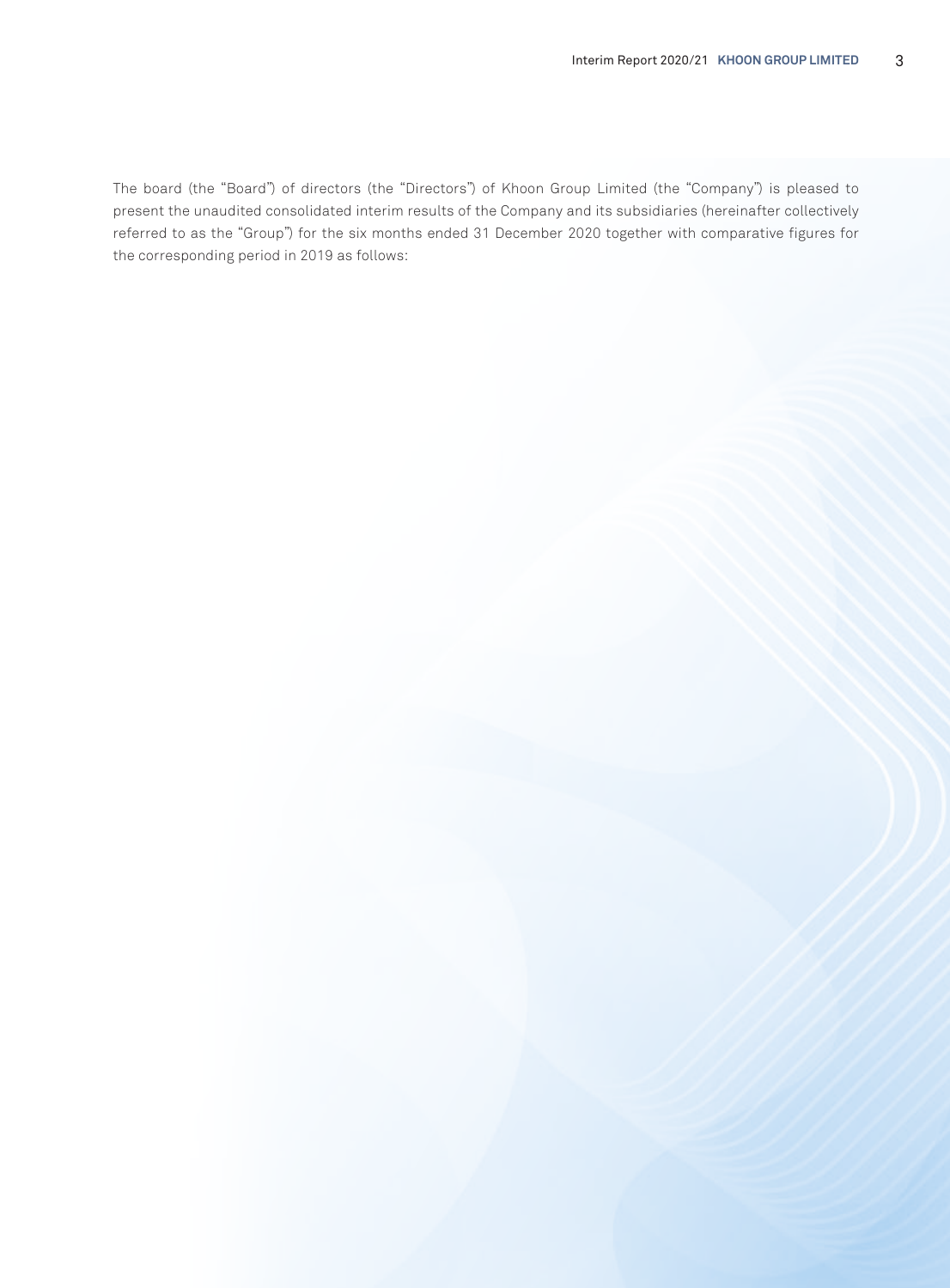The board (the "Board") of directors (the "Directors") of Khoon Group Limited (the "Company") is pleased to present the unaudited consolidated interim results of the Company and its subsidiaries (hereinafter collectively referred to as the "Group") for the six months ended 31 December 2020 together with comparative figures for the corresponding period in 2019 as follows: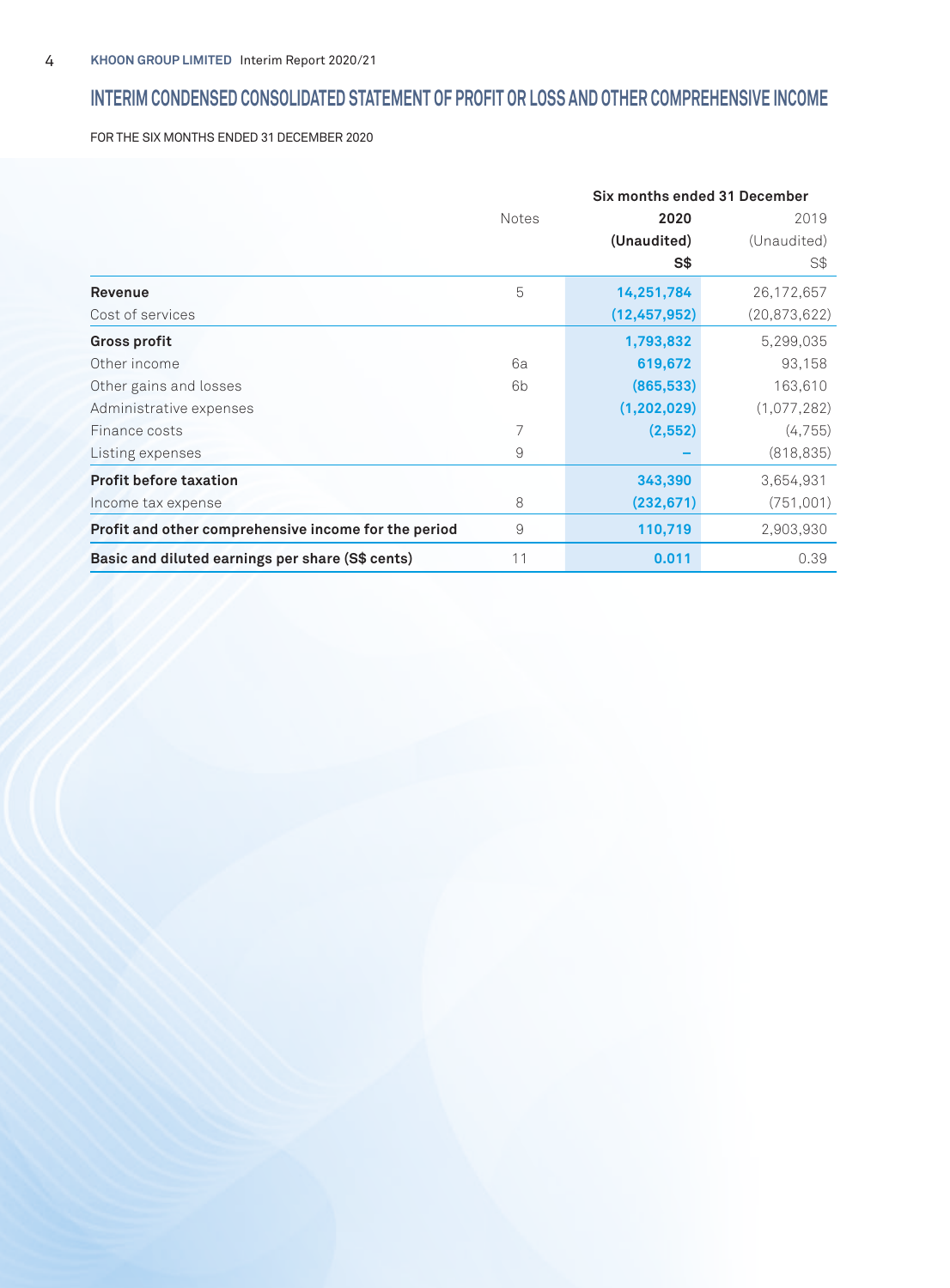# **INTERIM CONDENSED CONSOLIDATED STATEMENT OF PROFIT OR LOSS AND OTHER COMPREHENSIVE INCOME**

FOR THE SIX MONTHS ENDED 31 DECEMBER 2020

|                                                      | Six months ended 31 December |                |                |
|------------------------------------------------------|------------------------------|----------------|----------------|
|                                                      | <b>Notes</b>                 | 2020           | 2019           |
|                                                      |                              | (Unaudited)    | (Unaudited)    |
|                                                      |                              | S\$            | S\$            |
| Revenue                                              | 5                            | 14,251,784     | 26,172,657     |
| Cost of services                                     |                              | (12, 457, 952) | (20, 873, 622) |
| <b>Gross profit</b>                                  |                              | 1,793,832      | 5,299,035      |
| Other income                                         | 6a                           | 619,672        | 93,158         |
| Other gains and losses                               | 6b                           | (865, 533)     | 163,610        |
| Administrative expenses                              |                              | (1, 202, 029)  | (1,077,282)    |
| Finance costs                                        | 7                            | (2, 552)       | (4, 755)       |
| Listing expenses                                     | 9                            |                | (818, 835)     |
| <b>Profit before taxation</b>                        |                              | 343,390        | 3,654,931      |
| Income tax expense                                   | 8                            | (232, 671)     | (751,001)      |
| Profit and other comprehensive income for the period | 9                            | 110,719        | 2,903,930      |
| Basic and diluted earnings per share (S\$ cents)     | 11                           | 0.011          | 0.39           |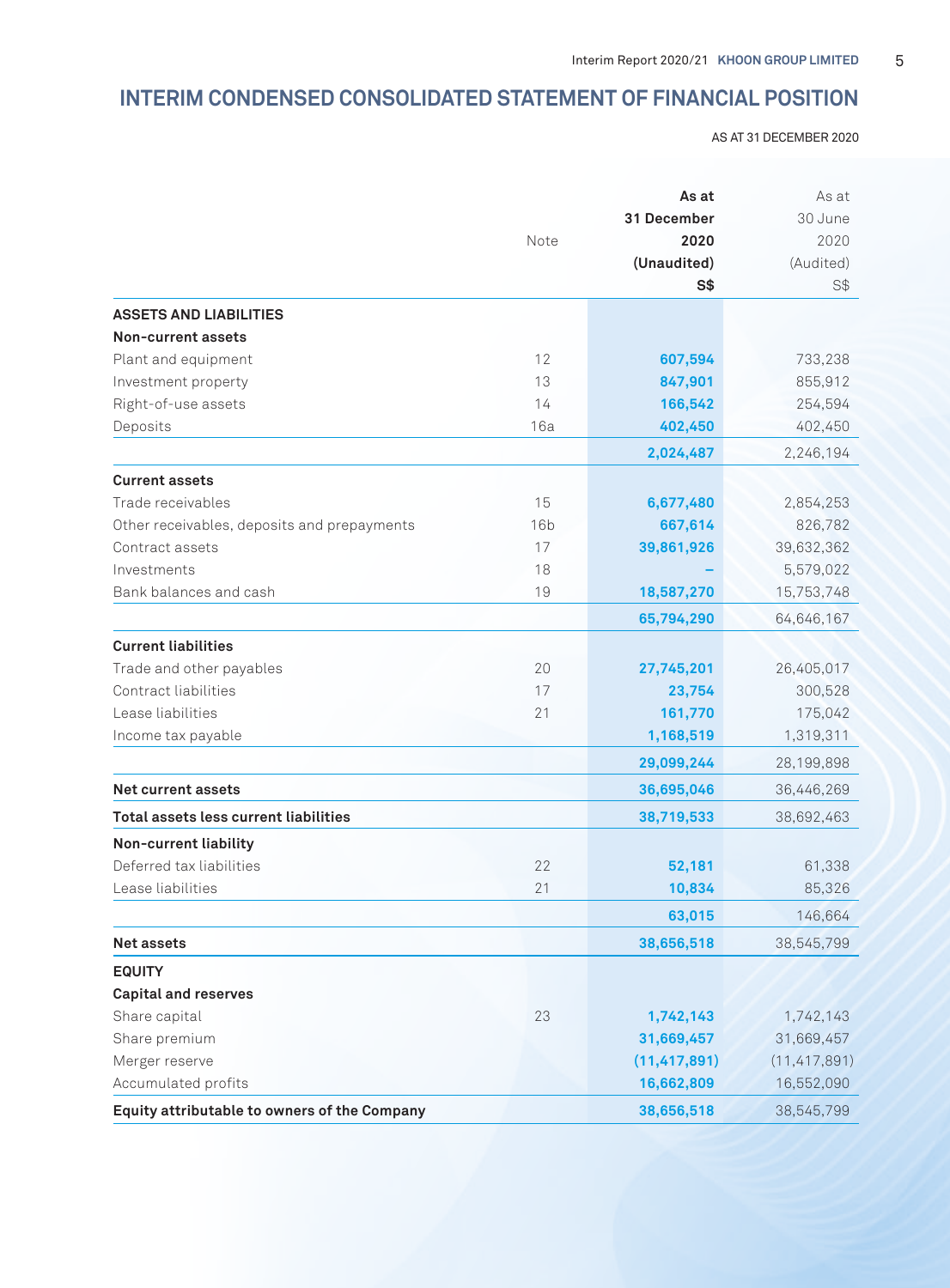# **INTERIM CONDENSED CONSOLIDATED STATEMENT OF FINANCIAL POSITION**

AS AT 31 DECEMBER 2020

|                                              | As at<br>31 December |                | As at<br>30 June |
|----------------------------------------------|----------------------|----------------|------------------|
|                                              |                      |                |                  |
|                                              | Note                 | 2020           | 2020             |
|                                              |                      | (Unaudited)    | (Audited)        |
|                                              |                      | S <sub>3</sub> | S\$              |
| <b>ASSETS AND LIABILITIES</b>                |                      |                |                  |
| Non-current assets                           |                      |                |                  |
| Plant and equipment                          | 12                   | 607,594        | 733,238          |
| Investment property                          | 13                   | 847,901        | 855,912          |
| Right-of-use assets                          | 14                   | 166,542        | 254,594          |
| Deposits                                     | 16a                  | 402,450        | 402,450          |
|                                              |                      | 2,024,487      | 2,246,194        |
| <b>Current assets</b>                        |                      |                |                  |
| Trade receivables                            | 15                   | 6,677,480      | 2,854,253        |
| Other receivables, deposits and prepayments  | 16 <sub>b</sub>      | 667,614        | 826,782          |
| Contract assets                              | 17                   | 39,861,926     | 39,632,362       |
| Investments                                  | 18                   |                | 5,579,022        |
| Bank balances and cash                       | 19                   | 18,587,270     | 15,753,748       |
|                                              |                      | 65,794,290     | 64,646,167       |
| <b>Current liabilities</b>                   |                      |                |                  |
| Trade and other payables                     | 20                   | 27,745,201     | 26,405,017       |
| Contract liabilities                         | 17                   | 23,754         | 300,528          |
| Lease liabilities                            | 21                   | 161,770        | 175,042          |
| Income tax payable                           |                      | 1,168,519      | 1,319,311        |
|                                              |                      | 29,099,244     | 28,199,898       |
| <b>Net current assets</b>                    |                      | 36,695,046     | 36,446,269       |
| Total assets less current liabilities        |                      | 38,719,533     | 38,692,463       |
| Non-current liability                        |                      |                |                  |
| Deferred tax liabilities                     | 22                   | 52,181         | 61,338           |
| Lease liabilities                            | 21                   | 10,834         | 85,326           |
|                                              |                      | 63,015         | 146,664          |
| <b>Net assets</b>                            |                      | 38,656,518     | 38,545,799       |
| <b>EQUITY</b>                                |                      |                |                  |
| <b>Capital and reserves</b>                  |                      |                |                  |
| Share capital                                | 23                   | 1,742,143      | 1,742,143        |
| Share premium                                |                      | 31,669,457     | 31,669,457       |
| Merger reserve                               |                      | (11, 417, 891) | (11, 417, 891)   |
| Accumulated profits                          |                      | 16,662,809     | 16,552,090       |
| Equity attributable to owners of the Company |                      | 38,656,518     | 38,545,799       |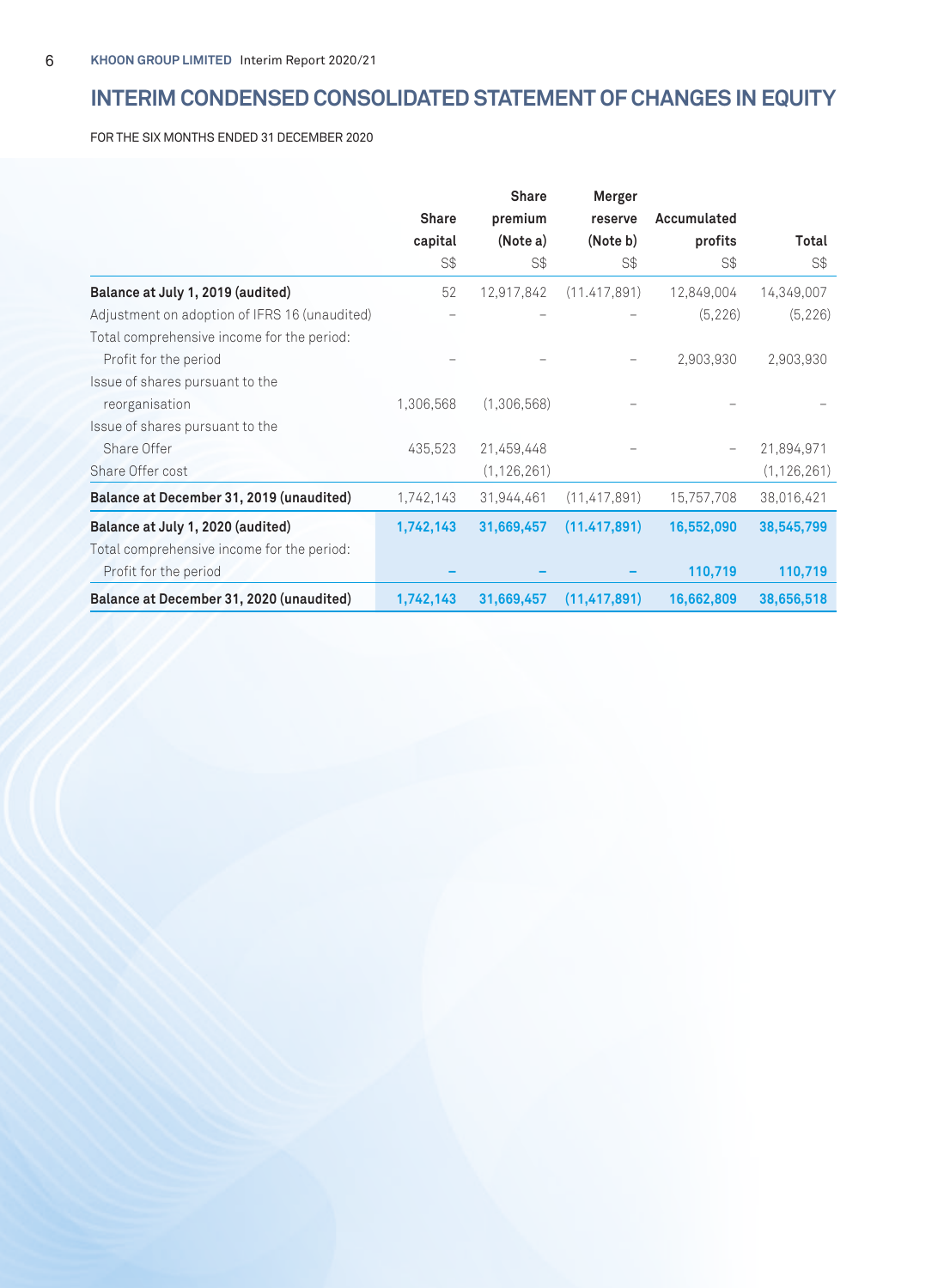# **INTERIM CONDENSED CONSOLIDATED STATEMENT OF CHANGES IN EQUITY**

FOR THE SIX MONTHS ENDED 31 DECEMBER 2020

|                                               |              | <b>Share</b>  | Merger         |             |               |
|-----------------------------------------------|--------------|---------------|----------------|-------------|---------------|
|                                               | <b>Share</b> | premium       | reserve        | Accumulated |               |
|                                               | capital      | (Note a)      | (Note b)       | profits     | Total         |
|                                               | S\$          | S\$           | S\$            | S\$         | S\$           |
| Balance at July 1, 2019 (audited)             | 52           | 12,917,842    | (11.417, 891)  | 12,849,004  | 14,349,007    |
| Adjustment on adoption of IFRS 16 (unaudited) |              |               |                | (5, 226)    | (5, 226)      |
| Total comprehensive income for the period:    |              |               |                |             |               |
| Profit for the period                         |              |               |                | 2,903,930   | 2,903,930     |
| Issue of shares pursuant to the               |              |               |                |             |               |
| reorganisation                                | 1,306,568    | (1,306,568)   |                |             |               |
| Issue of shares pursuant to the               |              |               |                |             |               |
| Share Offer                                   | 435,523      | 21,459,448    |                |             | 21,894,971    |
| Share Offer cost                              |              | (1, 126, 261) |                |             | (1, 126, 261) |
| Balance at December 31, 2019 (unaudited)      | 1,742,143    | 31,944,461    | (11, 417, 891) | 15,757,708  | 38,016,421    |
| Balance at July 1, 2020 (audited)             | 1,742,143    | 31,669,457    | (11.417, 891)  | 16,552,090  | 38,545,799    |
| Total comprehensive income for the period:    |              |               |                |             |               |
| Profit for the period                         |              |               |                | 110,719     | 110,719       |
| Balance at December 31, 2020 (unaudited)      | 1,742,143    | 31,669,457    | (11, 417, 891) | 16,662,809  | 38,656,518    |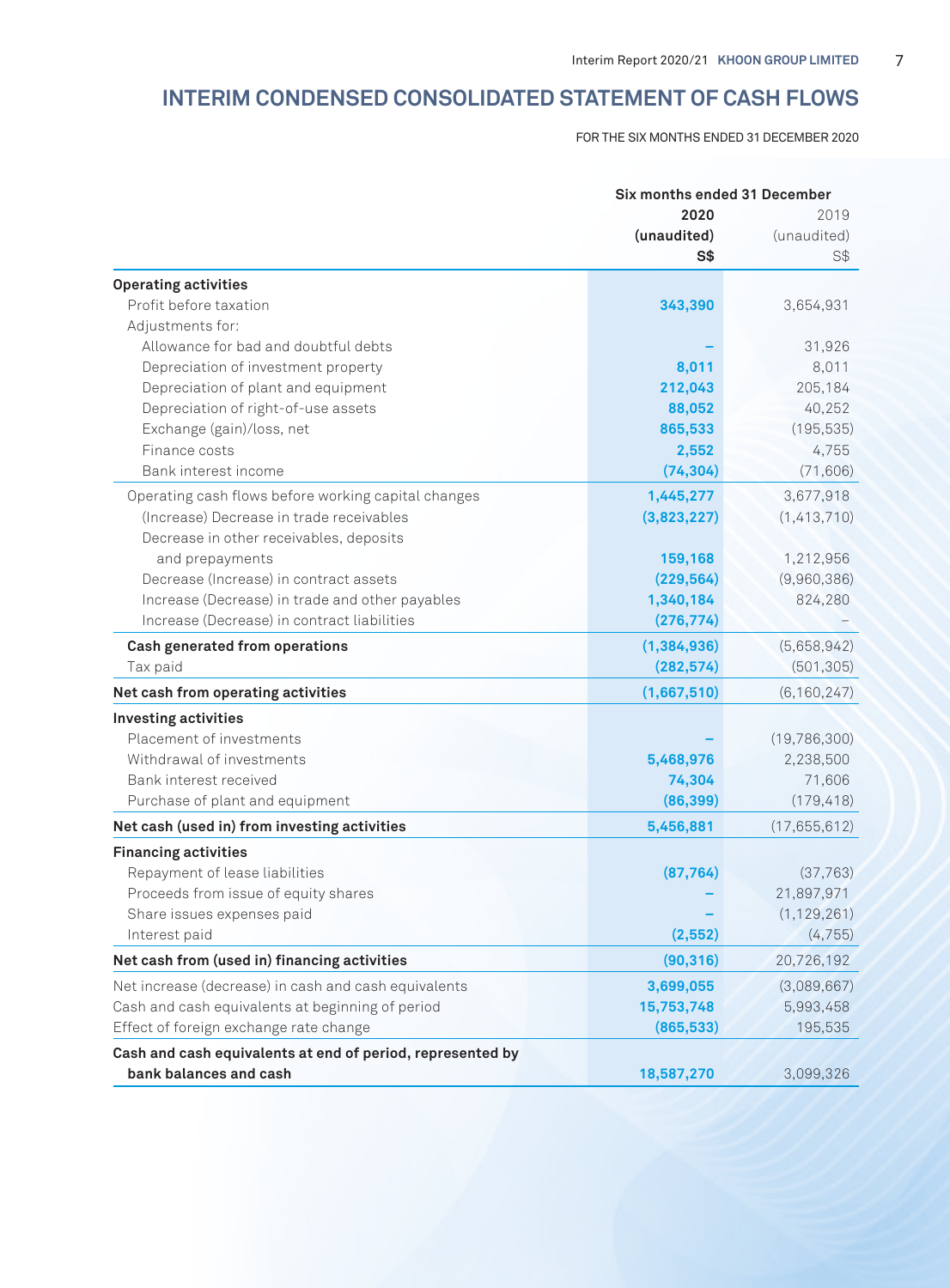# **INTERIM CONDENSED CONSOLIDATED STATEMENT OF CASH FLOWS**

FOR THE SIX MONTHS ENDED 31 DECEMBER 2020

|                                                            |               | Six months ended 31 December |  |
|------------------------------------------------------------|---------------|------------------------------|--|
|                                                            | 2020          | 2019                         |  |
|                                                            | (unaudited)   | (unaudited)                  |  |
|                                                            | <b>S\$</b>    | S\$                          |  |
| <b>Operating activities</b>                                |               |                              |  |
| Profit before taxation                                     | 343,390       | 3,654,931                    |  |
| Adjustments for:                                           |               |                              |  |
| Allowance for bad and doubtful debts                       |               | 31,926                       |  |
| Depreciation of investment property                        | 8,011         | 8,011                        |  |
| Depreciation of plant and equipment                        | 212,043       | 205,184                      |  |
| Depreciation of right-of-use assets                        | 88,052        | 40,252                       |  |
| Exchange (gain)/loss, net                                  | 865,533       | (195, 535)                   |  |
| Finance costs                                              | 2,552         | 4,755                        |  |
| Bank interest income                                       | (74, 304)     | (71, 606)                    |  |
| Operating cash flows before working capital changes        | 1,445,277     | 3,677,918                    |  |
| (Increase) Decrease in trade receivables                   | (3,823,227)   | (1,413,710)                  |  |
| Decrease in other receivables, deposits                    |               |                              |  |
| and prepayments                                            | 159,168       | 1,212,956                    |  |
| Decrease (Increase) in contract assets                     | (229, 564)    | (9,960,386)                  |  |
| Increase (Decrease) in trade and other payables            | 1,340,184     | 824,280                      |  |
| Increase (Decrease) in contract liabilities                | (276, 774)    |                              |  |
| Cash generated from operations                             | (1, 384, 936) | (5,658,942)                  |  |
| Tax paid                                                   | (282, 574)    | (501, 305)                   |  |
| Net cash from operating activities                         | (1,667,510)   | (6, 160, 247)                |  |
| <b>Investing activities</b>                                |               |                              |  |
| Placement of investments                                   |               | (19,786,300)                 |  |
| Withdrawal of investments                                  | 5,468,976     | 2,238,500                    |  |
| Bank interest received                                     | 74,304        | 71,606                       |  |
| Purchase of plant and equipment                            | (86, 399)     | (179, 418)                   |  |
| Net cash (used in) from investing activities               | 5,456,881     | (17,655,612)                 |  |
| <b>Financing activities</b>                                |               |                              |  |
| Repayment of lease liabilities                             | (87, 764)     | (37,763)                     |  |
| Proceeds from issue of equity shares                       |               | 21,897,971                   |  |
| Share issues expenses paid                                 |               | (1, 129, 261)                |  |
| Interest paid                                              | (2, 552)      | (4, 755)                     |  |
| Net cash from (used in) financing activities               | (90, 316)     | 20,726,192                   |  |
| Net increase (decrease) in cash and cash equivalents       | 3,699,055     | (3,089,667)                  |  |
| Cash and cash equivalents at beginning of period           | 15,753,748    | 5,993,458                    |  |
| Effect of foreign exchange rate change                     | (865, 533)    | 195,535                      |  |
| Cash and cash equivalents at end of period, represented by |               |                              |  |
| bank balances and cash                                     | 18,587,270    | 3,099,326                    |  |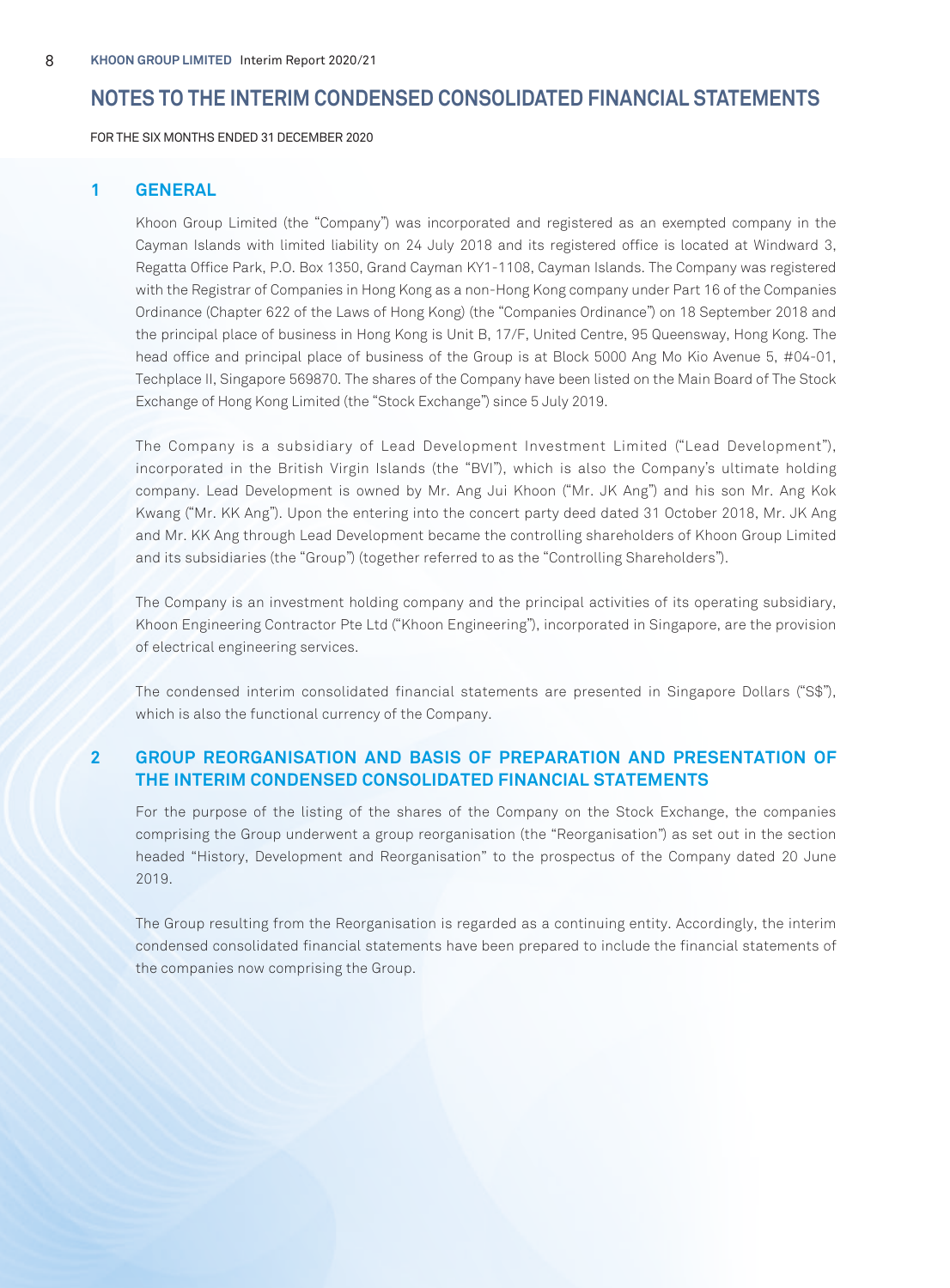FOR THE SIX MONTHS ENDED 31 DECEMBER 2020

# **1 GENERAL**

Khoon Group Limited (the "Company") was incorporated and registered as an exempted company in the Cayman Islands with limited liability on 24 July 2018 and its registered office is located at Windward 3, Regatta Office Park, P.O. Box 1350, Grand Cayman KY1-1108, Cayman Islands. The Company was registered with the Registrar of Companies in Hong Kong as a non-Hong Kong company under Part 16 of the Companies Ordinance (Chapter 622 of the Laws of Hong Kong) (the "Companies Ordinance") on 18 September 2018 and the principal place of business in Hong Kong is Unit B, 17/F, United Centre, 95 Queensway, Hong Kong. The head office and principal place of business of the Group is at Block 5000 Ang Mo Kio Avenue 5, #04-01, Techplace II, Singapore 569870. The shares of the Company have been listed on the Main Board of The Stock Exchange of Hong Kong Limited (the "Stock Exchange") since 5 July 2019.

The Company is a subsidiary of Lead Development Investment Limited ("Lead Development"), incorporated in the British Virgin Islands (the "BVI"), which is also the Company's ultimate holding company. Lead Development is owned by Mr. Ang Jui Khoon ("Mr. JK Ang") and his son Mr. Ang Kok Kwang ("Mr. KK Ang"). Upon the entering into the concert party deed dated 31 October 2018, Mr. JK Ang and Mr. KK Ang through Lead Development became the controlling shareholders of Khoon Group Limited and its subsidiaries (the "Group") (together referred to as the "Controlling Shareholders").

The Company is an investment holding company and the principal activities of its operating subsidiary, Khoon Engineering Contractor Pte Ltd ("Khoon Engineering"), incorporated in Singapore, are the provision of electrical engineering services.

The condensed interim consolidated financial statements are presented in Singapore Dollars ("S\$"), which is also the functional currency of the Company.

# **2 GROUP REORGANISATION AND BASIS OF PREPARATION AND PRESENTATION OF THE INTERIM CONDENSED CONSOLIDATED FINANCIAL STATEMENTS**

For the purpose of the listing of the shares of the Company on the Stock Exchange, the companies comprising the Group underwent a group reorganisation (the "Reorganisation") as set out in the section headed "History, Development and Reorganisation" to the prospectus of the Company dated 20 June 2019.

The Group resulting from the Reorganisation is regarded as a continuing entity. Accordingly, the interim condensed consolidated financial statements have been prepared to include the financial statements of the companies now comprising the Group.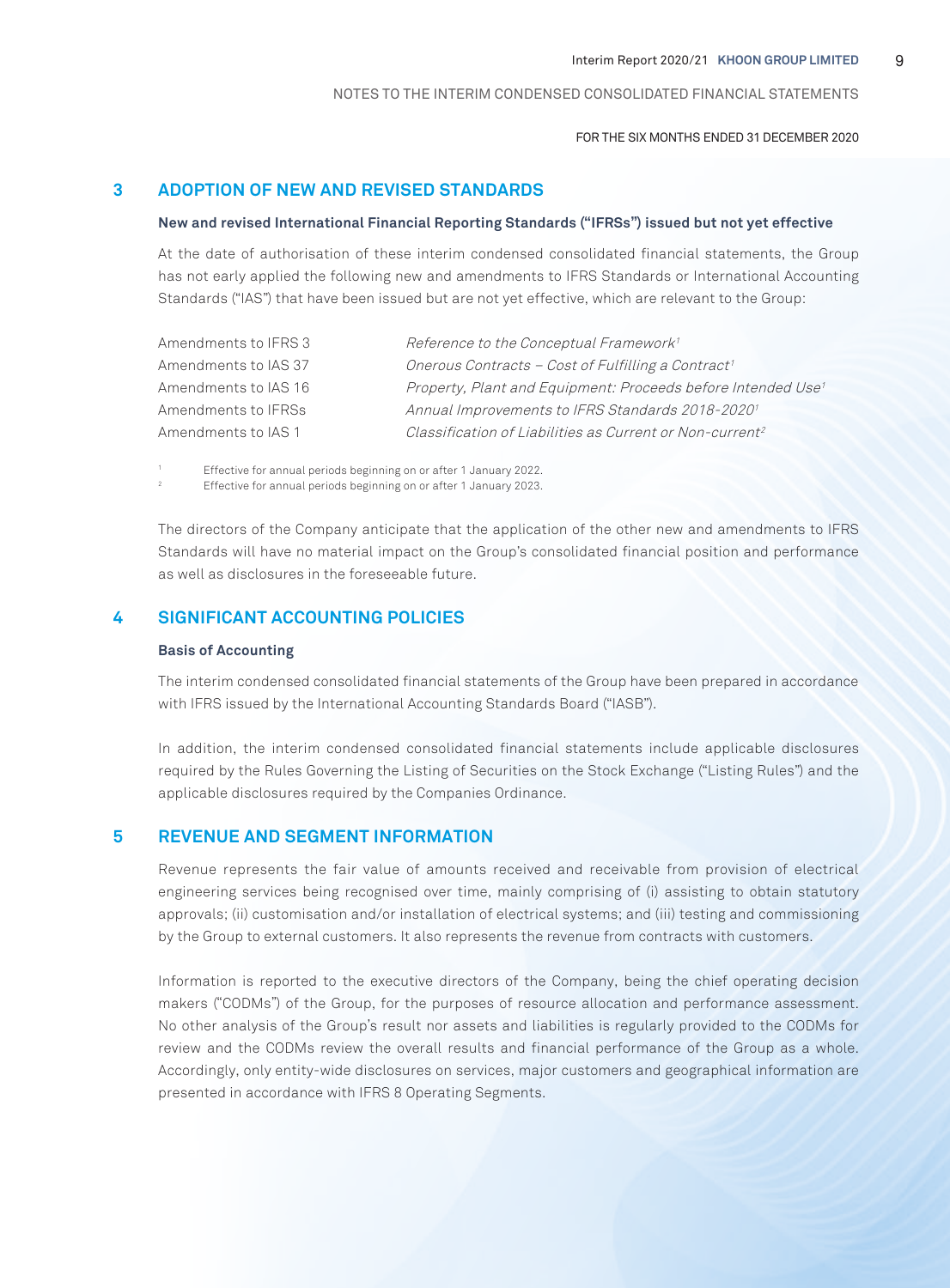FOR THE SIX MONTHS ENDED 31 DECEMBER 2020

# **3 ADOPTION OF NEW AND REVISED STANDARDS**

#### **New and revised International Financial Reporting Standards ("IFRSs") issued but not yet effective**

At the date of authorisation of these interim condensed consolidated financial statements, the Group has not early applied the following new and amendments to IFRS Standards or International Accounting Standards ("IAS") that have been issued but are not yet effective, which are relevant to the Group:

| Amendments to IFRS 3 | Reference to the Conceptual Framework <sup>1</sup>                       |
|----------------------|--------------------------------------------------------------------------|
| Amendments to IAS 37 | Onerous Contracts - Cost of Fulfilling a Contract <sup>1</sup>           |
| Amendments to IAS 16 | Property, Plant and Equipment: Proceeds before Intended Use <sup>1</sup> |
| Amendments to IFRSs  | Annual Improvements to IFRS Standards 2018-2020 <sup>1</sup>             |
| Amendments to IAS 1  | Classification of Liabilities as Current or Non-current <sup>2</sup>     |

1 Effective for annual periods beginning on or after 1 January 2022.

2 Effective for annual periods beginning on or after 1 January 2023.

The directors of the Company anticipate that the application of the other new and amendments to IFRS Standards will have no material impact on the Group's consolidated financial position and performance as well as disclosures in the foreseeable future.

# **4 SIGNIFICANT ACCOUNTING POLICIES**

#### **Basis of Accounting**

The interim condensed consolidated financial statements of the Group have been prepared in accordance with IFRS issued by the International Accounting Standards Board ("IASB").

In addition, the interim condensed consolidated financial statements include applicable disclosures required by the Rules Governing the Listing of Securities on the Stock Exchange ("Listing Rules") and the applicable disclosures required by the Companies Ordinance.

#### **5 REVENUE AND SEGMENT INFORMATION**

Revenue represents the fair value of amounts received and receivable from provision of electrical engineering services being recognised over time, mainly comprising of (i) assisting to obtain statutory approvals; (ii) customisation and/or installation of electrical systems; and (iii) testing and commissioning by the Group to external customers. It also represents the revenue from contracts with customers.

Information is reported to the executive directors of the Company, being the chief operating decision makers ("CODMs") of the Group, for the purposes of resource allocation and performance assessment. No other analysis of the Group's result nor assets and liabilities is regularly provided to the CODMs for review and the CODMs review the overall results and financial performance of the Group as a whole. Accordingly, only entity-wide disclosures on services, major customers and geographical information are presented in accordance with IFRS 8 Operating Segments.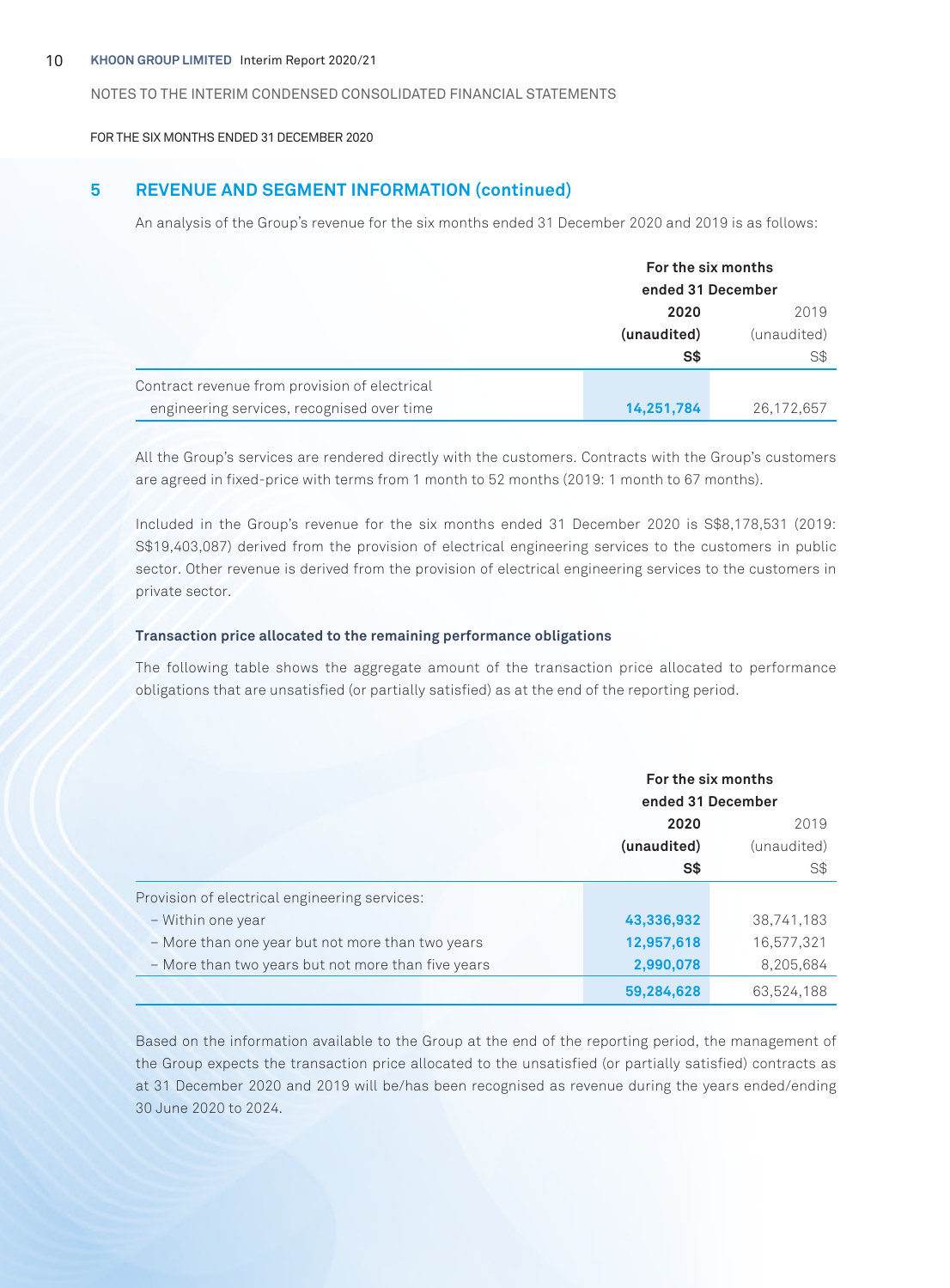FOR THE SIX MONTHS ENDED 31 DECEMBER 2020

# **5 REVENUE AND SEGMENT INFORMATION (continued)**

An analysis of the Group's revenue for the six months ended 31 December 2020 and 2019 is as follows:

|                                               | For the six months<br>ended 31 December |             |
|-----------------------------------------------|-----------------------------------------|-------------|
|                                               | 2020                                    | 2019        |
|                                               | (unaudited)                             | (unaudited) |
|                                               | S\$                                     | S\$         |
| Contract revenue from provision of electrical |                                         |             |
| engineering services, recognised over time    | 14,251,784                              | 26,172,657  |

All the Group's services are rendered directly with the customers. Contracts with the Group's customers are agreed in fixed-price with terms from 1 month to 52 months (2019: 1 month to 67 months).

Included in the Group's revenue for the six months ended 31 December 2020 is S\$8,178,531 (2019: S\$19,403,087) derived from the provision of electrical engineering services to the customers in public sector. Other revenue is derived from the provision of electrical engineering services to the customers in private sector.

#### **Transaction price allocated to the remaining performance obligations**

The following table shows the aggregate amount of the transaction price allocated to performance obligations that are unsatisfied (or partially satisfied) as at the end of the reporting period.

|                                                    |             | For the six months<br>ended 31 December |  |
|----------------------------------------------------|-------------|-----------------------------------------|--|
|                                                    |             |                                         |  |
|                                                    | 2020        | 2019                                    |  |
|                                                    | (unaudited) | (unaudited)                             |  |
|                                                    | S\$         | S\$                                     |  |
| Provision of electrical engineering services:      |             |                                         |  |
| - Within one year                                  | 43,336,932  | 38,741,183                              |  |
| - More than one year but not more than two years   | 12,957,618  | 16,577,321                              |  |
| - More than two years but not more than five years | 2,990,078   | 8,205,684                               |  |
|                                                    | 59,284,628  | 63,524,188                              |  |

Based on the information available to the Group at the end of the reporting period, the management of the Group expects the transaction price allocated to the unsatisfied (or partially satisfied) contracts as at 31 December 2020 and 2019 will be/has been recognised as revenue during the years ended/ending 30 June 2020 to 2024.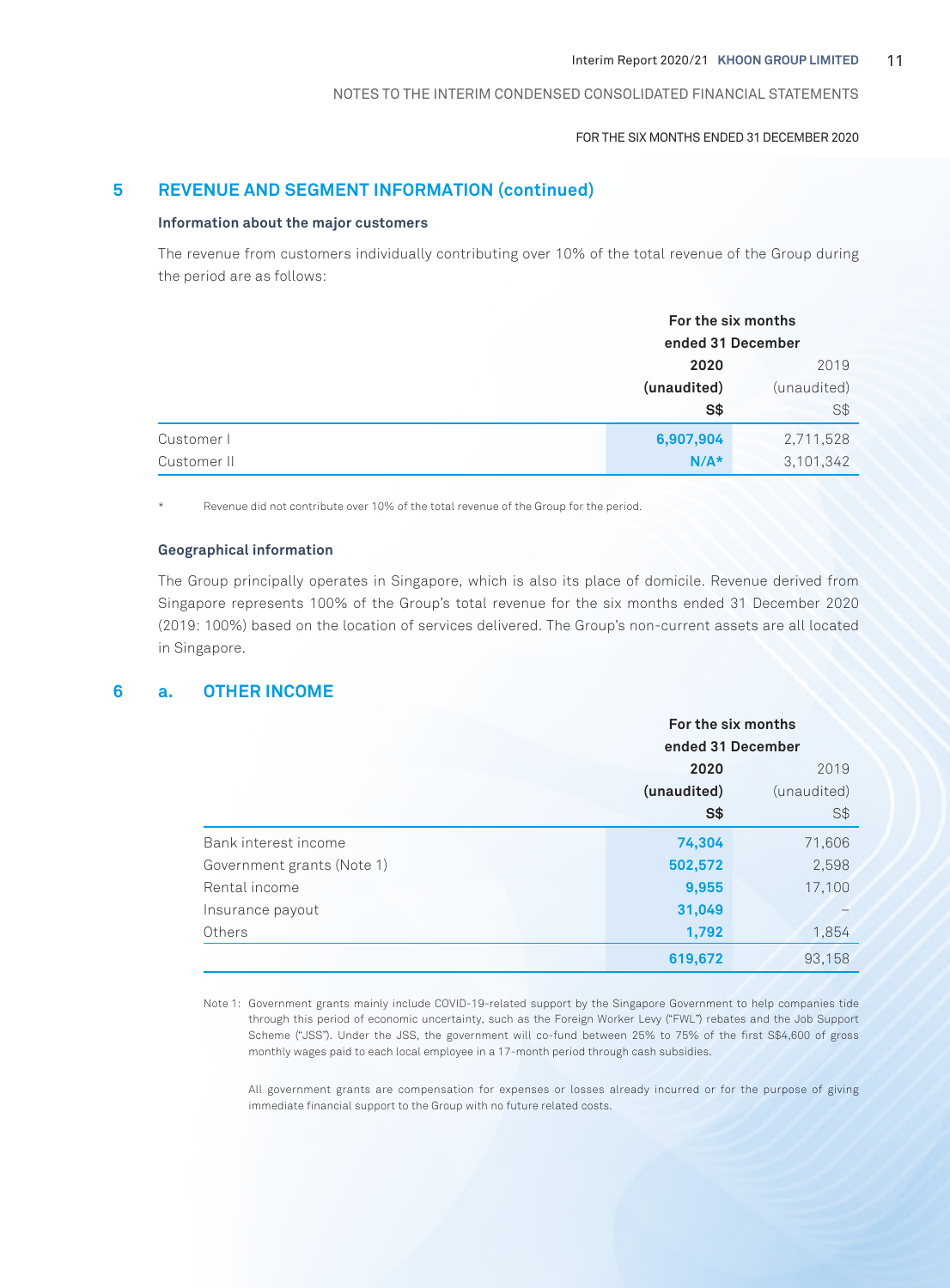#### FOR THE SIX MONTHS ENDED 31 DECEMBER 2020

# **5 REVENUE AND SEGMENT INFORMATION (continued)**

#### **Information about the major customers**

The revenue from customers individually contributing over 10% of the total revenue of the Group during the period are as follows:

|             | For the six months<br>ended 31 December |             |
|-------------|-----------------------------------------|-------------|
|             | 2020                                    | 2019        |
|             | (unaudited)                             | (unaudited) |
|             | $S*$                                    | S\$         |
| Customer I  | 6,907,904                               | 2,711,528   |
| Customer II | $N/A*$                                  | 3,101,342   |

Revenue did not contribute over 10% of the total revenue of the Group for the period.

#### **Geographical information**

The Group principally operates in Singapore, which is also its place of domicile. Revenue derived from Singapore represents 100% of the Group's total revenue for the six months ended 31 December 2020 (2019: 100%) based on the location of services delivered. The Group's non-current assets are all located in Singapore.

#### **6 a. OTHER INCOME**

|                            |             | For the six months<br>ended 31 December |  |
|----------------------------|-------------|-----------------------------------------|--|
|                            |             |                                         |  |
|                            | 2020        | 2019                                    |  |
|                            | (unaudited) | (unaudited)                             |  |
|                            | S\$         | S\$                                     |  |
| Bank interest income       | 74,304      | 71,606                                  |  |
| Government grants (Note 1) | 502,572     | 2,598                                   |  |
| Rental income              | 9,955       | 17,100                                  |  |
| Insurance payout           | 31,049      |                                         |  |
| Others                     | 1,792       | 1,854                                   |  |
|                            | 619,672     | 93,158                                  |  |

Note 1: Government grants mainly include COVID-19-related support by the Singapore Government to help companies tide through this period of economic uncertainty, such as the Foreign Worker Levy ("FWL") rebates and the Job Support Scheme ("JSS"). Under the JSS, the government will co-fund between 25% to 75% of the first S\$4,600 of gross monthly wages paid to each local employee in a 17-month period through cash subsidies.

All government grants are compensation for expenses or losses already incurred or for the purpose of giving immediate financial support to the Group with no future related costs.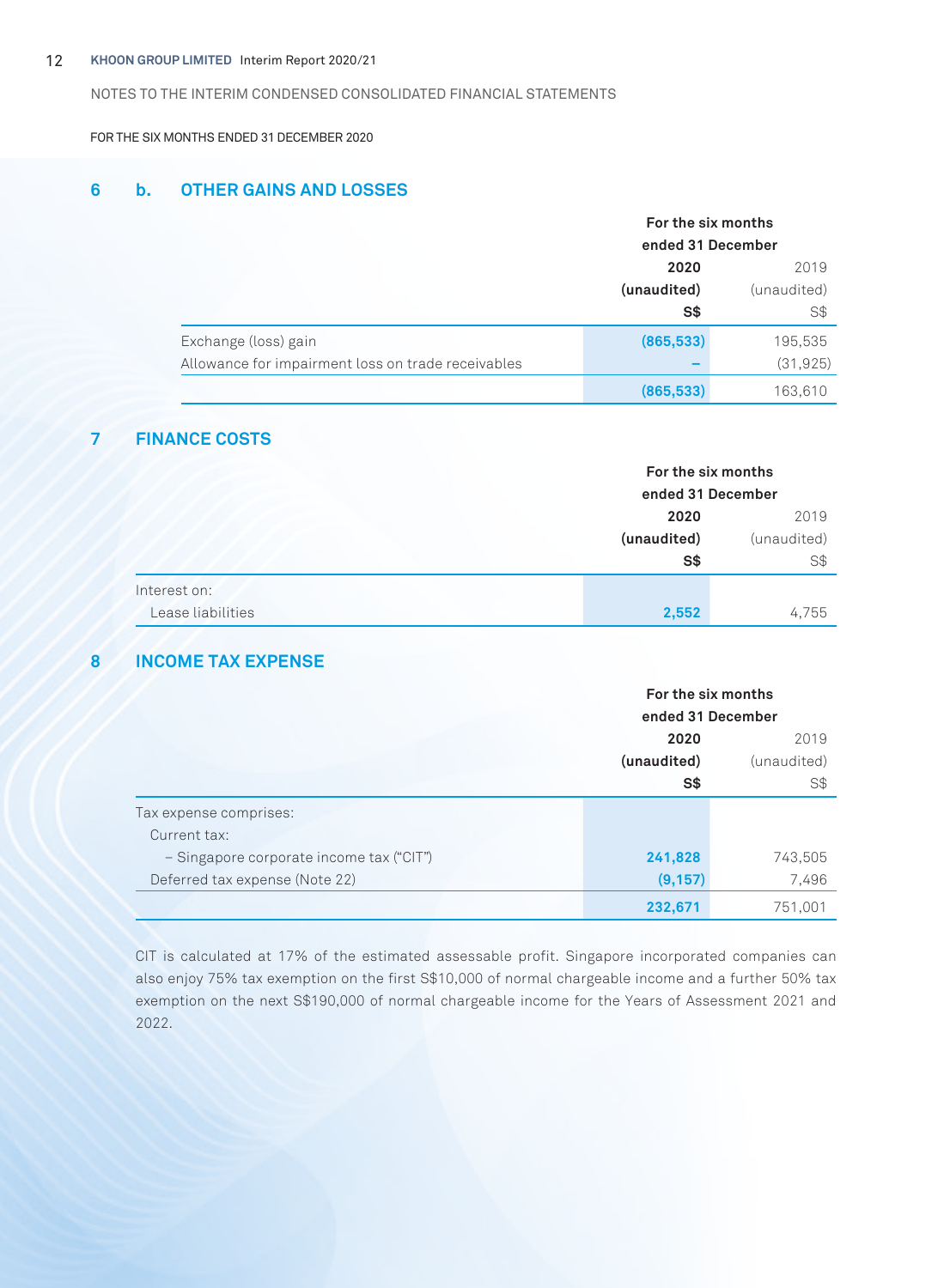#### 12 **KHOON GROUP LIMITED** Interim Report 2020/21

NOTES TO THE INTERIM CONDENSED CONSOLIDATED FINANCIAL STATEMENTS

FOR THE SIX MONTHS ENDED 31 DECEMBER 2020

# **6 b. OTHER GAINS AND LOSSES**

|                                                    | For the six months |                   |  |
|----------------------------------------------------|--------------------|-------------------|--|
|                                                    |                    | ended 31 December |  |
|                                                    | 2020               | 2019              |  |
|                                                    | (unaudited)        | (unaudited)       |  |
|                                                    | S\$                | S\$               |  |
| Exchange (loss) gain                               | (865, 533)         | 195,535           |  |
| Allowance for impairment loss on trade receivables |                    | (31, 925)         |  |
|                                                    | (865, 533)         | 163,610           |  |

# **7 FINANCE COSTS**

|                   | For the six months<br>ended 31 December |             |
|-------------------|-----------------------------------------|-------------|
|                   |                                         |             |
|                   | 2020                                    | 2019        |
|                   | (unaudited)                             | (unaudited) |
|                   | S\$                                     | S\$         |
| Interest on:      |                                         |             |
| Lease liabilities | 2,552                                   | 4,755       |

# **8 INCOME TAX EXPENSE**

|                                          | For the six months |             |
|------------------------------------------|--------------------|-------------|
|                                          | ended 31 December  |             |
|                                          | 2020<br>2019       |             |
|                                          | (unaudited)        | (unaudited) |
|                                          | S\$                | S\$         |
| Tax expense comprises:                   |                    |             |
| Current tax:                             |                    |             |
| - Singapore corporate income tax ("CIT") | 241,828            | 743,505     |
| Deferred tax expense (Note 22)           | (9, 157)           | 7,496       |
|                                          | 232,671            | 751,001     |

CIT is calculated at 17% of the estimated assessable profit. Singapore incorporated companies can also enjoy 75% tax exemption on the first S\$10,000 of normal chargeable income and a further 50% tax exemption on the next S\$190,000 of normal chargeable income for the Years of Assessment 2021 and 2022.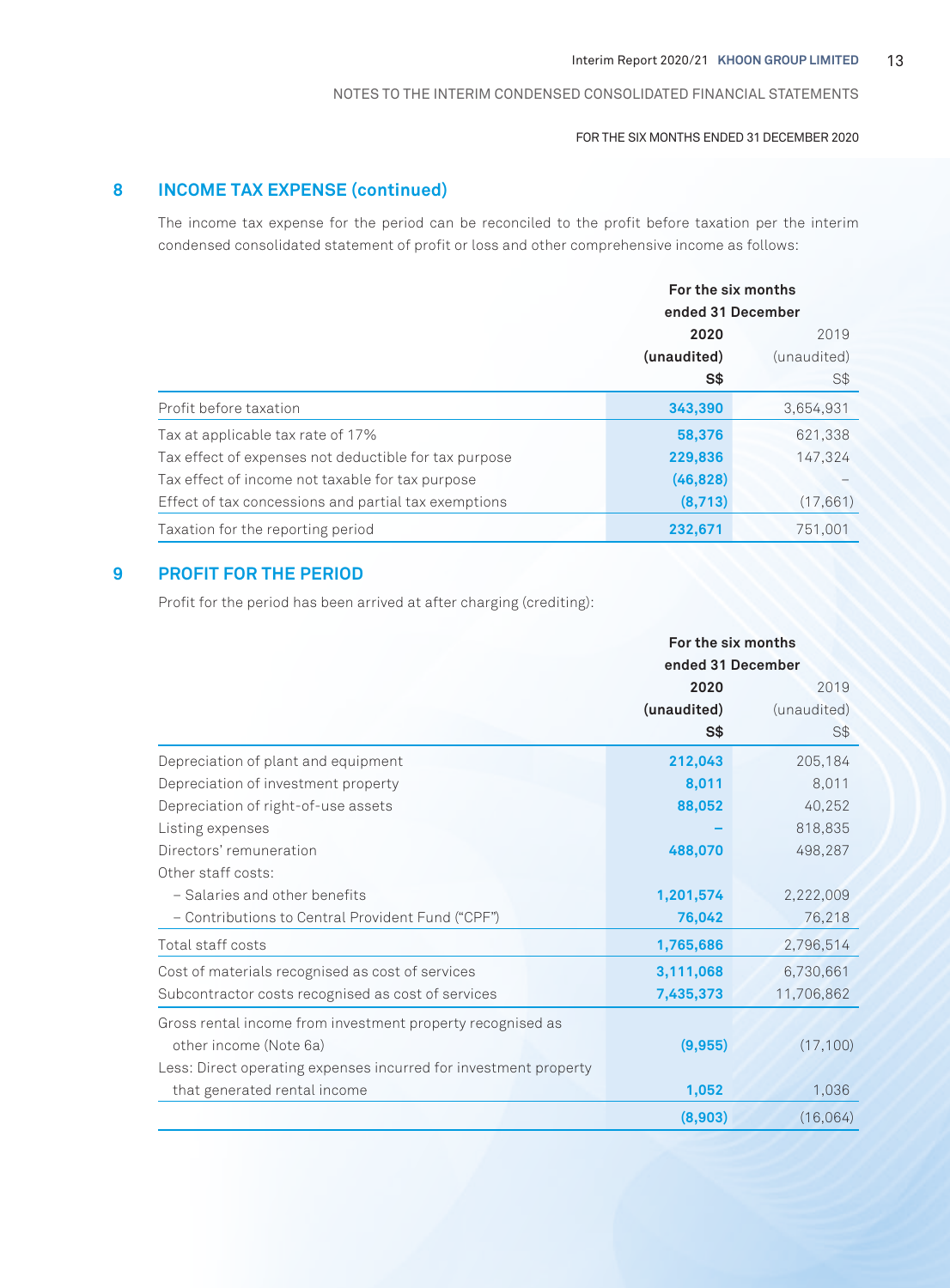#### FOR THE SIX MONTHS ENDED 31 DECEMBER 2020

# **8 INCOME TAX EXPENSE (continued)**

The income tax expense for the period can be reconciled to the profit before taxation per the interim condensed consolidated statement of profit or loss and other comprehensive income as follows:

|                                                       |                    | For the six months<br>ended 31 December |  |
|-------------------------------------------------------|--------------------|-----------------------------------------|--|
|                                                       | 2020               | 2019                                    |  |
|                                                       | (unaudited)<br>S\$ | (unaudited)<br>S\$                      |  |
| Profit before taxation                                | 343,390            | 3,654,931                               |  |
| Tax at applicable tax rate of 17%                     | 58,376             | 621,338                                 |  |
| Tax effect of expenses not deductible for tax purpose | 229,836            | 147.324                                 |  |
| Tax effect of income not taxable for tax purpose      | (46, 828)          |                                         |  |
| Effect of tax concessions and partial tax exemptions  | (8,713)            | (17,661)                                |  |
| Taxation for the reporting period                     | 232,671            | 751,001                                 |  |

# **9 PROFIT FOR THE PERIOD**

Profit for the period has been arrived at after charging (crediting):

|                                                                  | For the six months |             |  |
|------------------------------------------------------------------|--------------------|-------------|--|
|                                                                  | ended 31 December  |             |  |
|                                                                  | 2020               | 2019        |  |
|                                                                  | (unaudited)        | (unaudited) |  |
|                                                                  | S\$                | S\$         |  |
| Depreciation of plant and equipment                              | 212,043            | 205,184     |  |
| Depreciation of investment property                              | 8,011              | 8,011       |  |
| Depreciation of right-of-use assets                              | 88,052             | 40,252      |  |
| Listing expenses                                                 |                    | 818,835     |  |
| Directors' remuneration                                          | 488,070            | 498,287     |  |
| Other staff costs:                                               |                    |             |  |
| - Salaries and other benefits                                    | 1,201,574          | 2,222,009   |  |
| - Contributions to Central Provident Fund ("CPF")                | 76,042             | 76,218      |  |
| Total staff costs                                                | 1,765,686          | 2,796,514   |  |
| Cost of materials recognised as cost of services                 | 3,111,068          | 6,730,661   |  |
| Subcontractor costs recognised as cost of services               | 7,435,373          | 11,706,862  |  |
| Gross rental income from investment property recognised as       |                    |             |  |
| other income (Note 6a)                                           | (9,955)            | (17, 100)   |  |
| Less: Direct operating expenses incurred for investment property |                    |             |  |
| that generated rental income                                     | 1,052              | 1,036       |  |
|                                                                  | (8,903)            | (16,064)    |  |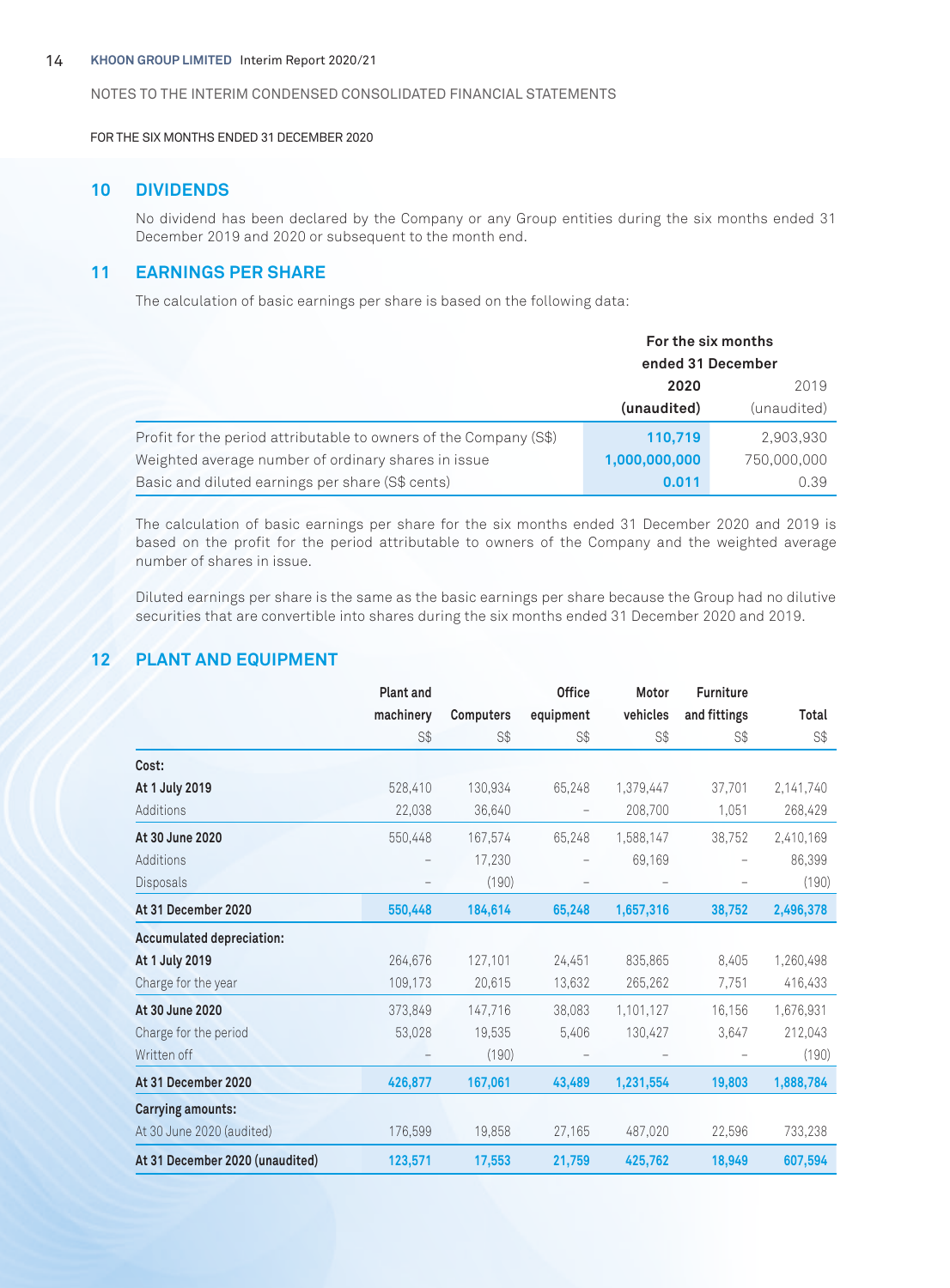FOR THE SIX MONTHS ENDED 31 DECEMBER 2020

# **10 DIVIDENDS**

No dividend has been declared by the Company or any Group entities during the six months ended 31 December 2019 and 2020 or subsequent to the month end.

# **11 EARNINGS PER SHARE**

The calculation of basic earnings per share is based on the following data:

|                                                                   | For the six months<br>ended 31 December |             |
|-------------------------------------------------------------------|-----------------------------------------|-------------|
|                                                                   | 2020                                    | 2019        |
|                                                                   | (unaudited)                             | (unaudited) |
| Profit for the period attributable to owners of the Company (S\$) | 110,719                                 | 2,903,930   |
| Weighted average number of ordinary shares in issue               | 1,000,000,000                           | 750,000,000 |
| Basic and diluted earnings per share (S\$ cents)                  | 0.011                                   | 0.39        |

The calculation of basic earnings per share for the six months ended 31 December 2020 and 2019 is based on the profit for the period attributable to owners of the Company and the weighted average number of shares in issue.

Diluted earnings per share is the same as the basic earnings per share because the Group had no dilutive securities that are convertible into shares during the six months ended 31 December 2020 and 2019.

# **12 PLANT AND EQUIPMENT**

|                                 | <b>Plant and</b> |           | <b>Office</b> | Motor     | <b>Furniture</b> |           |
|---------------------------------|------------------|-----------|---------------|-----------|------------------|-----------|
|                                 | machinery        | Computers | equipment     | vehicles  | and fittings     | Total     |
|                                 | S\$              | S\$       | S\$           | S\$       | S\$              | S\$       |
| Cost:                           |                  |           |               |           |                  |           |
| At 1 July 2019                  | 528,410          | 130,934   | 65,248        | 1,379,447 | 37,701           | 2,141,740 |
| Additions                       | 22,038           | 36,640    |               | 208,700   | 1,051            | 268,429   |
| At 30 June 2020                 | 550,448          | 167,574   | 65,248        | 1,588,147 | 38,752           | 2,410,169 |
| Additions                       |                  | 17,230    |               | 69,169    |                  | 86,399    |
| Disposals                       |                  | (190)     |               |           |                  | (190)     |
| At 31 December 2020             | 550,448          | 184,614   | 65,248        | 1,657,316 | 38,752           | 2,496,378 |
| Accumulated depreciation:       |                  |           |               |           |                  |           |
| At 1 July 2019                  | 264.676          | 127.101   | 24,451        | 835,865   | 8.405            | 1,260,498 |
| Charge for the year             | 109,173          | 20,615    | 13,632        | 265,262   | 7,751            | 416,433   |
| At 30 June 2020                 | 373.849          | 147.716   | 38.083        | 1,101,127 | 16,156           | 1.676.931 |
| Charge for the period           | 53,028           | 19,535    | 5,406         | 130,427   | 3,647            | 212,043   |
| Written off                     |                  | (190)     |               |           |                  | (190)     |
| At 31 December 2020             | 426,877          | 167,061   | 43,489        | 1,231,554 | 19,803           | 1,888,784 |
| <b>Carrying amounts:</b>        |                  |           |               |           |                  |           |
| At 30 June 2020 (audited)       | 176,599          | 19,858    | 27,165        | 487,020   | 22,596           | 733,238   |
| At 31 December 2020 (unaudited) | 123,571          | 17,553    | 21,759        | 425,762   | 18,949           | 607,594   |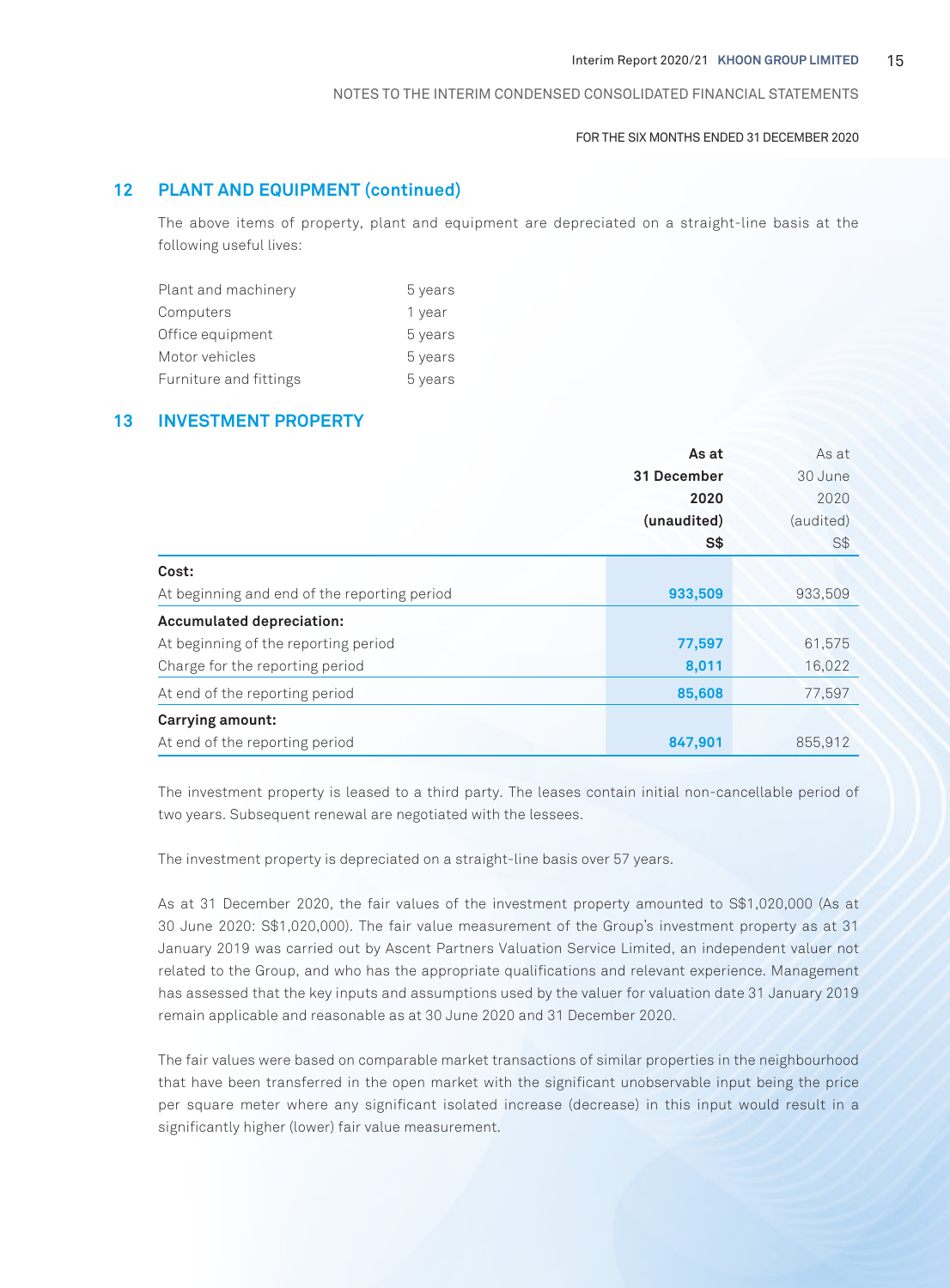#### FOR THE SIX MONTHS ENDED 31 DECEMBER 2020

# **12 PLANT AND EQUIPMENT (continued)**

The above items of property, plant and equipment are depreciated on a straight-line basis at the following useful lives:

| Plant and machinery    | 5 years |
|------------------------|---------|
| Computers              | 1 year  |
| Office equipment       | 5 years |
| Motor vehicles         | 5 years |
| Furniture and fittings | 5 years |

# **13 INVESTMENT PROPERTY**

|                                              | As at       | As at     |
|----------------------------------------------|-------------|-----------|
|                                              | 31 December | 30 June   |
|                                              | 2020        | 2020      |
|                                              | (unaudited) | (audited) |
|                                              | S\$         | S\$       |
| Cost:                                        |             |           |
| At beginning and end of the reporting period | 933,509     | 933,509   |
| <b>Accumulated depreciation:</b>             |             |           |
| At beginning of the reporting period         | 77,597      | 61,575    |
| Charge for the reporting period              | 8,011       | 16,022    |
| At end of the reporting period               | 85,608      | 77,597    |
| Carrying amount:                             |             |           |
| At end of the reporting period               | 847,901     | 855,912   |

The investment property is leased to a third party. The leases contain initial non-cancellable period of two years. Subsequent renewal are negotiated with the lessees.

The investment property is depreciated on a straight-line basis over 57 years.

As at 31 December 2020, the fair values of the investment property amounted to S\$1,020,000 (As at 30 June 2020: S\$1,020,000). The fair value measurement of the Group's investment property as at 31 January 2019 was carried out by Ascent Partners Valuation Service Limited, an independent valuer not related to the Group, and who has the appropriate qualifications and relevant experience. Management has assessed that the key inputs and assumptions used by the valuer for valuation date 31 January 2019 remain applicable and reasonable as at 30 June 2020 and 31 December 2020.

The fair values were based on comparable market transactions of similar properties in the neighbourhood that have been transferred in the open market with the significant unobservable input being the price per square meter where any significant isolated increase (decrease) in this input would result in a significantly higher (lower) fair value measurement.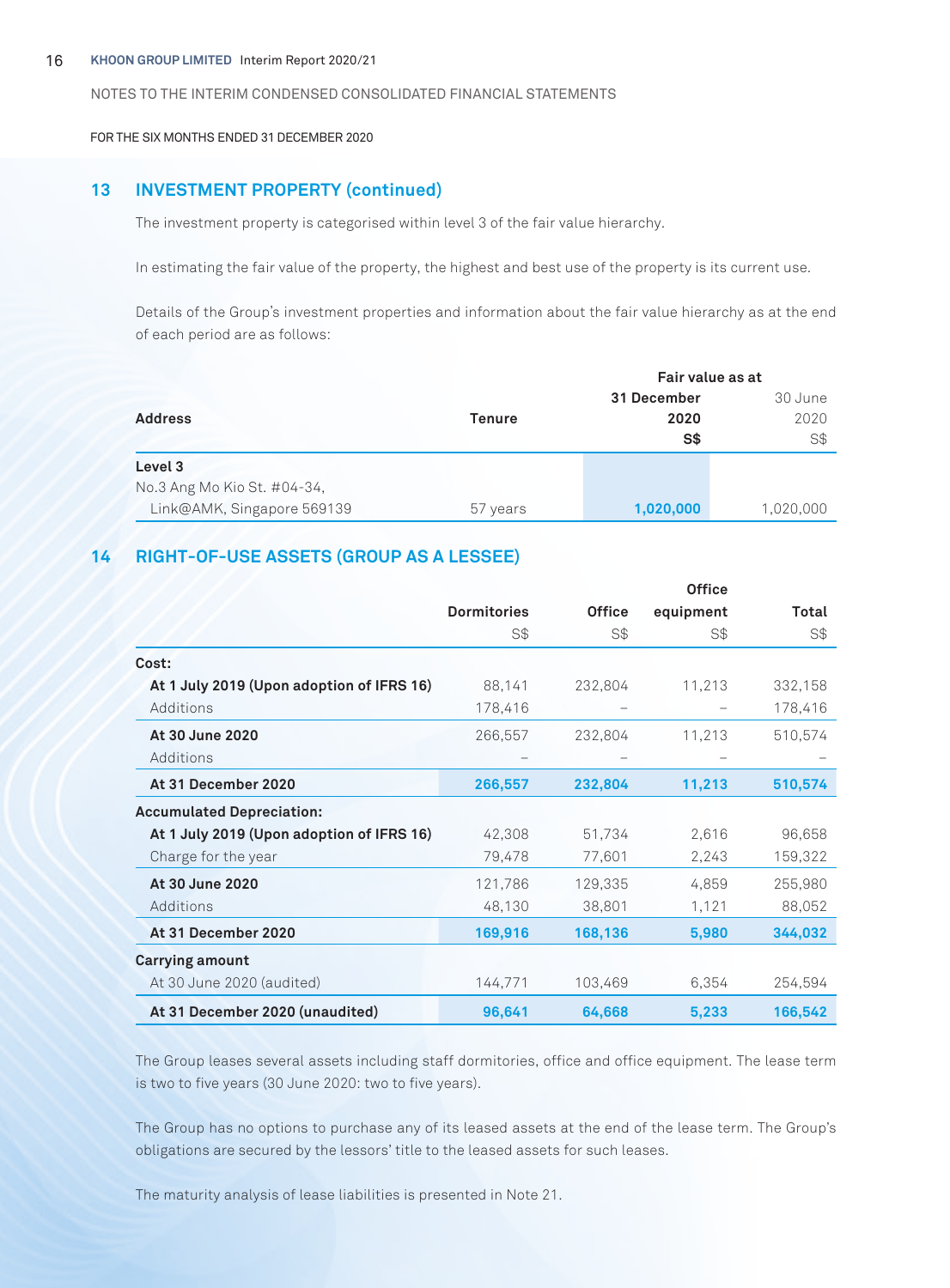FOR THE SIX MONTHS ENDED 31 DECEMBER 2020

# **13 INVESTMENT PROPERTY (continued)**

The investment property is categorised within level 3 of the fair value hierarchy.

In estimating the fair value of the property, the highest and best use of the property is its current use.

Details of the Group's investment properties and information about the fair value hierarchy as at the end of each period are as follows:

|                             | Fair value as at |                |           |
|-----------------------------|------------------|----------------|-----------|
|                             |                  | 31 December    | 30 June   |
| <b>Address</b>              | <b>Tenure</b>    | 2020           | 2020      |
|                             |                  | S <sub>3</sub> | S\$       |
| Level 3                     |                  |                |           |
| No.3 Ang Mo Kio St. #04-34, |                  |                |           |
| Link@AMK, Singapore 569139  | 57 years         | 1,020,000      | 1,020,000 |

# **14 RIGHT-OF-USE ASSETS (GROUP AS A LESSEE)**

|                                           |                    |               | <b>Office</b> |         |
|-------------------------------------------|--------------------|---------------|---------------|---------|
|                                           | <b>Dormitories</b> | <b>Office</b> | equipment     | Total   |
|                                           | S\$                | S\$           | S\$           | S\$     |
| Cost:                                     |                    |               |               |         |
| At 1 July 2019 (Upon adoption of IFRS 16) | 88,141             | 232,804       | 11,213        | 332,158 |
| Additions                                 | 178,416            |               |               | 178,416 |
| At 30 June 2020                           | 266,557            | 232,804       | 11,213        | 510,574 |
| Additions                                 |                    |               |               |         |
| At 31 December 2020                       | 266,557            | 232,804       | 11,213        | 510,574 |
| <b>Accumulated Depreciation:</b>          |                    |               |               |         |
| At 1 July 2019 (Upon adoption of IFRS 16) | 42,308             | 51,734        | 2,616         | 96,658  |
| Charge for the year                       | 79,478             | 77,601        | 2,243         | 159,322 |
| At 30 June 2020                           | 121,786            | 129,335       | 4,859         | 255,980 |
| Additions                                 | 48,130             | 38,801        | 1,121         | 88,052  |
| At 31 December 2020                       | 169,916            | 168,136       | 5,980         | 344,032 |
| <b>Carrying amount</b>                    |                    |               |               |         |
| At 30 June 2020 (audited)                 | 144,771            | 103,469       | 6,354         | 254,594 |
| At 31 December 2020 (unaudited)           | 96,641             | 64,668        | 5,233         | 166,542 |

The Group leases several assets including staff dormitories, office and office equipment. The lease term is two to five years (30 June 2020: two to five years).

The Group has no options to purchase any of its leased assets at the end of the lease term. The Group's obligations are secured by the lessors' title to the leased assets for such leases.

The maturity analysis of lease liabilities is presented in Note 21.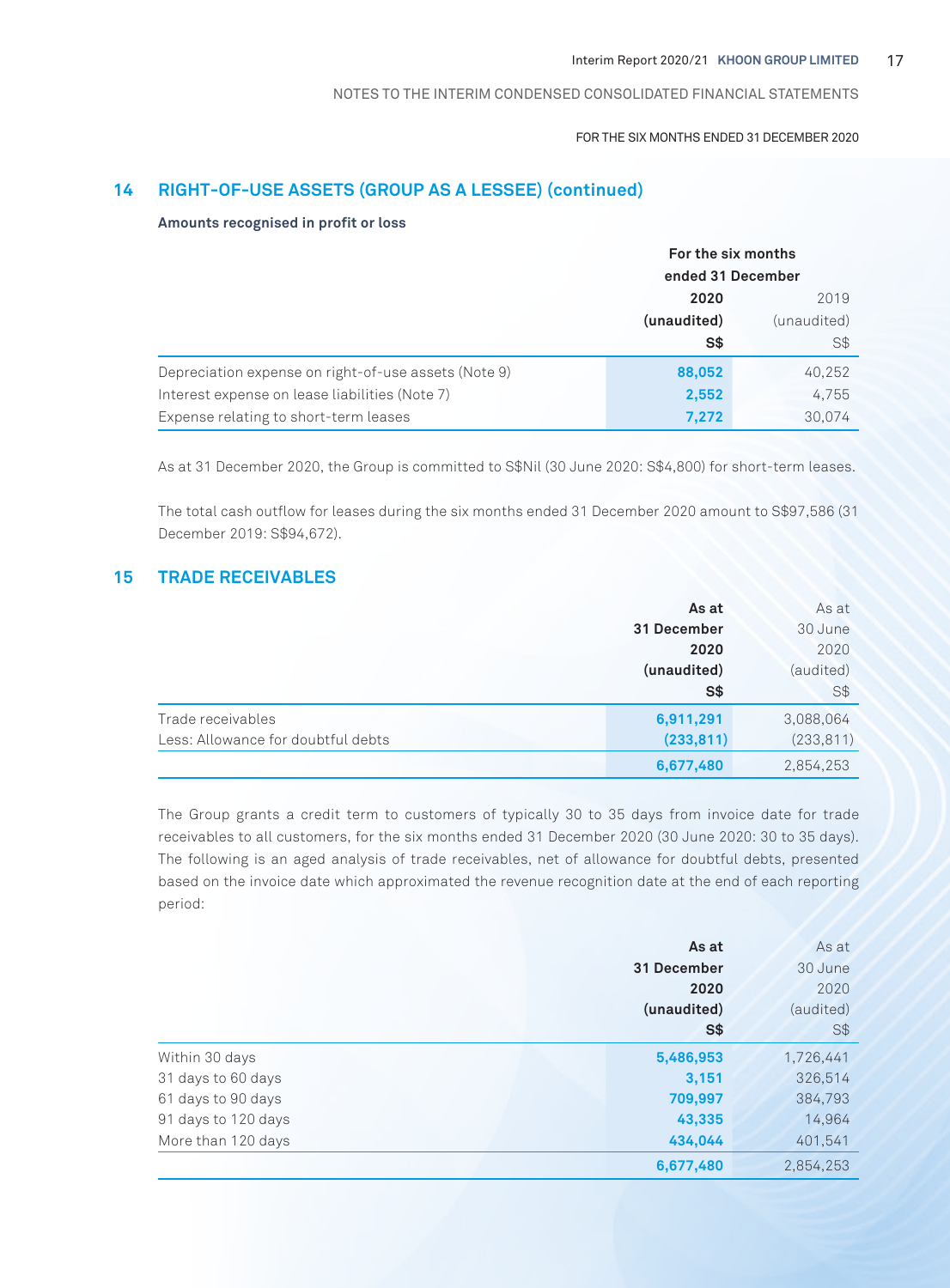#### FOR THE SIX MONTHS ENDED 31 DECEMBER 2020

# **14 RIGHT-OF-USE ASSETS (GROUP AS A LESSEE) (continued)**

#### **Amounts recognised in profit or loss**

|                                                      | For the six months<br>ended 31 December |             |
|------------------------------------------------------|-----------------------------------------|-------------|
|                                                      |                                         |             |
|                                                      | 2020                                    |             |
|                                                      | (unaudited)                             | (unaudited) |
|                                                      | S\$                                     | S\$         |
| Depreciation expense on right-of-use assets (Note 9) | 88,052                                  | 40,252      |
| Interest expense on lease liabilities (Note 7)       | 2,552                                   | 4,755       |
| Expense relating to short-term leases                | 7,272                                   | 30,074      |

As at 31 December 2020, the Group is committed to S\$Nil (30 June 2020: S\$4,800) for short-term leases.

The total cash outflow for leases during the six months ended 31 December 2020 amount to S\$97,586 (31 December 2019: S\$94,672).

# **15 TRADE RECEIVABLES**

|                                    | As at       | As at      |
|------------------------------------|-------------|------------|
|                                    | 31 December | 30 June    |
|                                    | 2020        | 2020       |
|                                    | (unaudited) | (audited)  |
|                                    | S\$         | $S$ \$     |
| Trade receivables                  | 6,911,291   | 3,088,064  |
| Less: Allowance for doubtful debts | (233, 811)  | (233, 811) |
|                                    | 6,677,480   | 2,854,253  |

The Group grants a credit term to customers of typically 30 to 35 days from invoice date for trade receivables to all customers, for the six months ended 31 December 2020 (30 June 2020: 30 to 35 days). The following is an aged analysis of trade receivables, net of allowance for doubtful debts, presented based on the invoice date which approximated the revenue recognition date at the end of each reporting period:

|                     | As at       | As at          |
|---------------------|-------------|----------------|
|                     | 31 December | 30 June        |
|                     | 2020        | 2020           |
|                     | (unaudited) | (audited)      |
|                     | <b>S\$</b>  | S <sub>3</sub> |
| Within 30 days      | 5,486,953   | 1,726,441      |
| 31 days to 60 days  | 3,151       | 326,514        |
| 61 days to 90 days  | 709,997     | 384,793        |
| 91 days to 120 days | 43,335      | 14,964         |
| More than 120 days  | 434,044     | 401.541        |
|                     | 6,677,480   | 2.854.253      |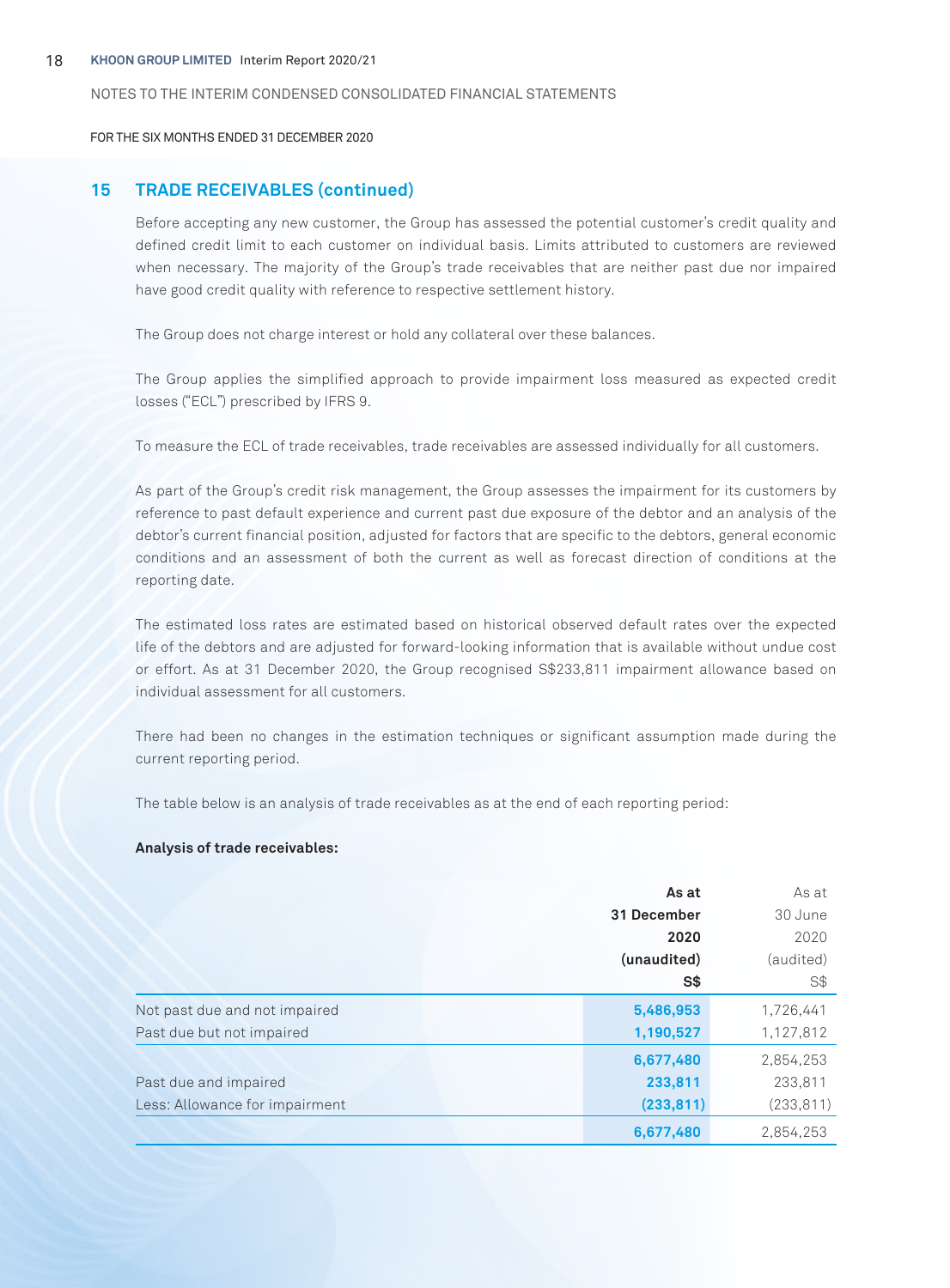#### 18 **KHOON GROUP LIMITED** Interim Report 2020/21

#### NOTES TO THE INTERIM CONDENSED CONSOLIDATED FINANCIAL STATEMENTS

FOR THE SIX MONTHS ENDED 31 DECEMBER 2020

# **15 TRADE RECEIVABLES (continued)**

Before accepting any new customer, the Group has assessed the potential customer's credit quality and defined credit limit to each customer on individual basis. Limits attributed to customers are reviewed when necessary. The majority of the Group's trade receivables that are neither past due nor impaired have good credit quality with reference to respective settlement history.

The Group does not charge interest or hold any collateral over these balances.

The Group applies the simplified approach to provide impairment loss measured as expected credit losses ("ECL") prescribed by IFRS 9.

To measure the ECL of trade receivables, trade receivables are assessed individually for all customers.

As part of the Group's credit risk management, the Group assesses the impairment for its customers by reference to past default experience and current past due exposure of the debtor and an analysis of the debtor's current financial position, adjusted for factors that are specific to the debtors, general economic conditions and an assessment of both the current as well as forecast direction of conditions at the reporting date.

The estimated loss rates are estimated based on historical observed default rates over the expected life of the debtors and are adjusted for forward-looking information that is available without undue cost or effort. As at 31 December 2020, the Group recognised S\$233,811 impairment allowance based on individual assessment for all customers.

There had been no changes in the estimation techniques or significant assumption made during the current reporting period.

The table below is an analysis of trade receivables as at the end of each reporting period:

#### **Analysis of trade receivables:**

|                                | As at       | As at      |
|--------------------------------|-------------|------------|
|                                | 31 December | 30 June    |
|                                | 2020        | 2020       |
|                                | (unaudited) | (audited)  |
|                                | S\$         | S\$        |
| Not past due and not impaired  | 5,486,953   | 1,726,441  |
| Past due but not impaired      | 1,190,527   | 1,127,812  |
|                                | 6,677,480   | 2,854,253  |
| Past due and impaired          | 233,811     | 233,811    |
| Less: Allowance for impairment | (233, 811)  | (233, 811) |
|                                | 6,677,480   | 2,854,253  |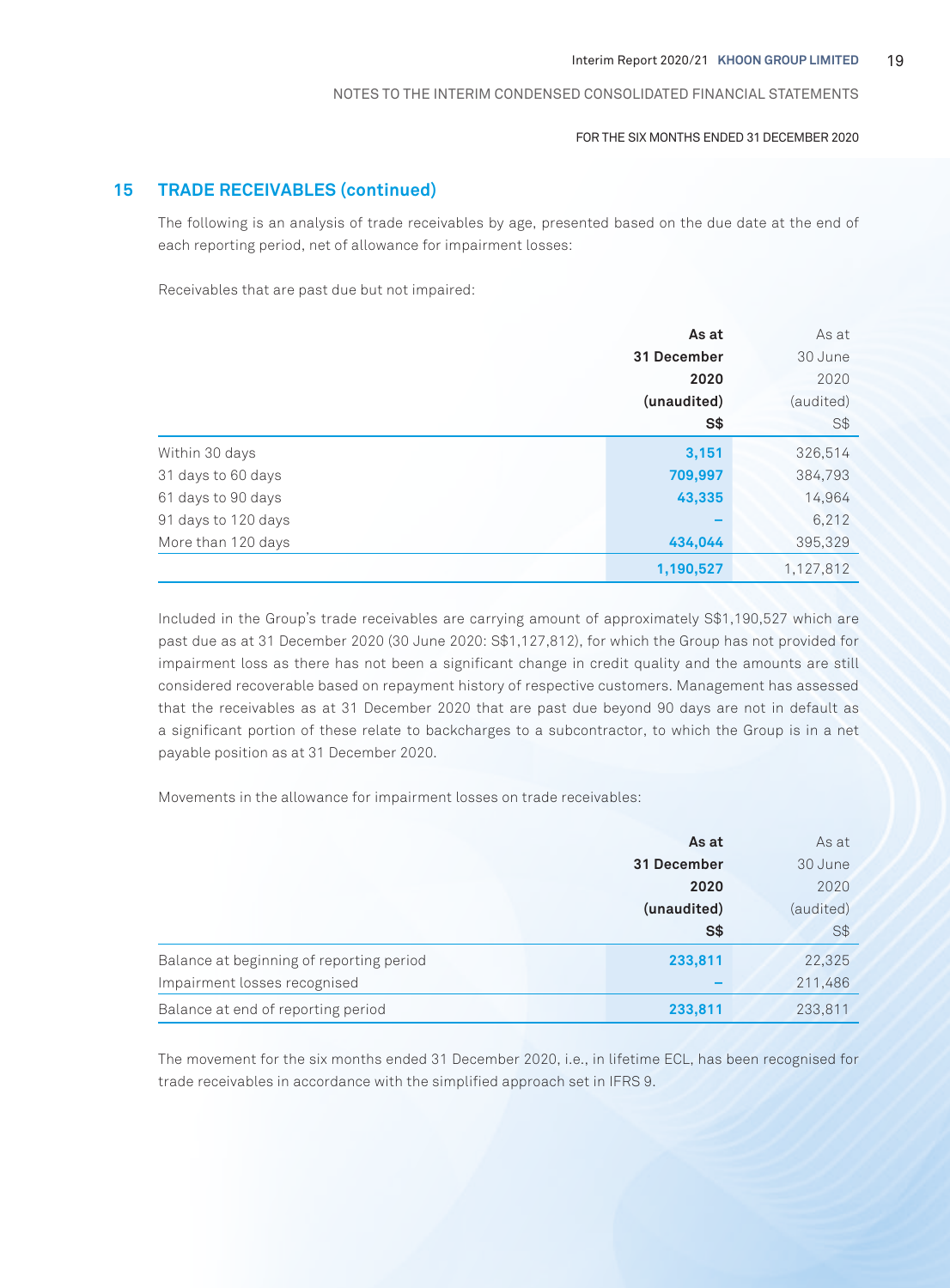#### FOR THE SIX MONTHS ENDED 31 DECEMBER 2020

# **15 TRADE RECEIVABLES (continued)**

The following is an analysis of trade receivables by age, presented based on the due date at the end of each reporting period, net of allowance for impairment losses:

Receivables that are past due but not impaired:

|                     | As at       | As at     |
|---------------------|-------------|-----------|
|                     | 31 December | 30 June   |
|                     | 2020        | 2020      |
|                     | (unaudited) | (audited) |
|                     | <b>S\$</b>  | S\$       |
| Within 30 days      | 3,151       | 326,514   |
| 31 days to 60 days  | 709,997     | 384,793   |
| 61 days to 90 days  | 43,335      | 14,964    |
| 91 days to 120 days | -           | 6,212     |
| More than 120 days  | 434,044     | 395,329   |
|                     | 1,190,527   | 1,127,812 |

Included in the Group's trade receivables are carrying amount of approximately S\$1,190,527 which are past due as at 31 December 2020 (30 June 2020: S\$1,127,812), for which the Group has not provided for impairment loss as there has not been a significant change in credit quality and the amounts are still considered recoverable based on repayment history of respective customers. Management has assessed that the receivables as at 31 December 2020 that are past due beyond 90 days are not in default as a significant portion of these relate to backcharges to a subcontractor, to which the Group is in a net payable position as at 31 December 2020.

Movements in the allowance for impairment losses on trade receivables:

|                                          | As at       | As at     |
|------------------------------------------|-------------|-----------|
|                                          | 31 December | 30 June   |
|                                          | 2020        | 2020      |
|                                          | (unaudited) | (audited) |
|                                          | S\$         | S\$       |
| Balance at beginning of reporting period | 233,811     | 22,325    |
| Impairment losses recognised             |             | 211,486   |
| Balance at end of reporting period       | 233,811     | 233,811   |

The movement for the six months ended 31 December 2020, i.e., in lifetime ECL, has been recognised for trade receivables in accordance with the simplified approach set in IFRS 9.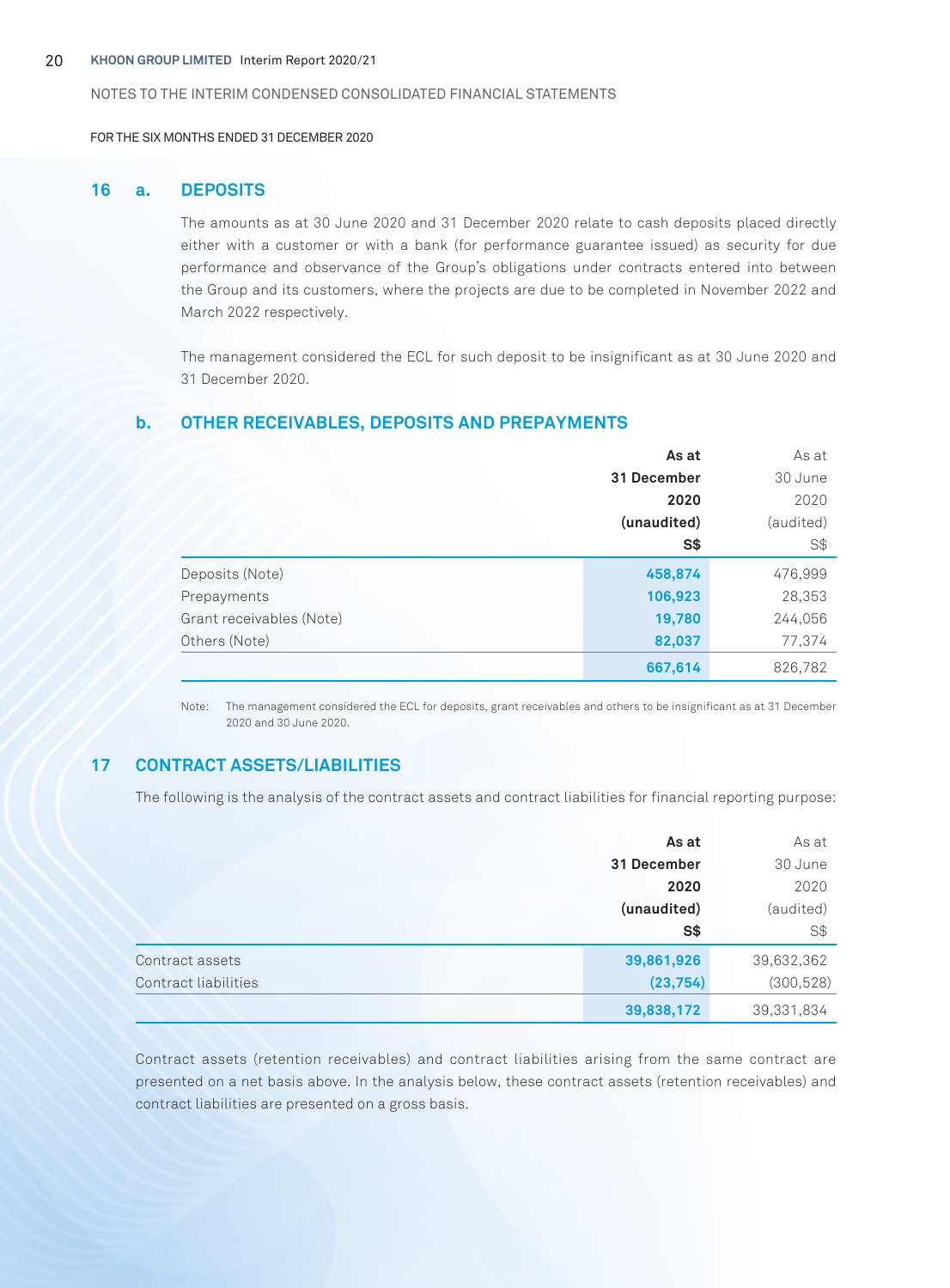FOR THE SIX MONTHS ENDED 31 DECEMBER 2020

#### **16 a. DEPOSITS**

The amounts as at 30 June 2020 and 31 December 2020 relate to cash deposits placed directly either with a customer or with a bank (for performance guarantee issued) as security for due performance and observance of the Group's obligations under contracts entered into between the Group and its customers, where the projects are due to be completed in November 2022 and March 2022 respectively.

The management considered the ECL for such deposit to be insignificant as at 30 June 2020 and 31 December 2020.

#### **b. OTHER RECEIVABLES, DEPOSITS AND PREPAYMENTS**

|                          | As at       | As at          |
|--------------------------|-------------|----------------|
|                          | 31 December | 30 June        |
|                          | 2020        | 2020           |
|                          | (unaudited) | (audited)      |
|                          | $S*$        | S <sup>†</sup> |
| Deposits (Note)          | 458,874     | 476,999        |
| Prepayments              | 106,923     | 28,353         |
| Grant receivables (Note) | 19,780      | 244,056        |
| Others (Note)            | 82,037      | 77,374         |
|                          | 667,614     | 826,782        |

Note: The management considered the ECL for deposits, grant receivables and others to be insignificant as at 31 December 2020 and 30 June 2020.

# **17 CONTRACT ASSETS/LIABILITIES**

The following is the analysis of the contract assets and contract liabilities for financial reporting purpose:

|                      | As at       | As at          |
|----------------------|-------------|----------------|
|                      | 31 December | 30 June        |
|                      | 2020        | 2020           |
|                      | (unaudited) | (audited)      |
|                      | S\$         | S <sup>†</sup> |
| Contract assets      | 39,861,926  | 39,632,362     |
| Contract liabilities | (23, 754)   | (300, 528)     |
|                      | 39,838,172  | 39,331,834     |

Contract assets (retention receivables) and contract liabilities arising from the same contract are presented on a net basis above. In the analysis below, these contract assets (retention receivables) and contract liabilities are presented on a gross basis.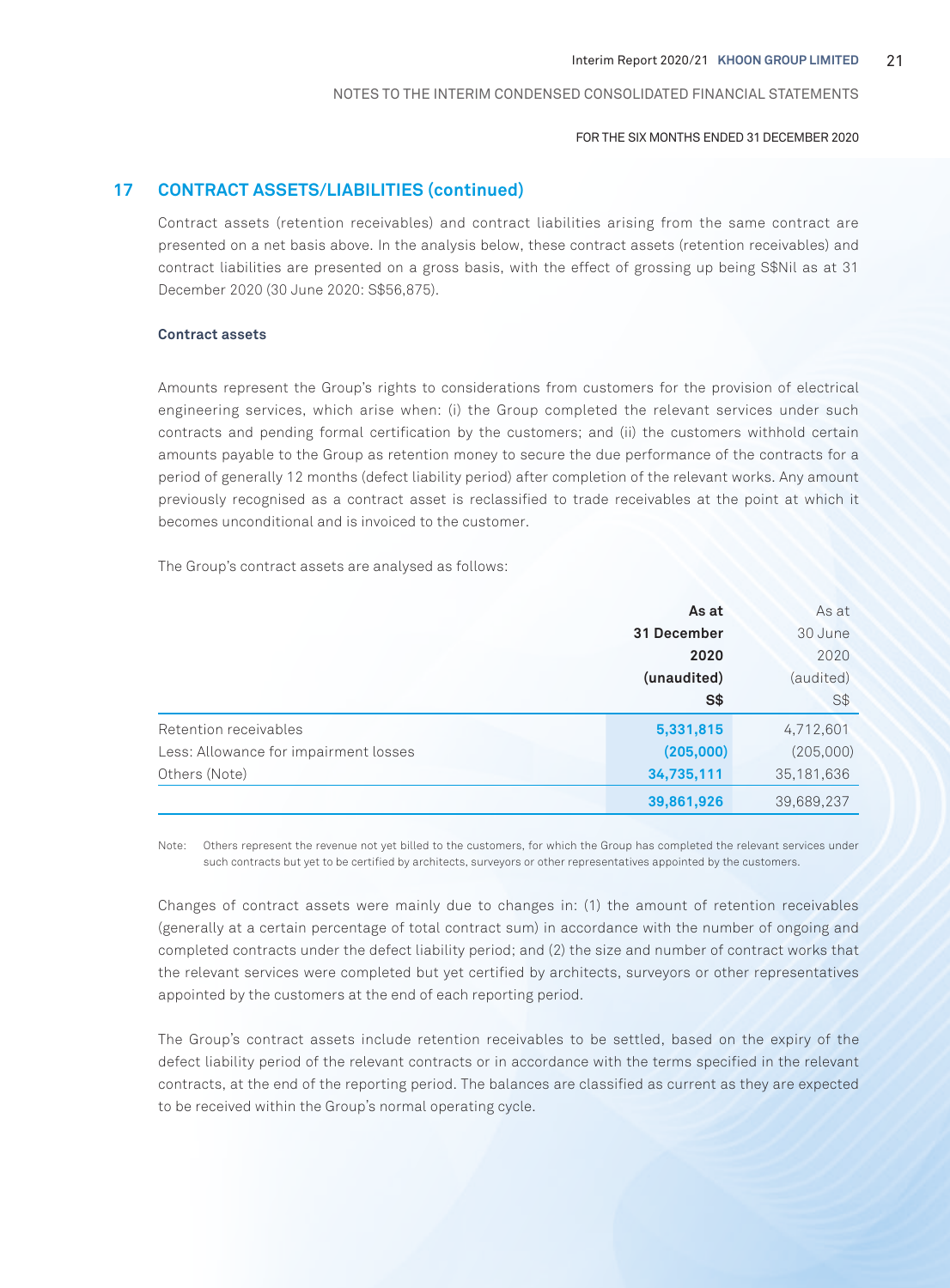#### FOR THE SIX MONTHS ENDED 31 DECEMBER 2020

# **17 CONTRACT ASSETS/LIABILITIES (continued)**

Contract assets (retention receivables) and contract liabilities arising from the same contract are presented on a net basis above. In the analysis below, these contract assets (retention receivables) and contract liabilities are presented on a gross basis, with the effect of grossing up being S\$Nil as at 31 December 2020 (30 June 2020: S\$56,875).

#### **Contract assets**

Amounts represent the Group's rights to considerations from customers for the provision of electrical engineering services, which arise when: (i) the Group completed the relevant services under such contracts and pending formal certification by the customers; and (ii) the customers withhold certain amounts payable to the Group as retention money to secure the due performance of the contracts for a period of generally 12 months (defect liability period) after completion of the relevant works. Any amount previously recognised as a contract asset is reclassified to trade receivables at the point at which it becomes unconditional and is invoiced to the customer.

The Group's contract assets are analysed as follows:

|                                       | As at       | As at      |
|---------------------------------------|-------------|------------|
|                                       | 31 December | 30 June    |
|                                       | 2020        | 2020       |
|                                       | (unaudited) | (audited)  |
|                                       | $S*$        | S\$        |
| Retention receivables                 | 5,331,815   | 4,712,601  |
| Less: Allowance for impairment losses | (205,000)   | (205,000)  |
| Others (Note)                         | 34,735,111  | 35,181,636 |
|                                       | 39,861,926  | 39,689,237 |

Note: Others represent the revenue not yet billed to the customers, for which the Group has completed the relevant services under such contracts but yet to be certified by architects, surveyors or other representatives appointed by the customers.

Changes of contract assets were mainly due to changes in: (1) the amount of retention receivables (generally at a certain percentage of total contract sum) in accordance with the number of ongoing and completed contracts under the defect liability period; and (2) the size and number of contract works that the relevant services were completed but yet certified by architects, surveyors or other representatives appointed by the customers at the end of each reporting period.

The Group's contract assets include retention receivables to be settled, based on the expiry of the defect liability period of the relevant contracts or in accordance with the terms specified in the relevant contracts, at the end of the reporting period. The balances are classified as current as they are expected to be received within the Group's normal operating cycle.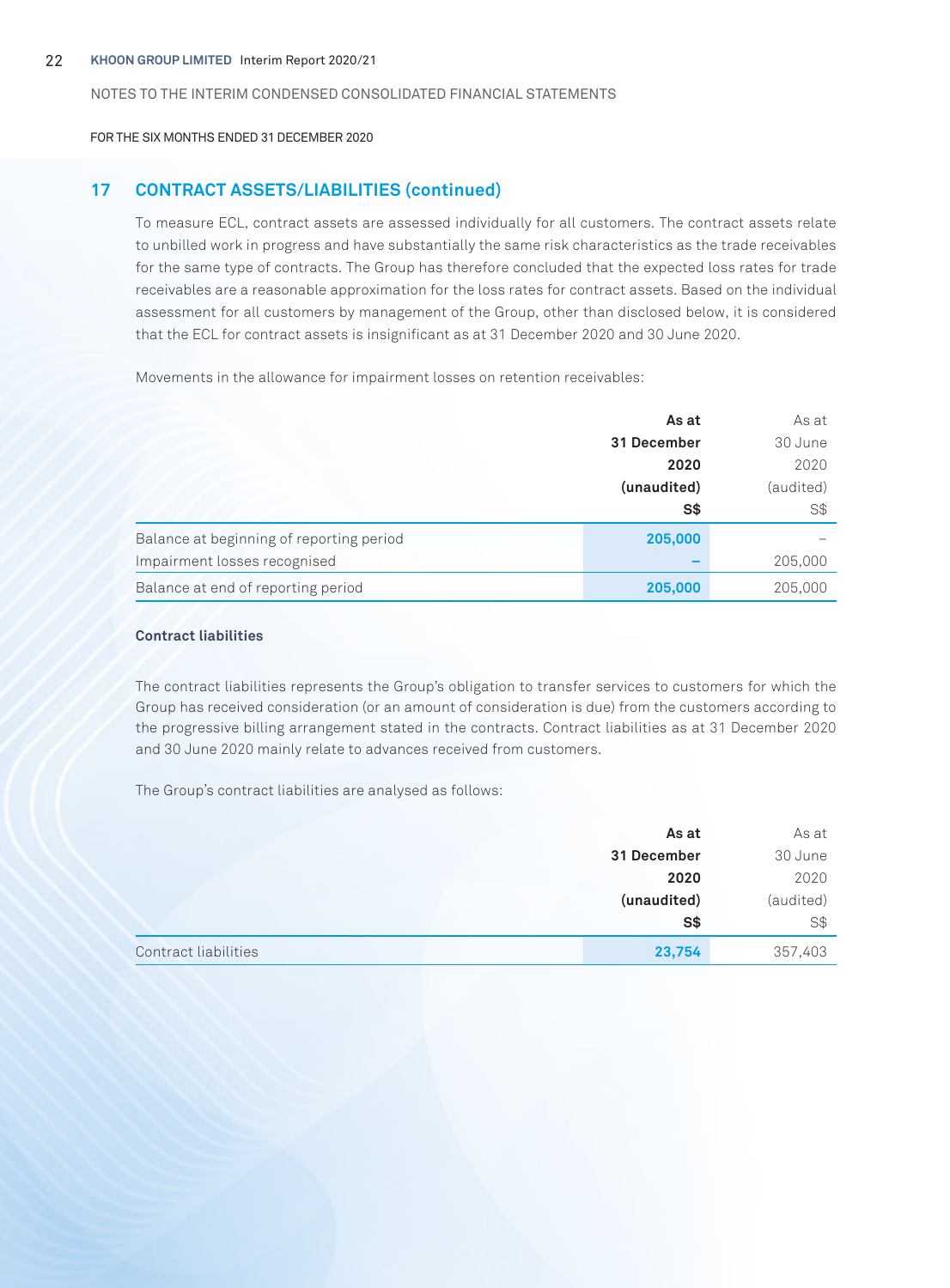FOR THE SIX MONTHS ENDED 31 DECEMBER 2020

# **17 CONTRACT ASSETS/LIABILITIES (continued)**

To measure ECL, contract assets are assessed individually for all customers. The contract assets relate to unbilled work in progress and have substantially the same risk characteristics as the trade receivables for the same type of contracts. The Group has therefore concluded that the expected loss rates for trade receivables are a reasonable approximation for the loss rates for contract assets. Based on the individual assessment for all customers by management of the Group, other than disclosed below, it is considered that the ECL for contract assets is insignificant as at 31 December 2020 and 30 June 2020.

Movements in the allowance for impairment losses on retention receivables:

|                                          | As at              | As at     |
|------------------------------------------|--------------------|-----------|
|                                          | 31 December        | 30 June   |
|                                          | 2020               | 2020      |
|                                          | (unaudited)<br>S\$ | (audited) |
|                                          |                    | S\$       |
| Balance at beginning of reporting period | 205,000            |           |
| Impairment losses recognised             |                    | 205,000   |
| Balance at end of reporting period       | 205,000            | 205,000   |

## **Contract liabilities**

The contract liabilities represents the Group's obligation to transfer services to customers for which the Group has received consideration (or an amount of consideration is due) from the customers according to the progressive billing arrangement stated in the contracts. Contract liabilities as at 31 December 2020 and 30 June 2020 mainly relate to advances received from customers.

The Group's contract liabilities are analysed as follows:

|                      | As at       | As at          |
|----------------------|-------------|----------------|
|                      | 31 December | 30 June        |
|                      | 2020        | 2020           |
|                      | (unaudited) | (audited)      |
|                      | $S*$        | S <sup>†</sup> |
| Contract liabilities | 23,754      | 357,403        |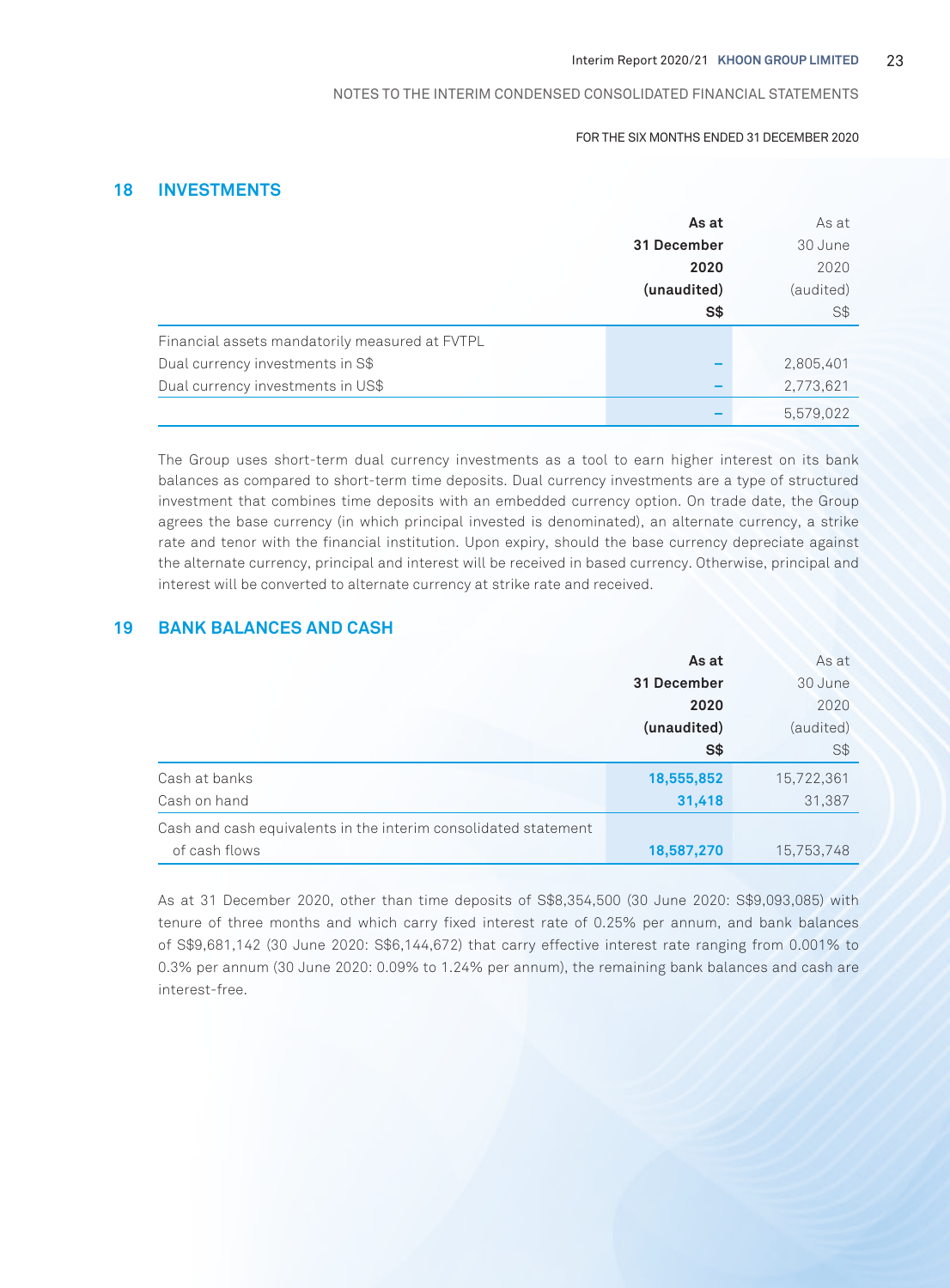#### FOR THE SIX MONTHS ENDED 31 DECEMBER 2020

# **18 INVESTMENTS**

|                                                | As at       | As at     |
|------------------------------------------------|-------------|-----------|
|                                                | 31 December | 30 June   |
|                                                | 2020        | 2020      |
|                                                | (unaudited) | (audited) |
|                                                | S\$         | S\$       |
| Financial assets mandatorily measured at FVTPL |             |           |
| Dual currency investments in S\$               |             | 2,805,401 |
| Dual currency investments in US\$              |             | 2,773,621 |
|                                                |             | 5,579,022 |

The Group uses short-term dual currency investments as a tool to earn higher interest on its bank balances as compared to short-term time deposits. Dual currency investments are a type of structured investment that combines time deposits with an embedded currency option. On trade date, the Group agrees the base currency (in which principal invested is denominated), an alternate currency, a strike rate and tenor with the financial institution. Upon expiry, should the base currency depreciate against the alternate currency, principal and interest will be received in based currency. Otherwise, principal and interest will be converted to alternate currency at strike rate and received.

# **19 BANK BALANCES AND CASH**

| As at                                                           |             | As at      |
|-----------------------------------------------------------------|-------------|------------|
|                                                                 | 31 December | 30 June    |
|                                                                 | 2020        | 2020       |
|                                                                 | (unaudited) | (audited)  |
|                                                                 | S\$         | S\$        |
| Cash at banks                                                   | 18,555,852  | 15,722,361 |
| Cash on hand                                                    | 31,418      | 31,387     |
| Cash and cash equivalents in the interim consolidated statement |             |            |
| of cash flows                                                   | 18,587,270  | 15,753,748 |

As at 31 December 2020, other than time deposits of S\$8,354,500 (30 June 2020: S\$9,093,085) with tenure of three months and which carry fixed interest rate of 0.25% per annum, and bank balances of S\$9,681,142 (30 June 2020: S\$6,144,672) that carry effective interest rate ranging from 0.001% to 0.3% per annum (30 June 2020: 0.09% to 1.24% per annum), the remaining bank balances and cash are interest-free.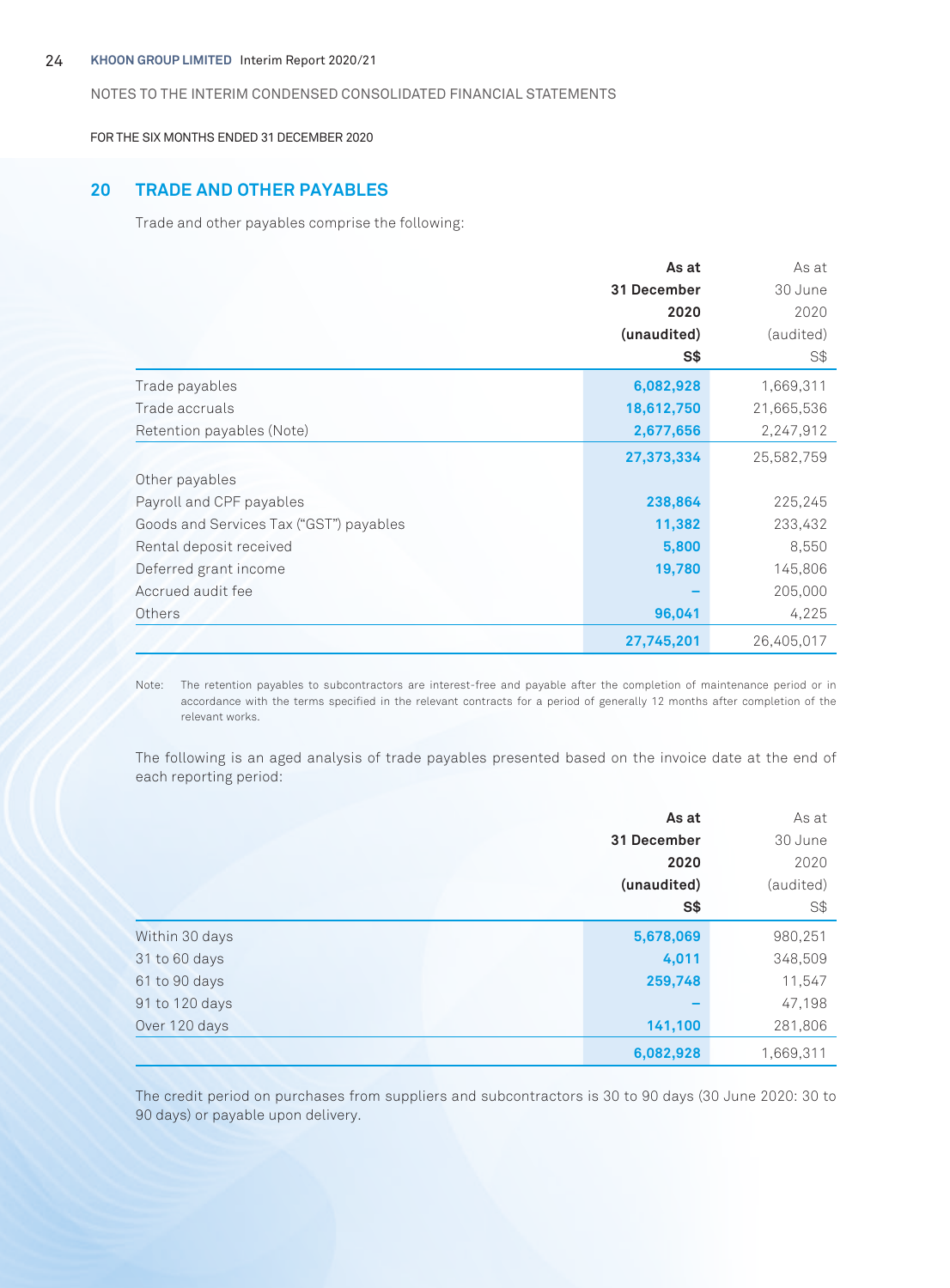#### 24 **KHOON GROUP LIMITED** Interim Report 2020/21

#### NOTES TO THE INTERIM CONDENSED CONSOLIDATED FINANCIAL STATEMENTS

FOR THE SIX MONTHS ENDED 31 DECEMBER 2020

# **20 TRADE AND OTHER PAYABLES**

Trade and other payables comprise the following:

|                                         | As at<br>31 December | As at      |
|-----------------------------------------|----------------------|------------|
|                                         |                      | 30 June    |
|                                         | 2020                 | 2020       |
|                                         | (unaudited)          | (audited)  |
|                                         | S\$                  | S\$        |
| Trade payables                          | 6,082,928            | 1,669,311  |
| Trade accruals                          | 18,612,750           | 21,665,536 |
| Retention payables (Note)               | 2,677,656            | 2,247,912  |
|                                         | 27,373,334           | 25,582,759 |
| Other payables                          |                      |            |
| Payroll and CPF payables                | 238,864              | 225,245    |
| Goods and Services Tax ("GST") payables | 11,382               | 233,432    |
| Rental deposit received                 | 5,800                | 8,550      |
| Deferred grant income                   | 19,780               | 145,806    |
| Accrued audit fee                       |                      | 205,000    |
| Others                                  | 96,041               | 4,225      |
|                                         | 27,745,201           | 26,405,017 |

Note: The retention payables to subcontractors are interest-free and payable after the completion of maintenance period or in accordance with the terms specified in the relevant contracts for a period of generally 12 months after completion of the relevant works.

The following is an aged analysis of trade payables presented based on the invoice date at the end of each reporting period:

|                | As at       | As at     |
|----------------|-------------|-----------|
|                | 31 December | 30 June   |
|                | 2020        | 2020      |
|                | (unaudited) | (audited) |
|                | S\$         | S\$       |
| Within 30 days | 5,678,069   | 980,251   |
| 31 to 60 days  | 4,011       | 348,509   |
| 61 to 90 days  | 259,748     | 11,547    |
| 91 to 120 days |             | 47,198    |
| Over 120 days  | 141,100     | 281,806   |
|                | 6,082,928   | 1,669,311 |

The credit period on purchases from suppliers and subcontractors is 30 to 90 days (30 June 2020: 30 to 90 days) or payable upon delivery.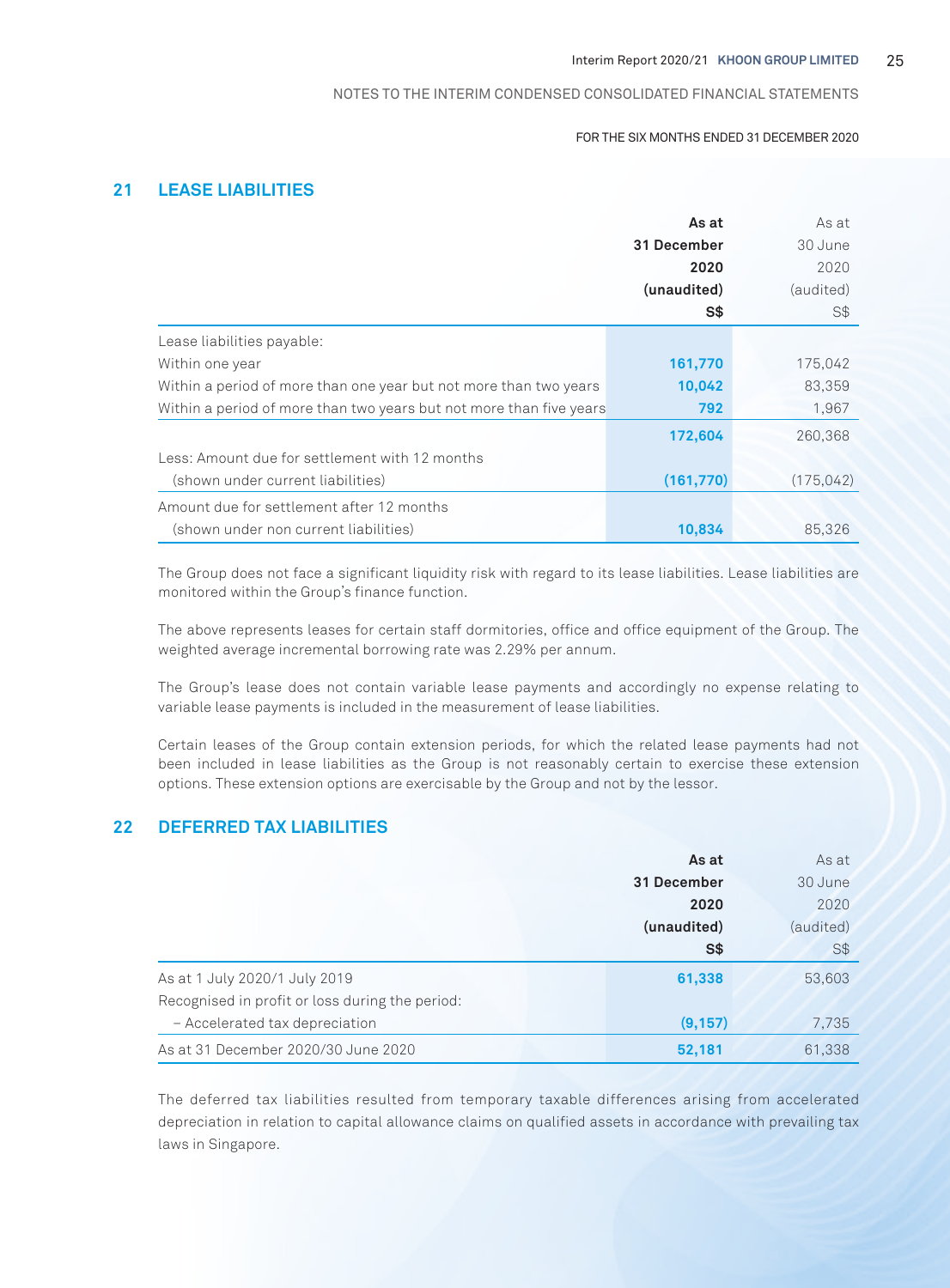#### FOR THE SIX MONTHS ENDED 31 DECEMBER 2020

# **21 LEASE LIABILITIES**

|                                                                     | As at       | As at      |
|---------------------------------------------------------------------|-------------|------------|
|                                                                     | 31 December | 30 June    |
|                                                                     | 2020        | 2020       |
|                                                                     | (unaudited) | (audited)  |
|                                                                     | S\$         | S\$        |
| Lease liabilities payable:                                          |             |            |
| Within one year                                                     | 161,770     | 175,042    |
| Within a period of more than one year but not more than two years   | 10,042      | 83.359     |
| Within a period of more than two years but not more than five years | 792         | 1.967      |
|                                                                     | 172,604     | 260.368    |
| Less: Amount due for settlement with 12 months                      |             |            |
| (shown under current liabilities)                                   | (161,770)   | (175, 042) |
| Amount due for settlement after 12 months                           |             |            |
| (shown under non current liabilities)                               | 10,834      | 85,326     |

The Group does not face a significant liquidity risk with regard to its lease liabilities. Lease liabilities are monitored within the Group's finance function.

The above represents leases for certain staff dormitories, office and office equipment of the Group. The weighted average incremental borrowing rate was 2.29% per annum.

The Group's lease does not contain variable lease payments and accordingly no expense relating to variable lease payments is included in the measurement of lease liabilities.

Certain leases of the Group contain extension periods, for which the related lease payments had not been included in lease liabilities as the Group is not reasonably certain to exercise these extension options. These extension options are exercisable by the Group and not by the lessor.

# **22 DEFERRED TAX LIABILITIES**

|                                                 | As at       | As at     |
|-------------------------------------------------|-------------|-----------|
|                                                 | 31 December | 30 June   |
|                                                 | 2020        | 2020      |
|                                                 | (unaudited) | (audited) |
|                                                 | S\$         | S\$       |
| As at 1 July 2020/1 July 2019                   | 61,338      | 53,603    |
| Recognised in profit or loss during the period: |             |           |
| - Accelerated tax depreciation                  | (9, 157)    | 7,735     |
| As at 31 December 2020/30 June 2020             | 52,181      | 61,338    |

The deferred tax liabilities resulted from temporary taxable differences arising from accelerated depreciation in relation to capital allowance claims on qualified assets in accordance with prevailing tax laws in Singapore.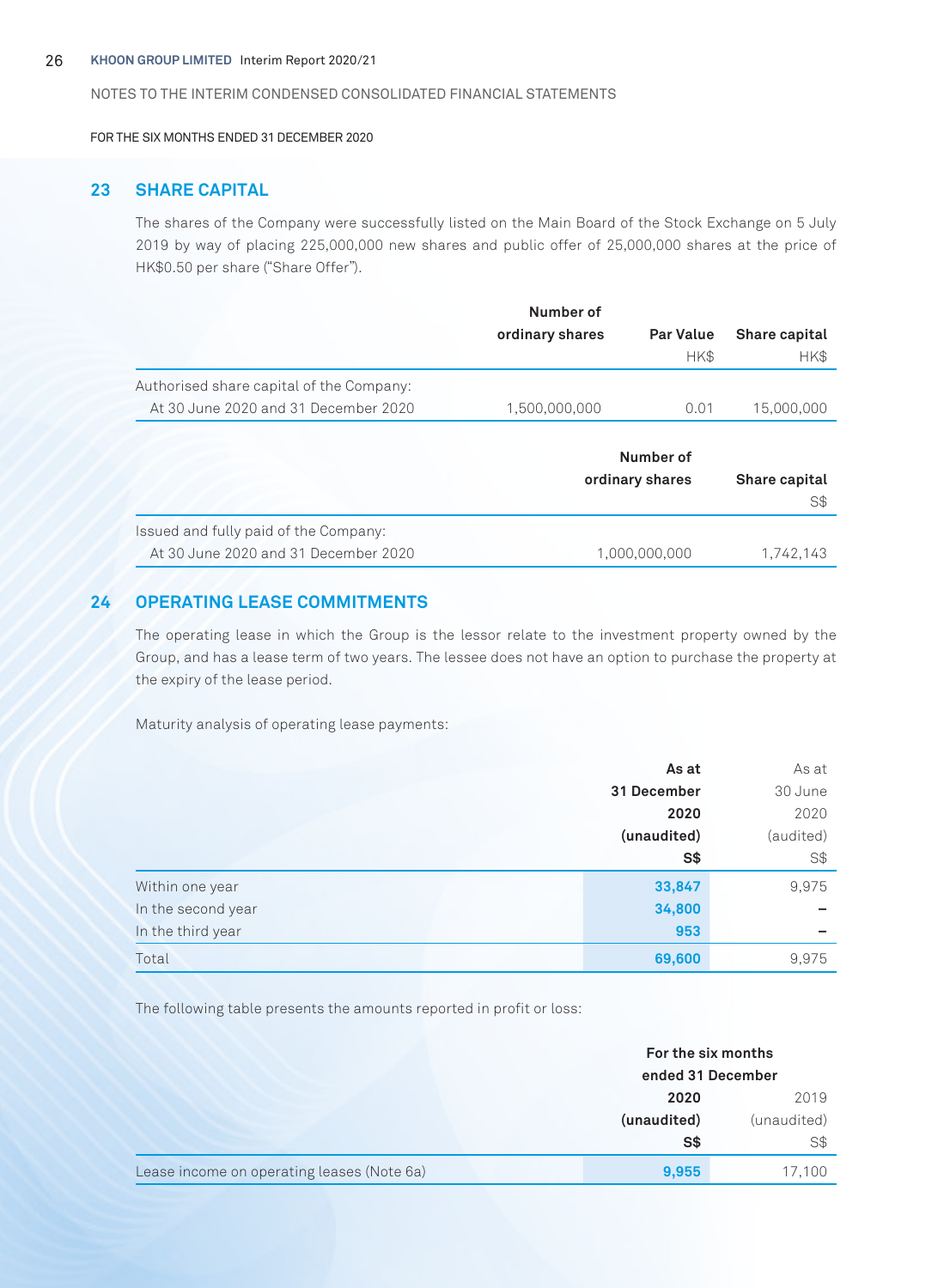#### 26 **KHOON GROUP LIMITED** Interim Report 2020/21

#### NOTES TO THE INTERIM CONDENSED CONSOLIDATED FINANCIAL STATEMENTS

FOR THE SIX MONTHS ENDED 31 DECEMBER 2020

# **23 SHARE CAPITAL**

The shares of the Company were successfully listed on the Main Board of the Stock Exchange on 5 July 2019 by way of placing 225,000,000 new shares and public offer of 25,000,000 shares at the price of HK\$0.50 per share ("Share Offer").

|                                          | Number of       |                  |               |
|------------------------------------------|-----------------|------------------|---------------|
|                                          | ordinary shares | <b>Par Value</b> | Share capital |
|                                          |                 | HK\$             | HK\$          |
| Authorised share capital of the Company: |                 |                  |               |
| At 30 June 2020 and 31 December 2020     | 1,500,000,000   | 0.01             | 15,000,000    |
|                                          |                 |                  |               |
|                                          |                 | Number of        |               |
|                                          |                 | ordinary shares  | Share capital |
|                                          |                 |                  | S\$           |
| Issued and fully paid of the Company:    |                 |                  |               |
| At 30 June 2020 and 31 December 2020     |                 | 1.000.000.000    | 1.742.143     |

# **24 OPERATING LEASE COMMITMENTS**

The operating lease in which the Group is the lessor relate to the investment property owned by the Group, and has a lease term of two years. The lessee does not have an option to purchase the property at the expiry of the lease period.

Maturity analysis of operating lease payments:

|                    | As at       | As at     |
|--------------------|-------------|-----------|
|                    | 31 December | 30 June   |
|                    | 2020        | 2020      |
|                    | (unaudited) | (audited) |
|                    | S\$         | S\$       |
| Within one year    | 33,847      | 9,975     |
| In the second year | 34,800      | -         |
| In the third year  | 953         | -         |
| Total              | 69,600      | 9,975     |

The following table presents the amounts reported in profit or loss:

|                                            | For the six months |             |  |
|--------------------------------------------|--------------------|-------------|--|
|                                            | ended 31 December  |             |  |
|                                            | 2020<br>2019       |             |  |
|                                            | (unaudited)        | (unaudited) |  |
|                                            | S\$                | S\$         |  |
| Lease income on operating leases (Note 6a) | 9,955              | 17,100      |  |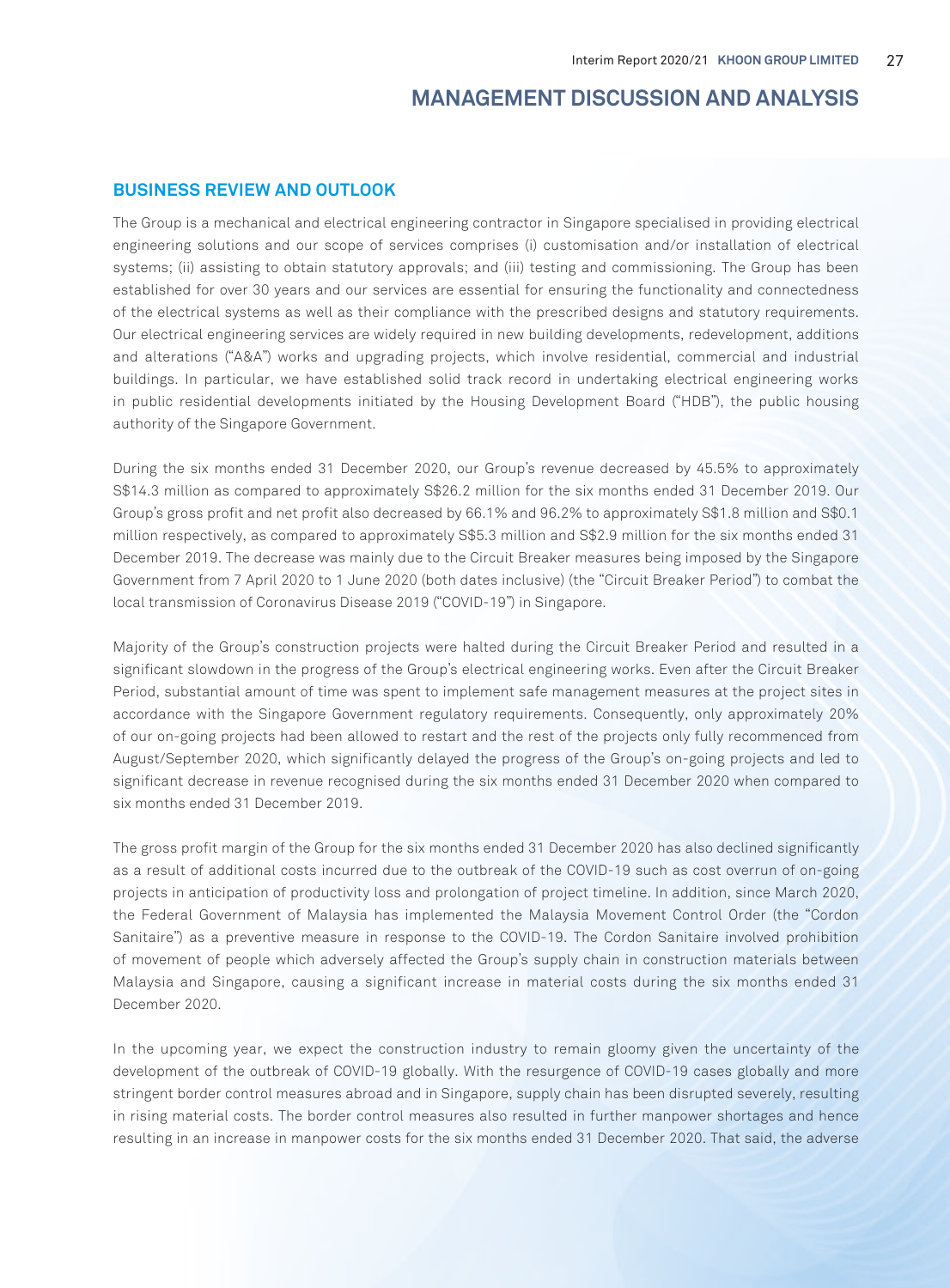# **MANAGEMENT DISCUSSION AND ANALYSIS**

# **BUSINESS REVIEW AND OUTLOOK**

The Group is a mechanical and electrical engineering contractor in Singapore specialised in providing electrical engineering solutions and our scope of services comprises (i) customisation and/or installation of electrical systems; (ii) assisting to obtain statutory approvals; and (iii) testing and commissioning. The Group has been established for over 30 years and our services are essential for ensuring the functionality and connectedness of the electrical systems as well as their compliance with the prescribed designs and statutory requirements. Our electrical engineering services are widely required in new building developments, redevelopment, additions and alterations ("A&A") works and upgrading projects, which involve residential, commercial and industrial buildings. In particular, we have established solid track record in undertaking electrical engineering works in public residential developments initiated by the Housing Development Board ("HDB"), the public housing authority of the Singapore Government.

During the six months ended 31 December 2020, our Group's revenue decreased by 45.5% to approximately S\$14.3 million as compared to approximately S\$26.2 million for the six months ended 31 December 2019. Our Group's gross profit and net profit also decreased by 66.1% and 96.2% to approximately S\$1.8 million and S\$0.1 million respectively, as compared to approximately S\$5.3 million and S\$2.9 million for the six months ended 31 December 2019. The decrease was mainly due to the Circuit Breaker measures being imposed by the Singapore Government from 7 April 2020 to 1 June 2020 (both dates inclusive) (the "Circuit Breaker Period") to combat the local transmission of Coronavirus Disease 2019 ("COVID-19") in Singapore.

Majority of the Group's construction projects were halted during the Circuit Breaker Period and resulted in a significant slowdown in the progress of the Group's electrical engineering works. Even after the Circuit Breaker Period, substantial amount of time was spent to implement safe management measures at the project sites in accordance with the Singapore Government regulatory requirements. Consequently, only approximately 20% of our on-going projects had been allowed to restart and the rest of the projects only fully recommenced from August/September 2020, which significantly delayed the progress of the Group's on-going projects and led to significant decrease in revenue recognised during the six months ended 31 December 2020 when compared to six months ended 31 December 2019.

The gross profit margin of the Group for the six months ended 31 December 2020 has also declined significantly as a result of additional costs incurred due to the outbreak of the COVID-19 such as cost overrun of on-going projects in anticipation of productivity loss and prolongation of project timeline. In addition, since March 2020, the Federal Government of Malaysia has implemented the Malaysia Movement Control Order (the "Cordon Sanitaire") as a preventive measure in response to the COVID-19. The Cordon Sanitaire involved prohibition of movement of people which adversely affected the Group's supply chain in construction materials between Malaysia and Singapore, causing a significant increase in material costs during the six months ended 31 December 2020.

In the upcoming year, we expect the construction industry to remain gloomy given the uncertainty of the development of the outbreak of COVID-19 globally. With the resurgence of COVID-19 cases globally and more stringent border control measures abroad and in Singapore, supply chain has been disrupted severely, resulting in rising material costs. The border control measures also resulted in further manpower shortages and hence resulting in an increase in manpower costs for the six months ended 31 December 2020. That said, the adverse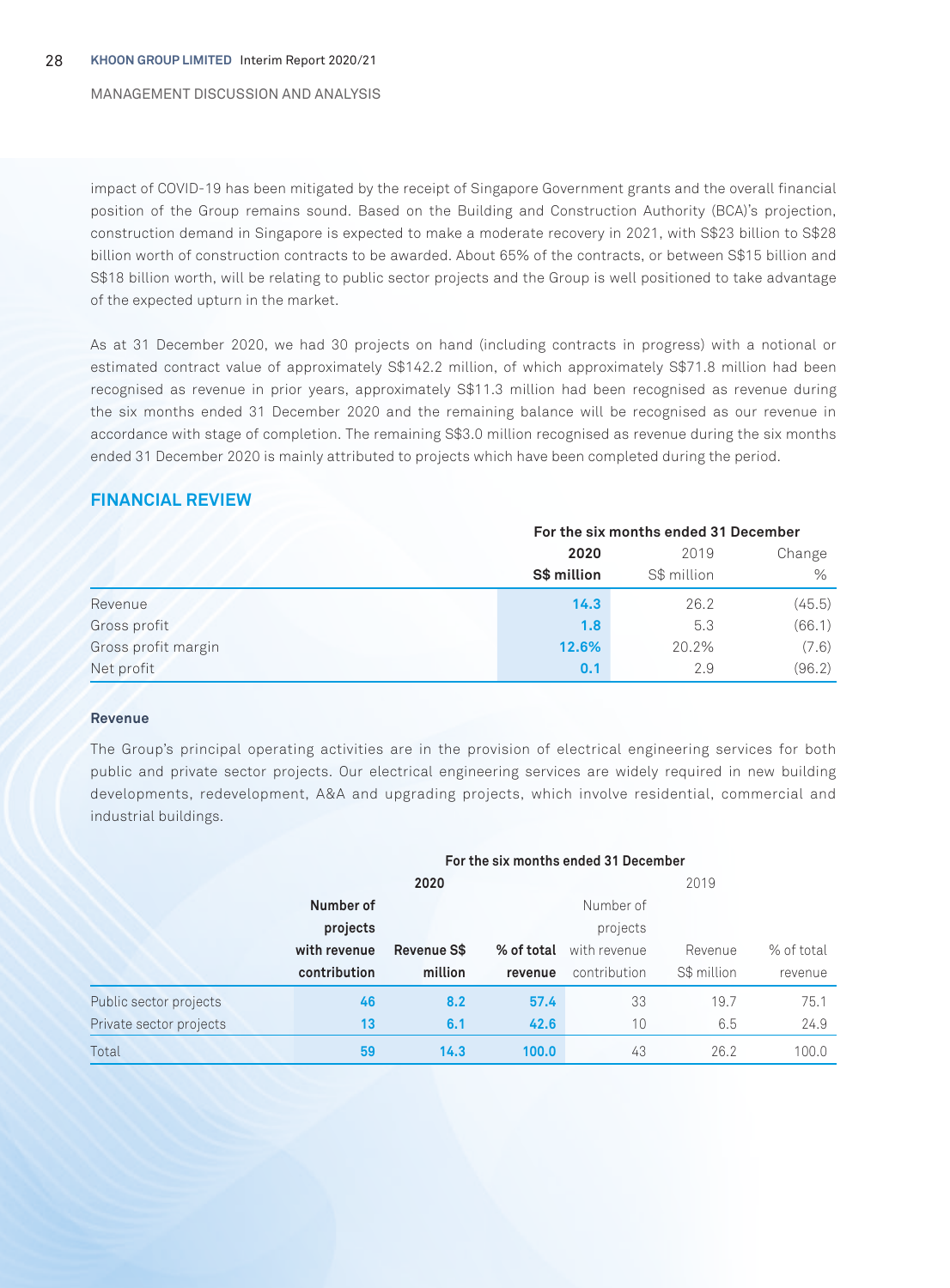#### MANAGEMENT DISCUSSION AND ANALYSIS

impact of COVID-19 has been mitigated by the receipt of Singapore Government grants and the overall financial position of the Group remains sound. Based on the Building and Construction Authority (BCA)'s projection, construction demand in Singapore is expected to make a moderate recovery in 2021, with S\$23 billion to S\$28 billion worth of construction contracts to be awarded. About 65% of the contracts, or between S\$15 billion and S\$18 billion worth, will be relating to public sector projects and the Group is well positioned to take advantage of the expected upturn in the market.

As at 31 December 2020, we had 30 projects on hand (including contracts in progress) with a notional or estimated contract value of approximately S\$142.2 million, of which approximately S\$71.8 million had been recognised as revenue in prior years, approximately S\$11.3 million had been recognised as revenue during the six months ended 31 December 2020 and the remaining balance will be recognised as our revenue in accordance with stage of completion. The remaining S\$3.0 million recognised as revenue during the six months ended 31 December 2020 is mainly attributed to projects which have been completed during the period.

# **FINANCIAL REVIEW**

|                     | For the six months ended 31 December |             |        |  |
|---------------------|--------------------------------------|-------------|--------|--|
|                     | 2020                                 | 2019        | Change |  |
|                     | S\$ million                          | S\$ million | $\%$   |  |
| Revenue             | 14.3                                 | 26.2        | (45.5) |  |
| Gross profit        | 1.8                                  | 5.3         | (66.1) |  |
| Gross profit margin | 12.6%                                | 20.2%       | (7.6)  |  |
| Net profit          | 0.1                                  | 2.9         | (96.2) |  |

#### **Revenue**

The Group's principal operating activities are in the provision of electrical engineering services for both public and private sector projects. Our electrical engineering services are widely required in new building developments, redevelopment, A&A and upgrading projects, which involve residential, commercial and industrial buildings.

|                         |              | For the six months ended 31 December |            |              |             |            |  |
|-------------------------|--------------|--------------------------------------|------------|--------------|-------------|------------|--|
|                         |              | 2020                                 |            |              | 2019        |            |  |
|                         | Number of    |                                      |            | Number of    |             |            |  |
|                         | projects     |                                      |            | projects     |             |            |  |
|                         | with revenue | Revenue S\$                          | % of total | with revenue | Revenue     | % of total |  |
|                         | contribution | million                              | revenue    | contribution | S\$ million | revenue    |  |
| Public sector projects  | 46           | 8.2                                  | 57.4       | 33           | 19.7        | 75.1       |  |
| Private sector projects | 13           | 6.1                                  | 42.6       | 10           | 6.5         | 24.9       |  |
| Total                   | 59           | 14.3                                 | 100.0      | 43           | 26.2        | 100.0      |  |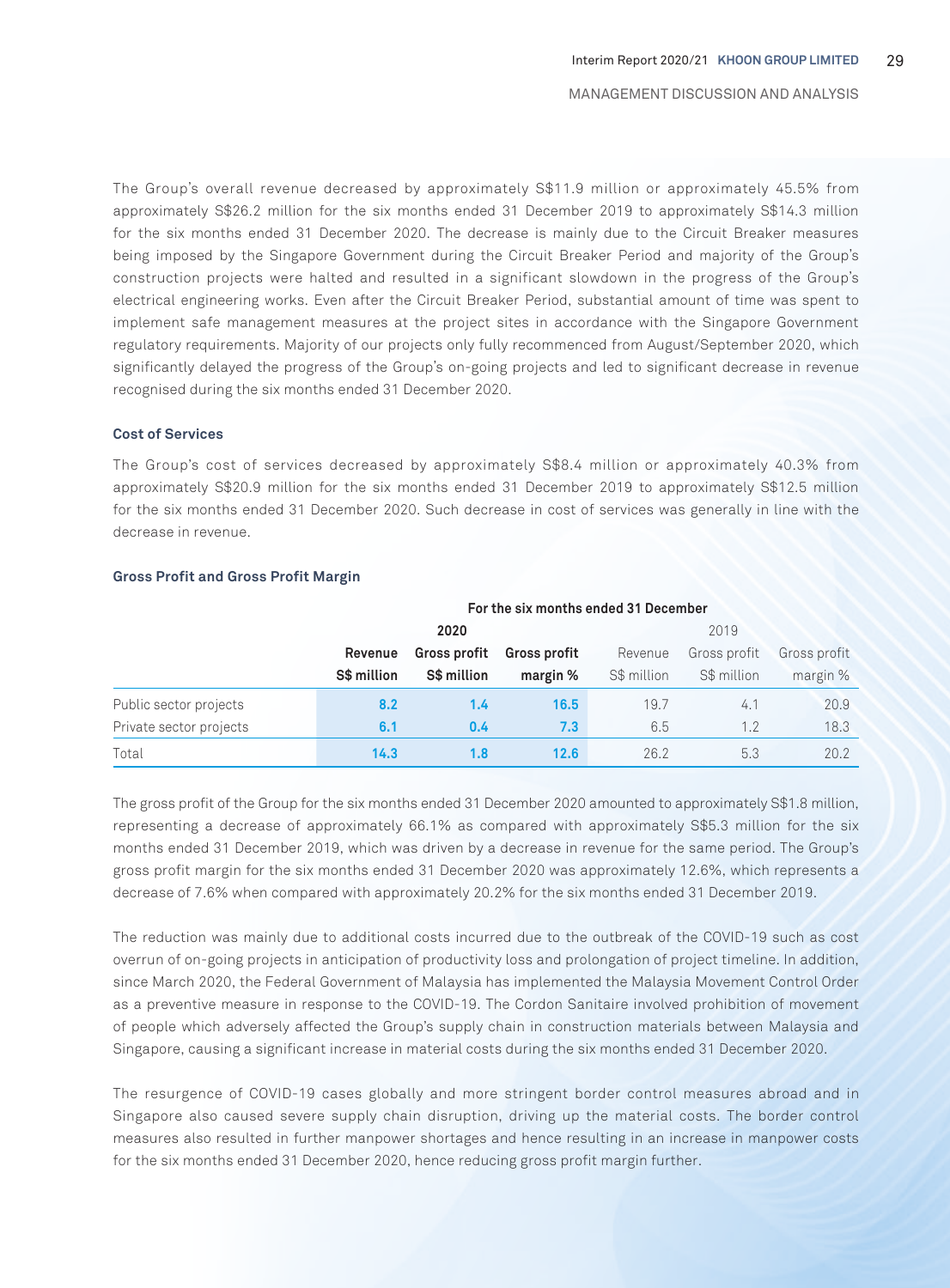The Group's overall revenue decreased by approximately S\$11.9 million or approximately 45.5% from approximately S\$26.2 million for the six months ended 31 December 2019 to approximately S\$14.3 million for the six months ended 31 December 2020. The decrease is mainly due to the Circuit Breaker measures being imposed by the Singapore Government during the Circuit Breaker Period and majority of the Group's construction projects were halted and resulted in a significant slowdown in the progress of the Group's electrical engineering works. Even after the Circuit Breaker Period, substantial amount of time was spent to implement safe management measures at the project sites in accordance with the Singapore Government regulatory requirements. Majority of our projects only fully recommenced from August/September 2020, which significantly delayed the progress of the Group's on-going projects and led to significant decrease in revenue recognised during the six months ended 31 December 2020.

#### **Cost of Services**

The Group's cost of services decreased by approximately S\$8.4 million or approximately 40.3% from approximately S\$20.9 million for the six months ended 31 December 2019 to approximately S\$12.5 million for the six months ended 31 December 2020. Such decrease in cost of services was generally in line with the decrease in revenue.

|                         | For the six months ended 31 December |                     |                     |             |              |              |
|-------------------------|--------------------------------------|---------------------|---------------------|-------------|--------------|--------------|
|                         |                                      | 2020                |                     |             | 2019         |              |
|                         | Revenue                              | <b>Gross profit</b> | <b>Gross profit</b> | Revenue     | Gross profit | Gross profit |
|                         | S\$ million                          | S\$ million         | margin %            | S\$ million | S\$ million  | margin %     |
| Public sector projects  | 8.2                                  | 1.4                 | 16.5                | 19.7        | 4.1          | 20.9         |
| Private sector projects | 6.1                                  | 0.4                 | 7.3                 | 6.5         | 1.2          | 18.3         |
| Total                   | 14.3                                 | 1.8                 | 12.6                | 26.2        | 5.3          | 20.2         |

#### **Gross Profit and Gross Profit Margin**

The gross profit of the Group for the six months ended 31 December 2020 amounted to approximately S\$1.8 million, representing a decrease of approximately 66.1% as compared with approximately S\$5.3 million for the six months ended 31 December 2019, which was driven by a decrease in revenue for the same period. The Group's gross profit margin for the six months ended 31 December 2020 was approximately 12.6%, which represents a decrease of 7.6% when compared with approximately 20.2% for the six months ended 31 December 2019.

The reduction was mainly due to additional costs incurred due to the outbreak of the COVID-19 such as cost overrun of on-going projects in anticipation of productivity loss and prolongation of project timeline. In addition, since March 2020, the Federal Government of Malaysia has implemented the Malaysia Movement Control Order as a preventive measure in response to the COVID-19. The Cordon Sanitaire involved prohibition of movement of people which adversely affected the Group's supply chain in construction materials between Malaysia and Singapore, causing a significant increase in material costs during the six months ended 31 December 2020.

The resurgence of COVID-19 cases globally and more stringent border control measures abroad and in Singapore also caused severe supply chain disruption, driving up the material costs. The border control measures also resulted in further manpower shortages and hence resulting in an increase in manpower costs for the six months ended 31 December 2020, hence reducing gross profit margin further.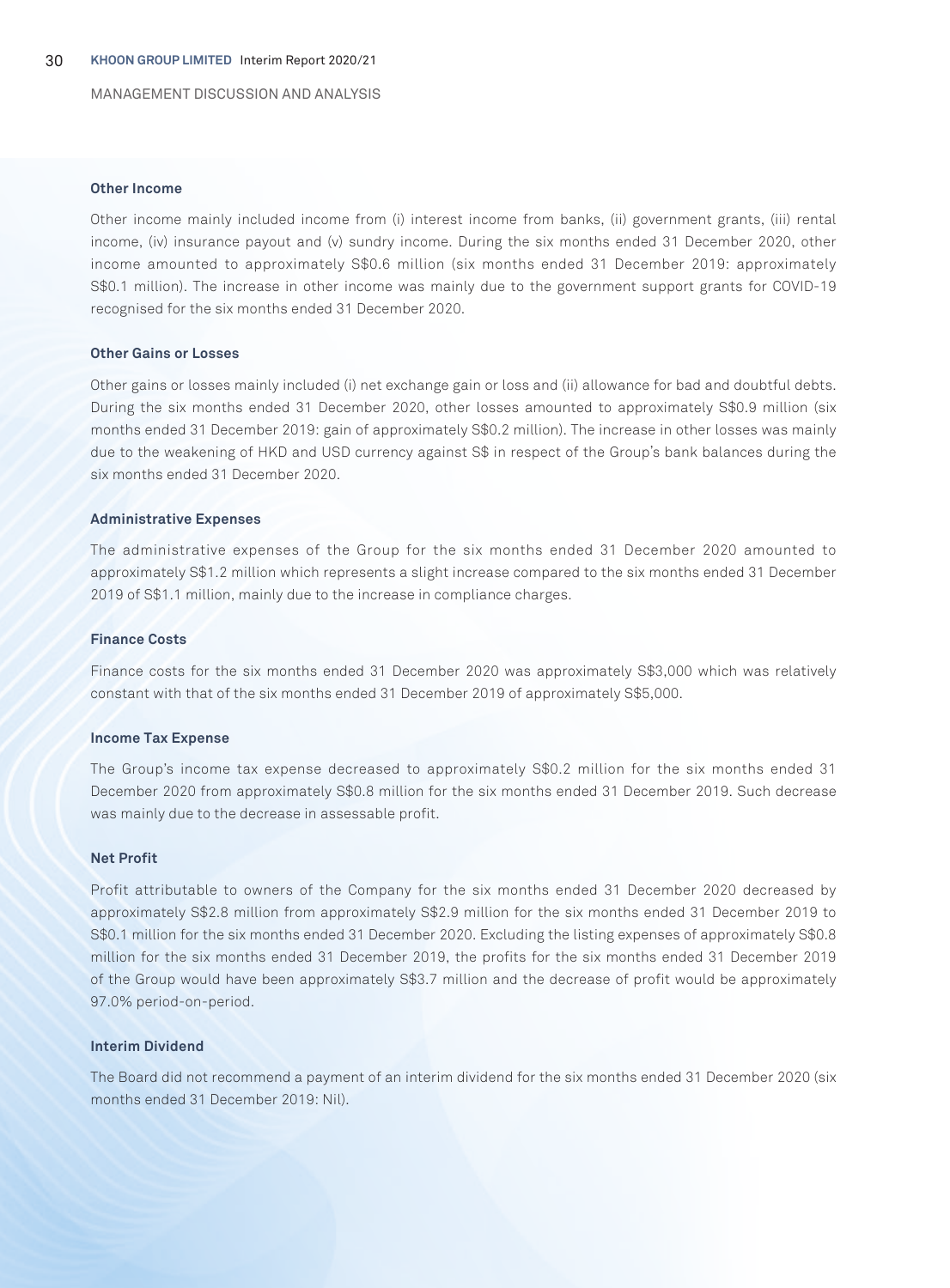MANAGEMENT DISCUSSION AND ANALYSIS

#### **Other Income**

Other income mainly included income from (i) interest income from banks, (ii) government grants, (iii) rental income, (iv) insurance payout and (v) sundry income. During the six months ended 31 December 2020, other income amounted to approximately S\$0.6 million (six months ended 31 December 2019: approximately S\$0.1 million). The increase in other income was mainly due to the government support grants for COVID-19 recognised for the six months ended 31 December 2020.

#### **Other Gains or Losses**

Other gains or losses mainly included (i) net exchange gain or loss and (ii) allowance for bad and doubtful debts. During the six months ended 31 December 2020, other losses amounted to approximately S\$0.9 million (six months ended 31 December 2019: gain of approximately S\$0.2 million). The increase in other losses was mainly due to the weakening of HKD and USD currency against S\$ in respect of the Group's bank balances during the six months ended 31 December 2020.

#### **Administrative Expenses**

The administrative expenses of the Group for the six months ended 31 December 2020 amounted to approximately S\$1.2 million which represents a slight increase compared to the six months ended 31 December 2019 of S\$1.1 million, mainly due to the increase in compliance charges.

#### **Finance Costs**

Finance costs for the six months ended 31 December 2020 was approximately S\$3,000 which was relatively constant with that of the six months ended 31 December 2019 of approximately S\$5,000.

#### **Income Tax Expense**

The Group's income tax expense decreased to approximately S\$0.2 million for the six months ended 31 December 2020 from approximately S\$0.8 million for the six months ended 31 December 2019. Such decrease was mainly due to the decrease in assessable profit.

#### **Net Profit**

Profit attributable to owners of the Company for the six months ended 31 December 2020 decreased by approximately S\$2.8 million from approximately S\$2.9 million for the six months ended 31 December 2019 to S\$0.1 million for the six months ended 31 December 2020. Excluding the listing expenses of approximately S\$0.8 million for the six months ended 31 December 2019, the profits for the six months ended 31 December 2019 of the Group would have been approximately S\$3.7 million and the decrease of profit would be approximately 97.0% period-on-period.

#### **Interim Dividend**

The Board did not recommend a payment of an interim dividend for the six months ended 31 December 2020 (six months ended 31 December 2019: Nil).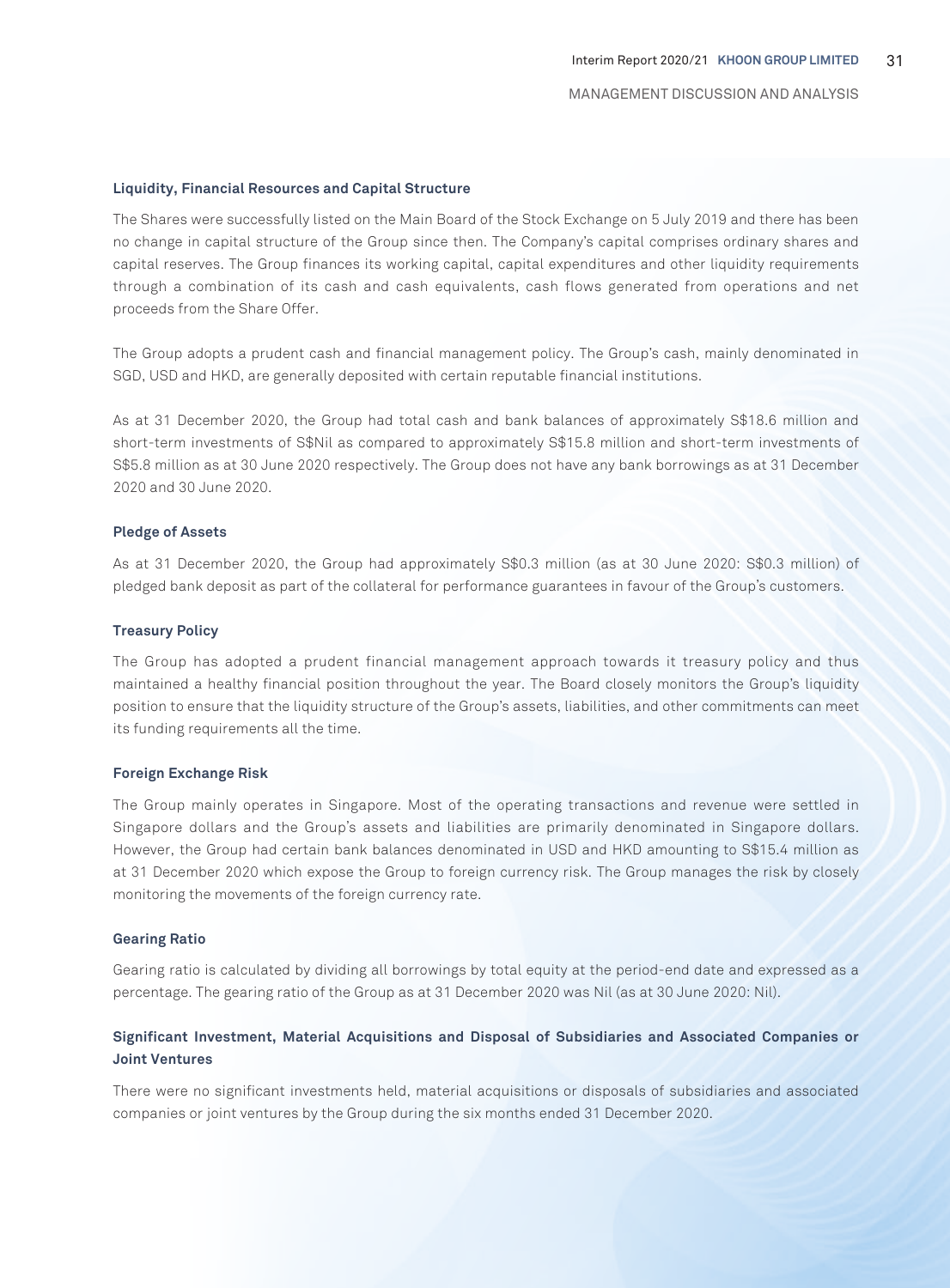#### **Liquidity, Financial Resources and Capital Structure**

The Shares were successfully listed on the Main Board of the Stock Exchange on 5 July 2019 and there has been no change in capital structure of the Group since then. The Company's capital comprises ordinary shares and capital reserves. The Group finances its working capital, capital expenditures and other liquidity requirements through a combination of its cash and cash equivalents, cash flows generated from operations and net proceeds from the Share Offer.

The Group adopts a prudent cash and financial management policy. The Group's cash, mainly denominated in SGD, USD and HKD, are generally deposited with certain reputable financial institutions.

As at 31 December 2020, the Group had total cash and bank balances of approximately S\$18.6 million and short-term investments of S\$Nil as compared to approximately S\$15.8 million and short-term investments of S\$5.8 million as at 30 June 2020 respectively. The Group does not have any bank borrowings as at 31 December 2020 and 30 June 2020.

#### **Pledge of Assets**

As at 31 December 2020, the Group had approximately S\$0.3 million (as at 30 June 2020: S\$0.3 million) of pledged bank deposit as part of the collateral for performance guarantees in favour of the Group's customers.

#### **Treasury Policy**

The Group has adopted a prudent financial management approach towards it treasury policy and thus maintained a healthy financial position throughout the year. The Board closely monitors the Group's liquidity position to ensure that the liquidity structure of the Group's assets, liabilities, and other commitments can meet its funding requirements all the time.

#### **Foreign Exchange Risk**

The Group mainly operates in Singapore. Most of the operating transactions and revenue were settled in Singapore dollars and the Group's assets and liabilities are primarily denominated in Singapore dollars. However, the Group had certain bank balances denominated in USD and HKD amounting to S\$15.4 million as at 31 December 2020 which expose the Group to foreign currency risk. The Group manages the risk by closely monitoring the movements of the foreign currency rate.

#### **Gearing Ratio**

Gearing ratio is calculated by dividing all borrowings by total equity at the period-end date and expressed as a percentage. The gearing ratio of the Group as at 31 December 2020 was Nil (as at 30 June 2020: Nil).

# **Significant Investment, Material Acquisitions and Disposal of Subsidiaries and Associated Companies or Joint Ventures**

There were no significant investments held, material acquisitions or disposals of subsidiaries and associated companies or joint ventures by the Group during the six months ended 31 December 2020.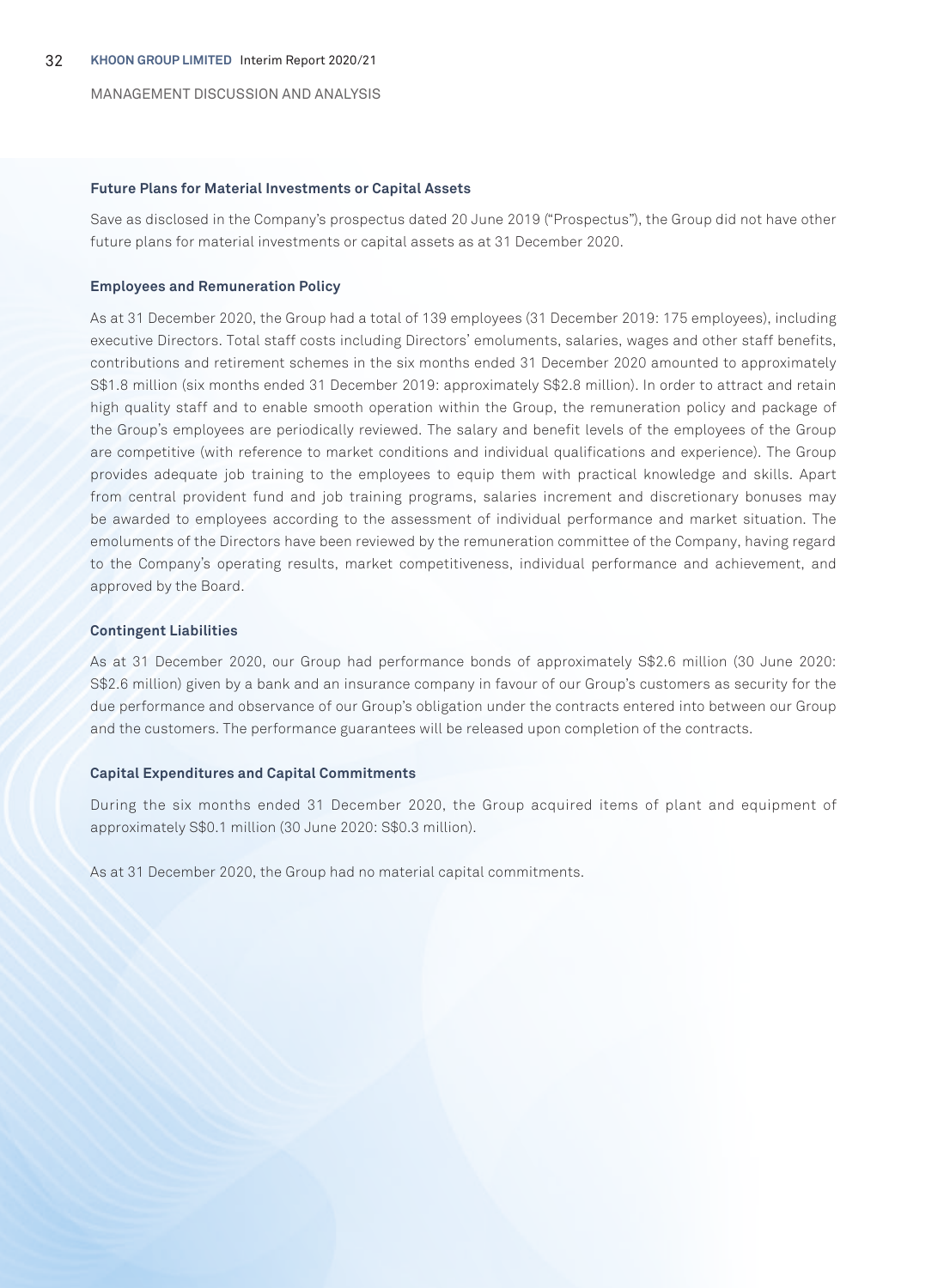MANAGEMENT DISCUSSION AND ANALYSIS

#### **Future Plans for Material Investments or Capital Assets**

Save as disclosed in the Company's prospectus dated 20 June 2019 ("Prospectus"), the Group did not have other future plans for material investments or capital assets as at 31 December 2020.

#### **Employees and Remuneration Policy**

As at 31 December 2020, the Group had a total of 139 employees (31 December 2019: 175 employees), including executive Directors. Total staff costs including Directors' emoluments, salaries, wages and other staff benefits, contributions and retirement schemes in the six months ended 31 December 2020 amounted to approximately S\$1.8 million (six months ended 31 December 2019: approximately S\$2.8 million). In order to attract and retain high quality staff and to enable smooth operation within the Group, the remuneration policy and package of the Group's employees are periodically reviewed. The salary and benefit levels of the employees of the Group are competitive (with reference to market conditions and individual qualifications and experience). The Group provides adequate job training to the employees to equip them with practical knowledge and skills. Apart from central provident fund and job training programs, salaries increment and discretionary bonuses may be awarded to employees according to the assessment of individual performance and market situation. The emoluments of the Directors have been reviewed by the remuneration committee of the Company, having regard to the Company's operating results, market competitiveness, individual performance and achievement, and approved by the Board.

#### **Contingent Liabilities**

As at 31 December 2020, our Group had performance bonds of approximately S\$2.6 million (30 June 2020: S\$2.6 million) given by a bank and an insurance company in favour of our Group's customers as security for the due performance and observance of our Group's obligation under the contracts entered into between our Group and the customers. The performance guarantees will be released upon completion of the contracts.

#### **Capital Expenditures and Capital Commitments**

During the six months ended 31 December 2020, the Group acquired items of plant and equipment of approximately S\$0.1 million (30 June 2020: S\$0.3 million).

As at 31 December 2020, the Group had no material capital commitments.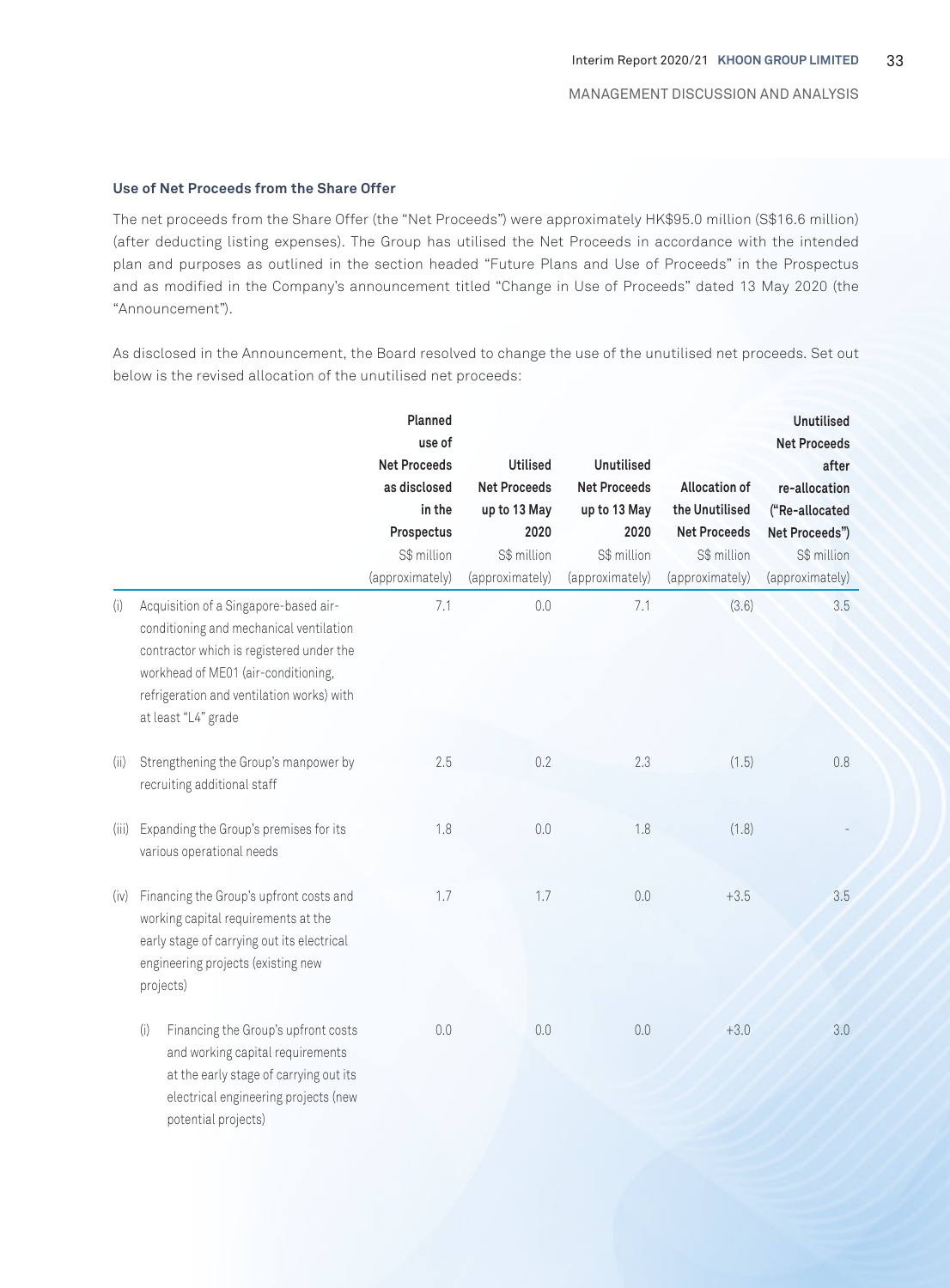#### **Use of Net Proceeds from the Share Offer**

potential projects)

The net proceeds from the Share Offer (the "Net Proceeds") were approximately HK\$95.0 million (S\$16.6 million) (after deducting listing expenses). The Group has utilised the Net Proceeds in accordance with the intended plan and purposes as outlined in the section headed "Future Plans and Use of Proceeds" in the Prospectus and as modified in the Company's announcement titled "Change in Use of Proceeds" dated 13 May 2020 (the "Announcement").

As disclosed in the Announcement, the Board resolved to change the use of the unutilised net proceeds. Set out below is the revised allocation of the unutilised net proceeds:

|       |                                                                                                                                                                                                                                         | Planned<br>use of<br><b>Net Proceeds</b><br>as disclosed<br>in the<br>Prospectus<br>S\$ million<br>(approximately) | <b>Utilised</b><br><b>Net Proceeds</b><br>up to 13 May<br>2020<br>S\$ million<br>(approximately) | <b>Unutilised</b><br><b>Net Proceeds</b><br>up to 13 May<br>2020<br>S\$ million<br>(approximately) | <b>Allocation of</b><br>the Unutilised<br><b>Net Proceeds</b><br>S\$ million<br>(approximately) | <b>Unutilised</b><br><b>Net Proceeds</b><br>after<br>re-allocation<br>("Re-allocated<br>Net Proceeds")<br>S\$ million<br>(approximately) |
|-------|-----------------------------------------------------------------------------------------------------------------------------------------------------------------------------------------------------------------------------------------|--------------------------------------------------------------------------------------------------------------------|--------------------------------------------------------------------------------------------------|----------------------------------------------------------------------------------------------------|-------------------------------------------------------------------------------------------------|------------------------------------------------------------------------------------------------------------------------------------------|
| (i)   | Acquisition of a Singapore-based air-<br>conditioning and mechanical ventilation<br>contractor which is registered under the<br>workhead of ME01 (air-conditioning,<br>refrigeration and ventilation works) with<br>at least "L4" grade | 7.1                                                                                                                | 0.0                                                                                              | 7.1                                                                                                | (3.6)                                                                                           | 3.5                                                                                                                                      |
| (i)   | Strengthening the Group's manpower by<br>recruiting additional staff                                                                                                                                                                    | 2.5                                                                                                                | 0.2                                                                                              | 2.3                                                                                                | (1.5)                                                                                           | 0.8                                                                                                                                      |
| (iii) | Expanding the Group's premises for its<br>various operational needs                                                                                                                                                                     | 1.8                                                                                                                | 0.0                                                                                              | 1.8                                                                                                | (1.8)                                                                                           |                                                                                                                                          |
| (iv)  | Financing the Group's upfront costs and<br>working capital requirements at the<br>early stage of carrying out its electrical<br>engineering projects (existing new<br>projects)                                                         | 1.7                                                                                                                | 1.7                                                                                              | 0.0                                                                                                | $+3.5$                                                                                          | 3.5                                                                                                                                      |
|       | (i)<br>Financing the Group's upfront costs<br>and working capital requirements<br>at the early stage of carrying out its<br>electrical engineering projects (new                                                                        | 0.0                                                                                                                | 0.0                                                                                              | 0.0                                                                                                | $+3.0$                                                                                          | 3.0                                                                                                                                      |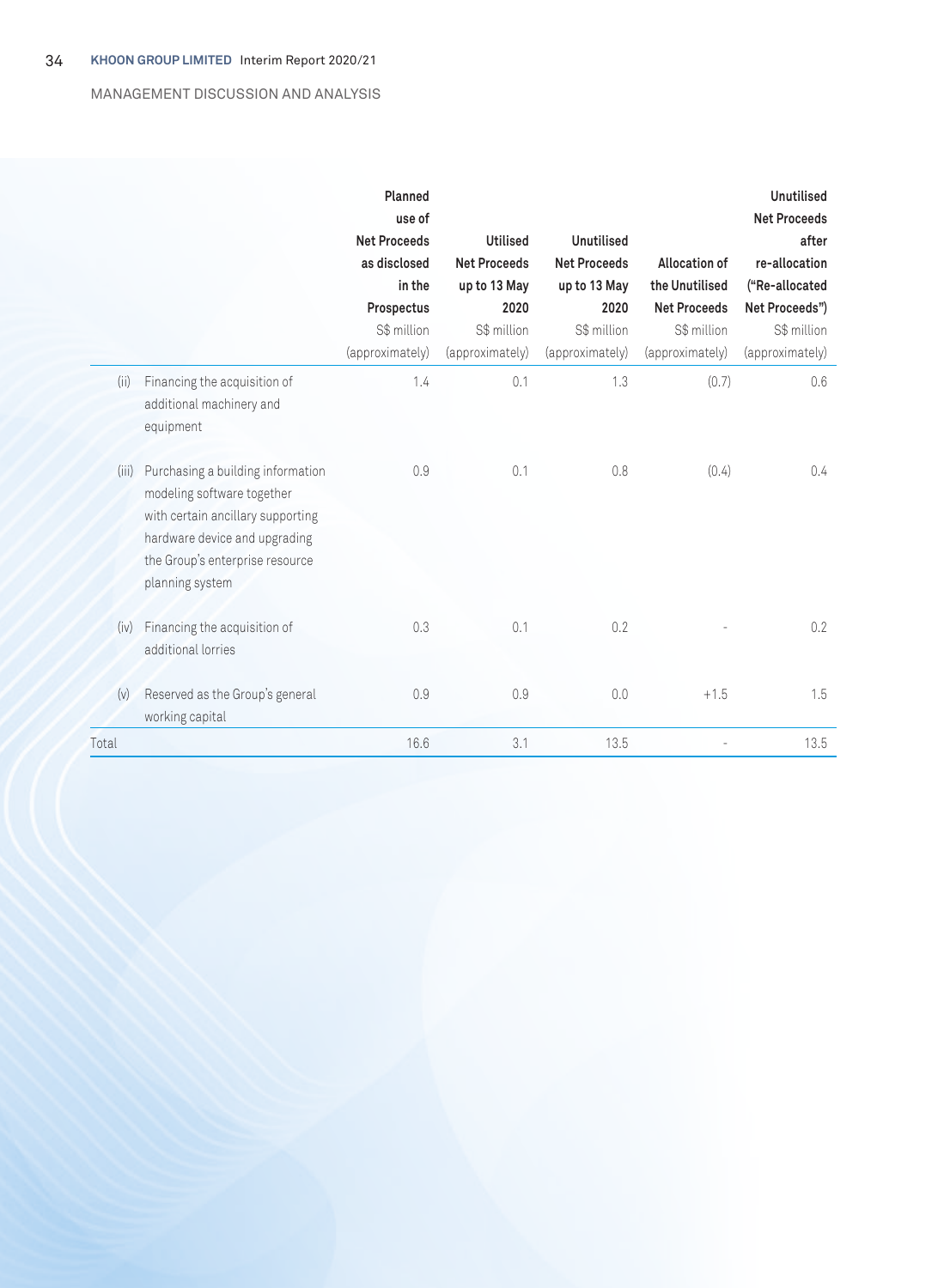# MANAGEMENT DISCUSSION AND ANALYSIS

|       |                                                                                                                                                                                             | Planned<br>use of<br><b>Net Proceeds</b><br>as disclosed<br>in the<br>Prospectus<br>S\$ million<br>(approximately) | <b>Utilised</b><br><b>Net Proceeds</b><br>up to 13 May<br>2020<br>S\$ million<br>(approximately) | <b>Unutilised</b><br><b>Net Proceeds</b><br>up to 13 May<br>2020<br>S\$ million<br>(approximately) | Allocation of<br>the Unutilised<br><b>Net Proceeds</b><br>S\$ million<br>(approximately) | <b>Unutilised</b><br><b>Net Proceeds</b><br>after<br>re-allocation<br>("Re-allocated<br>Net Proceeds")<br>S\$ million<br>(approximately) |
|-------|---------------------------------------------------------------------------------------------------------------------------------------------------------------------------------------------|--------------------------------------------------------------------------------------------------------------------|--------------------------------------------------------------------------------------------------|----------------------------------------------------------------------------------------------------|------------------------------------------------------------------------------------------|------------------------------------------------------------------------------------------------------------------------------------------|
| (ii)  | Financing the acquisition of<br>additional machinery and<br>equipment                                                                                                                       | 1.4                                                                                                                | 0.1                                                                                              | 1.3                                                                                                | (0.7)                                                                                    | 0.6                                                                                                                                      |
| (iii) | Purchasing a building information<br>modeling software together<br>with certain ancillary supporting<br>hardware device and upgrading<br>the Group's enterprise resource<br>planning system | 0.9                                                                                                                | 0.1                                                                                              | 0.8                                                                                                | (0.4)                                                                                    | $0.4^{\circ}$                                                                                                                            |
| (iv)  | Financing the acquisition of<br>additional lorries                                                                                                                                          | 0.3                                                                                                                | 0.1                                                                                              | 0.2                                                                                                |                                                                                          | 0.2                                                                                                                                      |
| (v)   | Reserved as the Group's general<br>working capital                                                                                                                                          | 0.9                                                                                                                | 0.9                                                                                              | 0.0                                                                                                | $+1.5$                                                                                   | 1.5                                                                                                                                      |
| Total |                                                                                                                                                                                             | 16.6                                                                                                               | 3.1                                                                                              | 13.5                                                                                               |                                                                                          | 13.5                                                                                                                                     |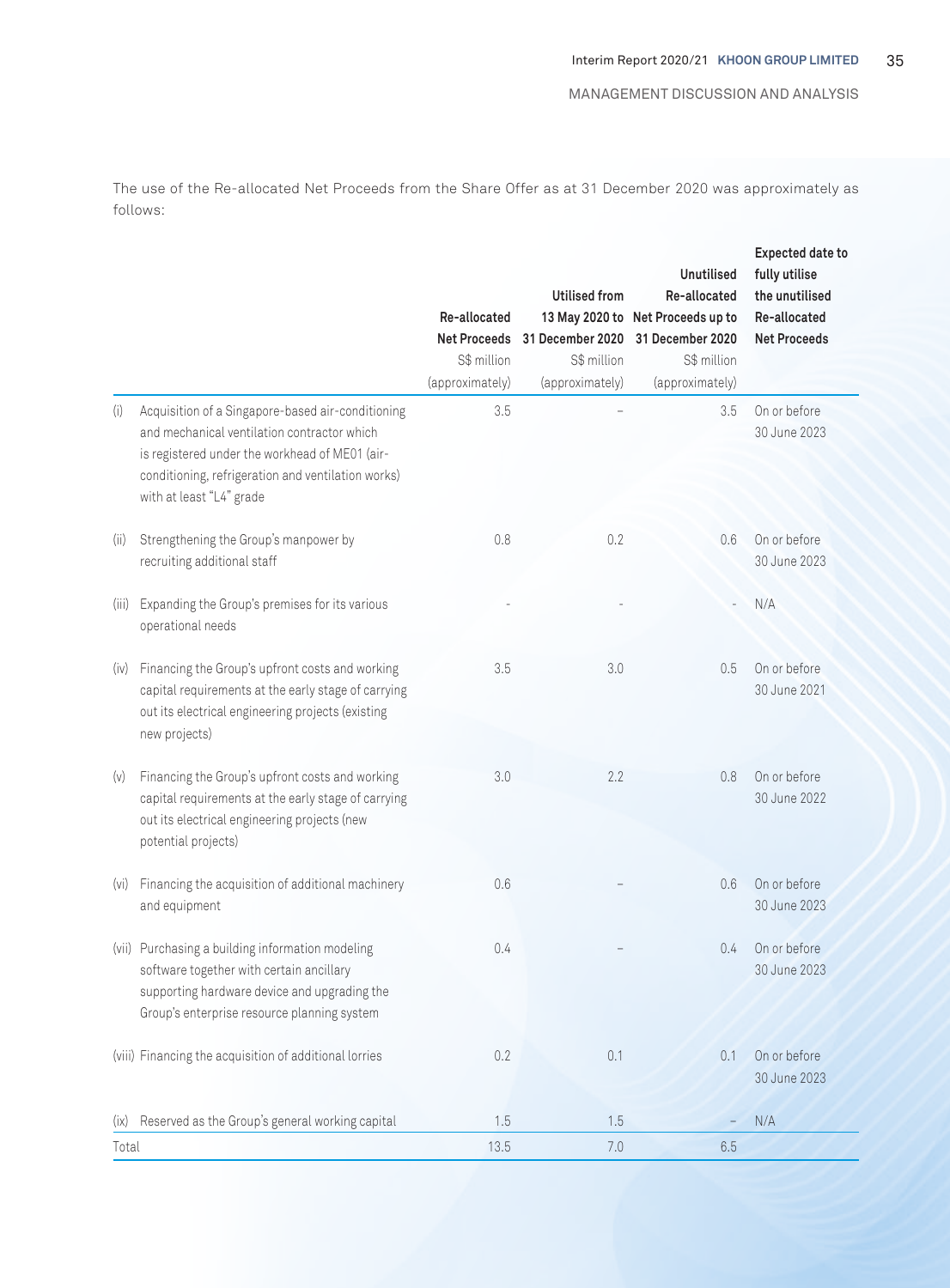The use of the Re-allocated Net Proceeds from the Share Offer as at 31 December 2020 was approximately as follows:

|       |                                                                                                                                                                                                                                      | Re-allocated<br><b>Net Proceeds</b><br>S\$ million<br>(approximately) | <b>Utilised from</b><br>S\$ million<br>(approximately) | <b>Unutilised</b><br>Re-allocated<br>13 May 2020 to Net Proceeds up to<br>31 December 2020 31 December 2020<br>S\$ million<br>(approximately) | <b>Expected date to</b><br>fully utilise<br>the unutilised<br>Re-allocated<br><b>Net Proceeds</b> |
|-------|--------------------------------------------------------------------------------------------------------------------------------------------------------------------------------------------------------------------------------------|-----------------------------------------------------------------------|--------------------------------------------------------|-----------------------------------------------------------------------------------------------------------------------------------------------|---------------------------------------------------------------------------------------------------|
| (i)   | Acquisition of a Singapore-based air-conditioning<br>and mechanical ventilation contractor which<br>is registered under the workhead of ME01 (air-<br>conditioning, refrigeration and ventilation works)<br>with at least "L4" grade | 3.5                                                                   |                                                        | 3.5                                                                                                                                           | On or before<br>30 June 2023                                                                      |
| (ii)  | Strengthening the Group's manpower by<br>recruiting additional staff                                                                                                                                                                 | 0.8                                                                   | 0.2                                                    | 0.6                                                                                                                                           | On or before<br>30 June 2023                                                                      |
| (iii) | Expanding the Group's premises for its various<br>operational needs                                                                                                                                                                  |                                                                       |                                                        |                                                                                                                                               | N/A                                                                                               |
| (iv)  | Financing the Group's upfront costs and working<br>capital requirements at the early stage of carrying<br>out its electrical engineering projects (existing<br>new projects)                                                         | 3.5                                                                   | 3.0                                                    | 0.5                                                                                                                                           | On or before<br>30 June 2021                                                                      |
| (v)   | Financing the Group's upfront costs and working<br>capital requirements at the early stage of carrying<br>out its electrical engineering projects (new<br>potential projects)                                                        | 3.0                                                                   | 2.2                                                    | 0.8                                                                                                                                           | On or before<br>30 June 2022                                                                      |
| (vi)  | Financing the acquisition of additional machinery<br>and equipment                                                                                                                                                                   | 0.6                                                                   |                                                        | 0.6                                                                                                                                           | On or before<br>30 June 2023                                                                      |
|       | (vii) Purchasing a building information modeling<br>software together with certain ancillary<br>supporting hardware device and upgrading the<br>Group's enterprise resource planning system                                          | 0.4                                                                   |                                                        | 0.4                                                                                                                                           | On or before<br>30 June 2023                                                                      |
|       | (viii) Financing the acquisition of additional lorries                                                                                                                                                                               | 0.2                                                                   | 0.1                                                    | 0.1                                                                                                                                           | On or before<br>30 June 2023                                                                      |
| (ix)  | Reserved as the Group's general working capital                                                                                                                                                                                      | 1.5                                                                   | 1.5                                                    |                                                                                                                                               | N/A                                                                                               |
| Total |                                                                                                                                                                                                                                      | 13.5                                                                  | 7.0                                                    | 6.5                                                                                                                                           |                                                                                                   |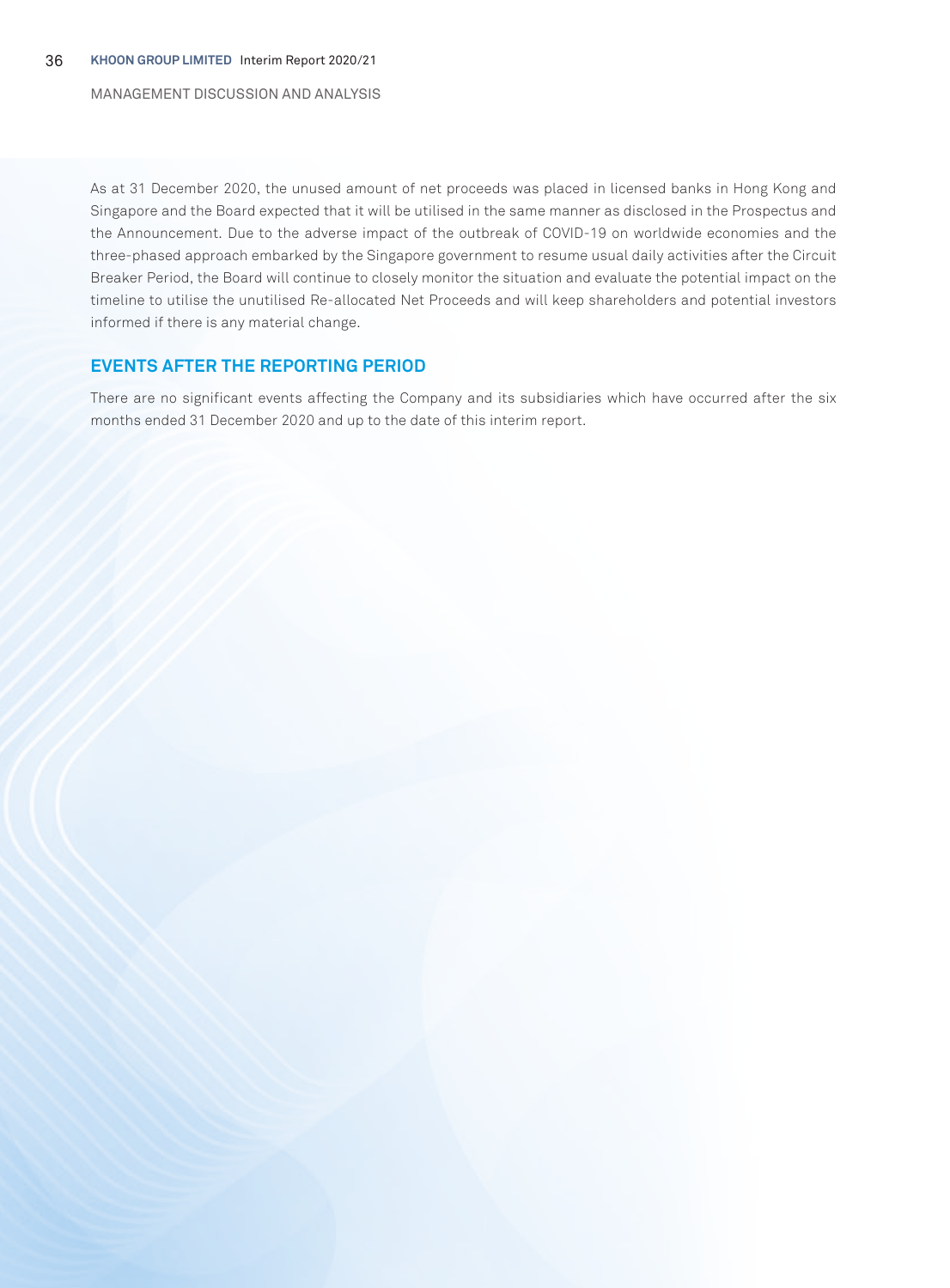MANAGEMENT DISCUSSION AND ANALYSIS

As at 31 December 2020, the unused amount of net proceeds was placed in licensed banks in Hong Kong and Singapore and the Board expected that it will be utilised in the same manner as disclosed in the Prospectus and the Announcement. Due to the adverse impact of the outbreak of COVID-19 on worldwide economies and the three-phased approach embarked by the Singapore government to resume usual daily activities after the Circuit Breaker Period, the Board will continue to closely monitor the situation and evaluate the potential impact on the timeline to utilise the unutilised Re-allocated Net Proceeds and will keep shareholders and potential investors informed if there is any material change.

# **EVENTS AFTER THE REPORTING PERIOD**

There are no significant events affecting the Company and its subsidiaries which have occurred after the six months ended 31 December 2020 and up to the date of this interim report.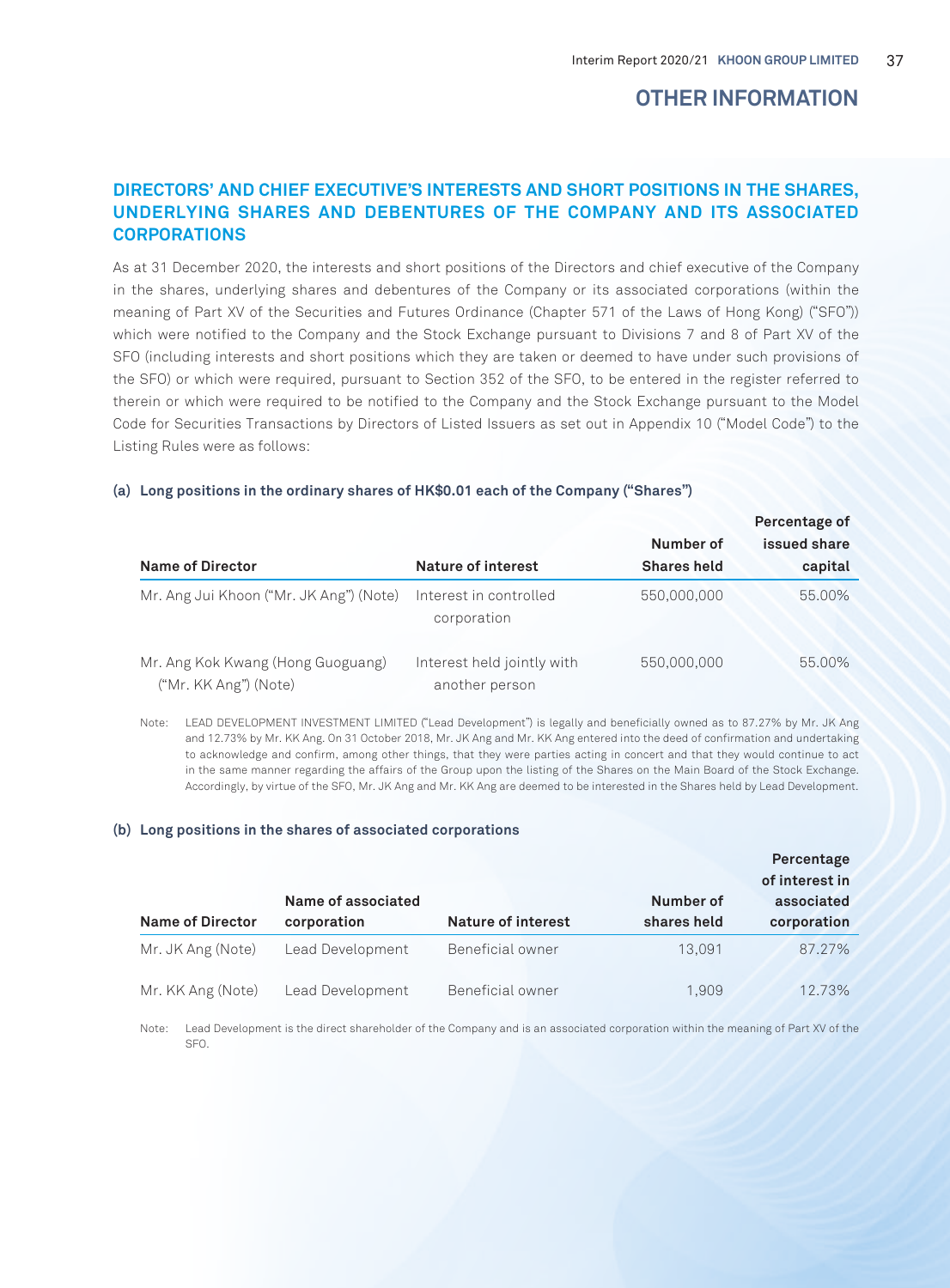# **OTHER INFORMATION**

# **DIRECTORS' AND CHIEF EXECUTIVE'S INTERESTS AND SHORT POSITIONS IN THE SHARES, UNDERLYING SHARES AND DEBENTURES OF THE COMPANY AND ITS ASSOCIATED CORPORATIONS**

As at 31 December 2020, the interests and short positions of the Directors and chief executive of the Company in the shares, underlying shares and debentures of the Company or its associated corporations (within the meaning of Part XV of the Securities and Futures Ordinance (Chapter 571 of the Laws of Hong Kong) ("SFO")) which were notified to the Company and the Stock Exchange pursuant to Divisions 7 and 8 of Part XV of the SFO (including interests and short positions which they are taken or deemed to have under such provisions of the SFO) or which were required, pursuant to Section 352 of the SFO, to be entered in the register referred to therein or which were required to be notified to the Company and the Stock Exchange pursuant to the Model Code for Securities Transactions by Directors of Listed Issuers as set out in Appendix 10 ("Model Code") to the Listing Rules were as follows:

|                                                            |                                              |                    | Percentage of |
|------------------------------------------------------------|----------------------------------------------|--------------------|---------------|
|                                                            |                                              | Number of          | issued share  |
| <b>Name of Director</b>                                    | Nature of interest                           | <b>Shares held</b> | capital       |
| Mr. Ang Jui Khoon ("Mr. JK Ang") (Note)                    | Interest in controlled<br>corporation        | 550,000,000        | 55.00%        |
| Mr. Ang Kok Kwang (Hong Guoguang)<br>("Mr. KK Ang") (Note) | Interest held jointly with<br>another person | 550,000,000        | 55.00%        |

#### **(a) Long positions in the ordinary shares of HK\$0.01 each of the Company ("Shares")**

Note: LEAD DEVELOPMENT INVESTMENT LIMITED ("Lead Development") is legally and beneficially owned as to 87.27% by Mr. JK Ang and 12.73% by Mr. KK Ang. On 31 October 2018, Mr. JK Ang and Mr. KK Ang entered into the deed of confirmation and undertaking to acknowledge and confirm, among other things, that they were parties acting in concert and that they would continue to act in the same manner regarding the affairs of the Group upon the listing of the Shares on the Main Board of the Stock Exchange. Accordingly, by virtue of the SFO, Mr. JK Ang and Mr. KK Ang are deemed to be interested in the Shares held by Lead Development.

#### **(b) Long positions in the shares of associated corporations**

|                         |                                   |                    |                          | Percentage<br>of interest in |
|-------------------------|-----------------------------------|--------------------|--------------------------|------------------------------|
| <b>Name of Director</b> | Name of associated<br>corporation | Nature of interest | Number of<br>shares held | associated<br>corporation    |
| Mr. JK Ang (Note)       | Lead Development                  | Beneficial owner   | 13.091                   | 87.27%                       |
| Mr. KK Ang (Note)       | Lead Development                  | Beneficial owner   | 1.909                    | 12.73%                       |

Note: Lead Development is the direct shareholder of the Company and is an associated corporation within the meaning of Part XV of the SFO.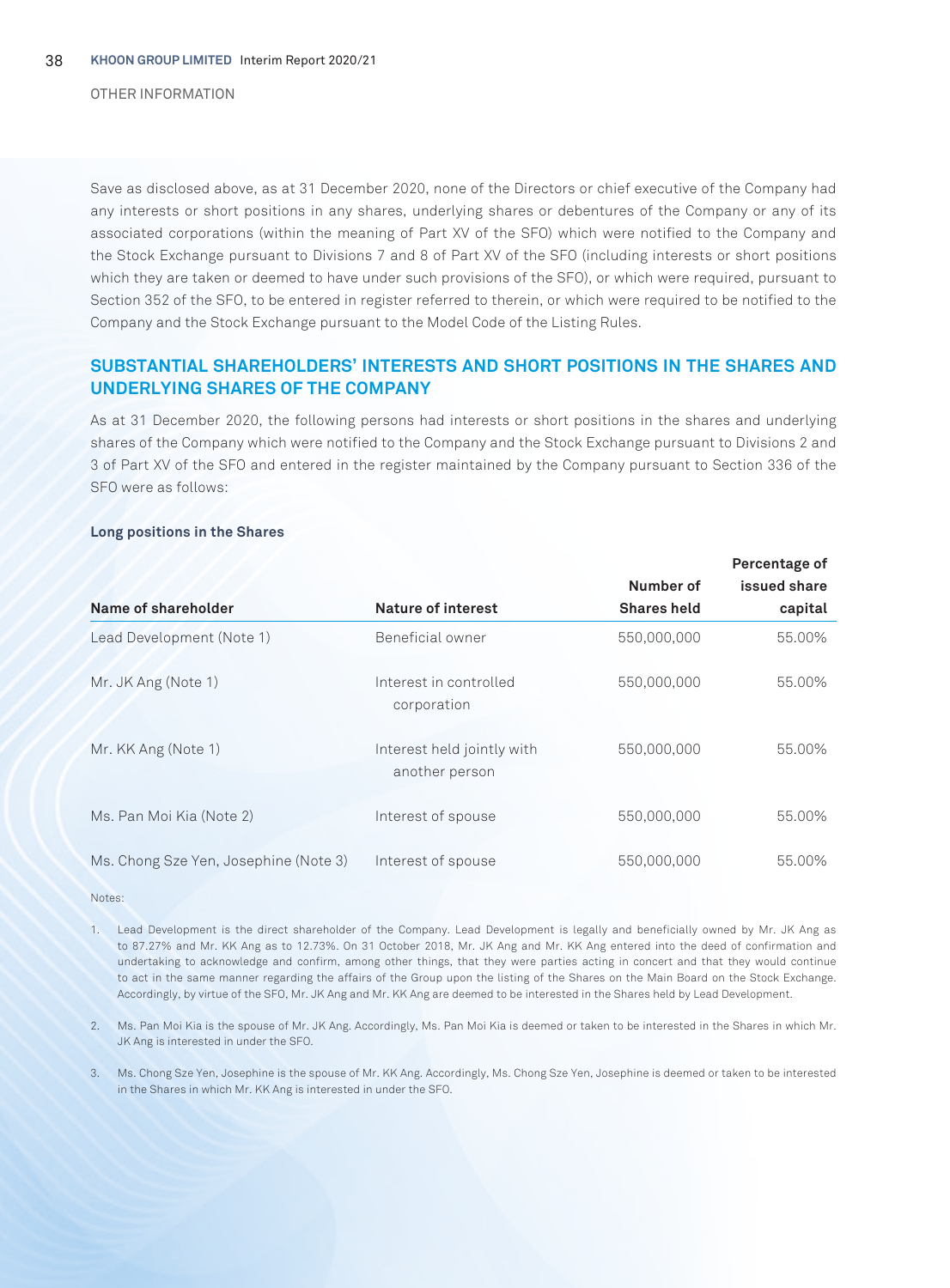OTHER INFORMATION

Save as disclosed above, as at 31 December 2020, none of the Directors or chief executive of the Company had any interests or short positions in any shares, underlying shares or debentures of the Company or any of its associated corporations (within the meaning of Part XV of the SFO) which were notified to the Company and the Stock Exchange pursuant to Divisions 7 and 8 of Part XV of the SFO (including interests or short positions which they are taken or deemed to have under such provisions of the SFO), or which were required, pursuant to Section 352 of the SFO, to be entered in register referred to therein, or which were required to be notified to the Company and the Stock Exchange pursuant to the Model Code of the Listing Rules.

# **SUBSTANTIAL SHAREHOLDERS' INTERESTS AND SHORT POSITIONS IN THE SHARES AND UNDERLYING SHARES OF THE COMPANY**

As at 31 December 2020, the following persons had interests or short positions in the shares and underlying shares of the Company which were notified to the Company and the Stock Exchange pursuant to Divisions 2 and 3 of Part XV of the SFO and entered in the register maintained by the Company pursuant to Section 336 of the SFO were as follows:

#### **Long positions in the Shares**

|                                       |                                              | Percentage of      |              |
|---------------------------------------|----------------------------------------------|--------------------|--------------|
|                                       |                                              | Number of          | issued share |
| Name of shareholder                   | Nature of interest                           | <b>Shares held</b> | capital      |
| Lead Development (Note 1)             | Beneficial owner                             | 550,000,000        | 55.00%       |
| Mr. JK Ang (Note 1)                   | Interest in controlled<br>corporation        | 550,000,000        | 55.00%       |
| Mr. KK Ang (Note 1)                   | Interest held jointly with<br>another person | 550,000,000        | 55.00%       |
| Ms. Pan Moi Kia (Note 2)              | Interest of spouse                           | 550.000.000        | 55.00%       |
| Ms. Chong Sze Yen, Josephine (Note 3) | Interest of spouse                           | 550.000.000        | 55.00%       |

Notes:

1. Lead Development is the direct shareholder of the Company. Lead Development is legally and beneficially owned by Mr. JK Ang as to 87.27% and Mr. KK Ang as to 12.73%. On 31 October 2018, Mr. JK Ang and Mr. KK Ang entered into the deed of confirmation and undertaking to acknowledge and confirm, among other things, that they were parties acting in concert and that they would continue to act in the same manner regarding the affairs of the Group upon the listing of the Shares on the Main Board on the Stock Exchange. Accordingly, by virtue of the SFO, Mr. JK Ang and Mr. KK Ang are deemed to be interested in the Shares held by Lead Development.

2. Ms. Pan Moi Kia is the spouse of Mr. JK Ang. Accordingly, Ms. Pan Moi Kia is deemed or taken to be interested in the Shares in which Mr. JK Ang is interested in under the SFO.

3. Ms. Chong Sze Yen, Josephine is the spouse of Mr. KK Ang. Accordingly, Ms. Chong Sze Yen, Josephine is deemed or taken to be interested in the Shares in which Mr. KK Ang is interested in under the SFO.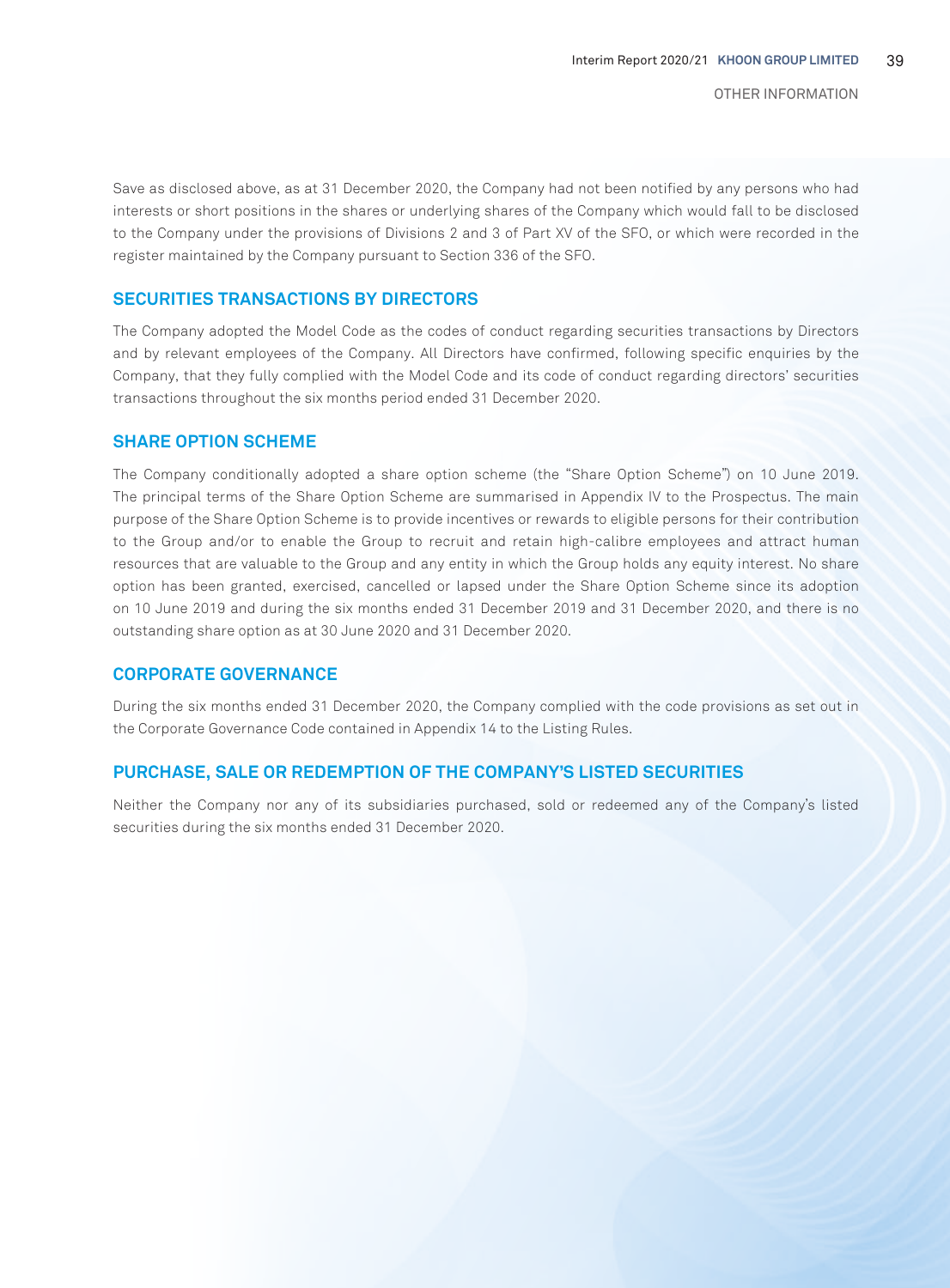Save as disclosed above, as at 31 December 2020, the Company had not been notified by any persons who had interests or short positions in the shares or underlying shares of the Company which would fall to be disclosed to the Company under the provisions of Divisions 2 and 3 of Part XV of the SFO, or which were recorded in the register maintained by the Company pursuant to Section 336 of the SFO.

# **SECURITIES TRANSACTIONS BY DIRECTORS**

The Company adopted the Model Code as the codes of conduct regarding securities transactions by Directors and by relevant employees of the Company. All Directors have confirmed, following specific enquiries by the Company, that they fully complied with the Model Code and its code of conduct regarding directors' securities transactions throughout the six months period ended 31 December 2020.

# **SHARE OPTION SCHEME**

The Company conditionally adopted a share option scheme (the "Share Option Scheme") on 10 June 2019. The principal terms of the Share Option Scheme are summarised in Appendix IV to the Prospectus. The main purpose of the Share Option Scheme is to provide incentives or rewards to eligible persons for their contribution to the Group and/or to enable the Group to recruit and retain high-calibre employees and attract human resources that are valuable to the Group and any entity in which the Group holds any equity interest. No share option has been granted, exercised, cancelled or lapsed under the Share Option Scheme since its adoption on 10 June 2019 and during the six months ended 31 December 2019 and 31 December 2020, and there is no outstanding share option as at 30 June 2020 and 31 December 2020.

# **CORPORATE GOVERNANCE**

During the six months ended 31 December 2020, the Company complied with the code provisions as set out in the Corporate Governance Code contained in Appendix 14 to the Listing Rules.

# **PURCHASE, SALE OR REDEMPTION OF THE COMPANY'S LISTED SECURITIES**

Neither the Company nor any of its subsidiaries purchased, sold or redeemed any of the Company's listed securities during the six months ended 31 December 2020.